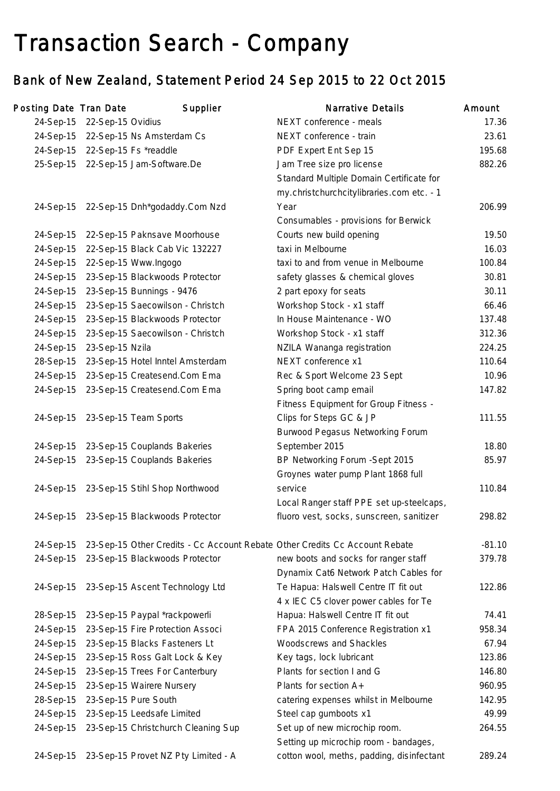# Transaction Search - Company

# Bank of New Zealand, Statement Period 24 Sep 2015 to 22 Oct 2015

| Posting Date Tran Date |                   | Supplier                                                                    | <b>Narrative Details</b>                  | Amount   |
|------------------------|-------------------|-----------------------------------------------------------------------------|-------------------------------------------|----------|
| 24-Sep-15              | 22-Sep-15 Ovidius |                                                                             | NEXT conference - meals                   | 17.36    |
|                        |                   | 24-Sep-15 22-Sep-15 Ns Amsterdam Cs                                         | NEXT conference - train                   | 23.61    |
| 24-Sep-15              |                   | 22-Sep-15 Fs *readdle                                                       | PDF Expert Ent Sep 15                     | 195.68   |
| 25-Sep-15              |                   | 22-Sep-15 Jam-Software.De                                                   | Jam Tree size pro license                 | 882.26   |
|                        |                   |                                                                             | Standard Multiple Domain Certificate for  |          |
|                        |                   |                                                                             | my.christchurchcitylibraries.com etc. - 1 |          |
| 24-Sep-15              |                   | 22-Sep-15 Dnh*godaddy.Com Nzd                                               | Year                                      | 206.99   |
|                        |                   |                                                                             | Consumables - provisions for Berwick      |          |
| 24-Sep-15              |                   | 22-Sep-15 Paknsave Moorhouse                                                | Courts new build opening                  | 19.50    |
| 24-Sep-15              |                   | 22-Sep-15 Black Cab Vic 132227                                              | taxi in Melbourne                         | 16.03    |
| 24-Sep-15              |                   | 22-Sep-15 Www.Ingogo                                                        | taxi to and from venue in Melbourne       | 100.84   |
| 24-Sep-15              |                   | 23-Sep-15 Blackwoods Protector                                              | safety glasses & chemical gloves          | 30.81    |
| 24-Sep-15              |                   | 23-Sep-15 Bunnings - 9476                                                   | 2 part epoxy for seats                    | 30.11    |
| 24-Sep-15              |                   | 23-Sep-15 Saecowilson - Christch                                            | Workshop Stock - x1 staff                 | 66.46    |
| 24-Sep-15              |                   | 23-Sep-15 Blackwoods Protector                                              | In House Maintenance - WO                 | 137.48   |
| 24-Sep-15              |                   | 23-Sep-15 Saecowilson - Christch                                            | Workshop Stock - x1 staff                 | 312.36   |
| 24-Sep-15              | 23-Sep-15 Nzila   |                                                                             | NZILA Wananga registration                | 224.25   |
| 28-Sep-15              |                   | 23-Sep-15 Hotel Inntel Amsterdam                                            | NEXT conference x1                        | 110.64   |
| 24-Sep-15              |                   | 23-Sep-15 Createsend.Com Ema                                                | Rec & Sport Welcome 23 Sept               | 10.96    |
| 24-Sep-15              |                   | 23-Sep-15 Createsend.Com Ema                                                | Spring boot camp email                    | 147.82   |
|                        |                   |                                                                             | Fitness Equipment for Group Fitness -     |          |
| 24-Sep-15              |                   | 23-Sep-15 Team Sports                                                       | Clips for Steps GC & JP                   | 111.55   |
|                        |                   |                                                                             | Burwood Pegasus Networking Forum          |          |
| 24-Sep-15              |                   | 23-Sep-15 Couplands Bakeries                                                | September 2015                            | 18.80    |
| 24-Sep-15              |                   | 23-Sep-15 Couplands Bakeries                                                | BP Networking Forum - Sept 2015           | 85.97    |
|                        |                   |                                                                             | Groynes water pump Plant 1868 full        |          |
| 24-Sep-15              |                   | 23-Sep-15 Stihl Shop Northwood                                              | service                                   | 110.84   |
|                        |                   |                                                                             | Local Ranger staff PPE set up-steelcaps,  |          |
|                        |                   | 24-Sep-15 23-Sep-15 Blackwoods Protector                                    | fluoro vest, socks, sunscreen, sanitizer  | 298.82   |
| 24-Sep-15              |                   | 23-Sep-15 Other Credits - Cc Account Rebate Other Credits Cc Account Rebate |                                           | $-81.10$ |
| 24-Sep-15              |                   | 23-Sep-15 Blackwoods Protector                                              | new boots and socks for ranger staff      | 379.78   |
|                        |                   |                                                                             | Dynamix Cat6 Network Patch Cables for     |          |
| 24-Sep-15              |                   | 23-Sep-15 Ascent Technology Ltd                                             | Te Hapua: Halswell Centre IT fit out      | 122.86   |
|                        |                   |                                                                             | 4 x IEC C5 clover power cables for Te     |          |
| 28-Sep-15              |                   | 23-Sep-15 Paypal *rackpowerli                                               | Hapua: Halswell Centre IT fit out         | 74.41    |
| 24-Sep-15              |                   | 23-Sep-15 Fire Protection Associ                                            | FPA 2015 Conference Registration x1       | 958.34   |
| 24-Sep-15              |                   | 23-Sep-15 Blacks Fasteners Lt                                               | Woodscrews and Shackles                   | 67.94    |
| 24-Sep-15              |                   | 23-Sep-15 Ross Galt Lock & Key                                              | Key tags, lock lubricant                  | 123.86   |
| 24-Sep-15              |                   | 23-Sep-15 Trees For Canterbury                                              | Plants for section I and G                | 146.80   |
| 24-Sep-15              |                   | 23-Sep-15 Wairere Nursery                                                   | Plants for section A+                     | 960.95   |
| 28-Sep-15              |                   | 23-Sep-15 Pure South                                                        | catering expenses whilst in Melbourne     | 142.95   |
| 24-Sep-15              |                   | 23-Sep-15 Leedsafe Limited                                                  | Steel cap gumboots x1                     | 49.99    |
| 24-Sep-15              |                   | 23-Sep-15 Christchurch Cleaning Sup                                         | Set up of new microchip room.             | 264.55   |
|                        |                   |                                                                             | Setting up microchip room - bandages,     |          |
| 24-Sep-15              |                   | 23-Sep-15 Provet NZ Pty Limited - A                                         | cotton wool, meths, padding, disinfectant | 289.24   |
|                        |                   |                                                                             |                                           |          |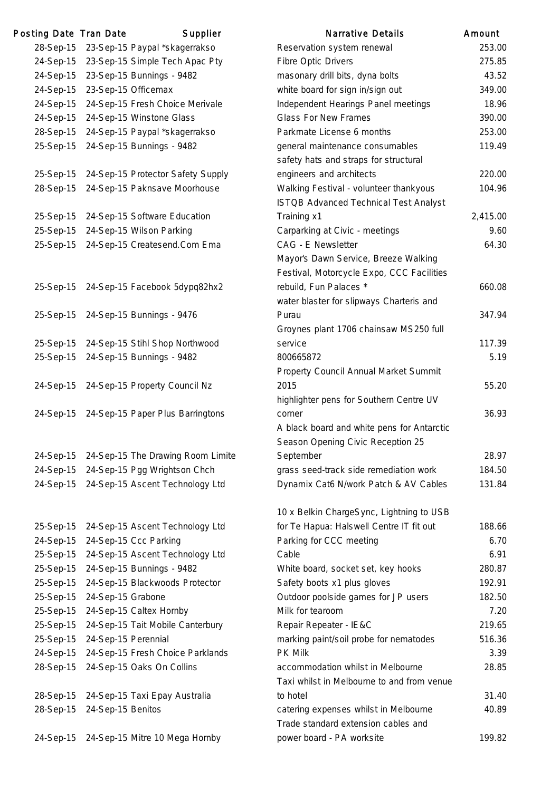| Posting Date Tran Date |                     | Supplier                          | <b>Narrative Details</b>                                                        | Amount |
|------------------------|---------------------|-----------------------------------|---------------------------------------------------------------------------------|--------|
| 28-Sep-15              |                     | 23-Sep-15 Paypal *skagerrakso     | Reservation system renewal                                                      | 253.   |
| 24-Sep-15              |                     | 23-Sep-15 Simple Tech Apac Pty    | <b>Fibre Optic Drivers</b>                                                      | 275.   |
| 24-Sep-15              |                     | 23-Sep-15 Bunnings - 9482         | masonary drill bits, dyna bolts                                                 | 43.    |
| 24-Sep-15              |                     | 23-Sep-15 Officemax               | white board for sign in/sign out                                                | 349.   |
| 24-Sep-15              |                     | 24-Sep-15 Fresh Choice Merivale   | Independent Hearings Panel meetings                                             | 18.    |
| 24-Sep-15              |                     | 24-Sep-15 Winstone Glass          | <b>Glass For New Frames</b>                                                     | 390.   |
| 28-Sep-15              |                     | 24-Sep-15 Paypal *skagerrakso     | Parkmate License 6 months                                                       | 253.   |
| 25-Sep-15              |                     | 24-Sep-15 Bunnings - 9482         | general maintenance consumables<br>safety hats and straps for structural        | 119.4  |
| 25-Sep-15              |                     | 24-Sep-15 Protector Safety Supply | engineers and architects                                                        | 220.   |
| 28-Sep-15              |                     | 24-Sep-15 Paknsave Moorhouse      | Walking Festival - volunteer thankyous<br>ISTQB Advanced Technical Test Analyst | 104.   |
| 25-Sep-15              |                     | 24-Sep-15 Software Education      | Training x1                                                                     | 2,415. |
| 25-Sep-15              |                     | 24-Sep-15 Wilson Parking          | Carparking at Civic - meetings                                                  | 9.0    |
| 25-Sep-15              |                     | 24-Sep-15 Createsend.Com Ema      | CAG - E Newsletter                                                              | 64.    |
|                        |                     |                                   | Mayor's Dawn Service, Breeze Walking                                            |        |
|                        |                     |                                   | Festival, Motorcycle Expo, CCC Facilities                                       |        |
| 25-Sep-15              |                     | 24-Sep-15 Facebook 5dypq82hx2     | rebuild, Fun Palaces *                                                          | 660.   |
|                        |                     |                                   | water blaster for slipways Charteris and                                        |        |
| 25-Sep-15              |                     | 24-Sep-15 Bunnings - 9476         | Purau                                                                           | 347.   |
|                        |                     |                                   | Groynes plant 1706 chainsaw MS250 full                                          |        |
| 25-Sep-15              |                     | 24-Sep-15 Stihl Shop Northwood    | service                                                                         | 117.   |
| 25-Sep-15              |                     | 24-Sep-15 Bunnings - 9482         | 800665872                                                                       | 5.     |
|                        |                     |                                   | Property Council Annual Market Summit                                           |        |
| 24-Sep-15              |                     | 24-Sep-15 Property Council Nz     | 2015                                                                            | 55.    |
|                        |                     |                                   | highlighter pens for Southern Centre UV                                         |        |
| 24-Sep-15              |                     | 24-Sep-15 Paper Plus Barringtons  | corner                                                                          | 36.    |
|                        |                     |                                   | A black board and white pens for Antarctic                                      |        |
|                        |                     |                                   | Season Opening Civic Reception 25                                               |        |
| 24-Sep-15              |                     | 24-Sep-15 The Drawing Room Limite | September                                                                       | 28.    |
| 24-Sep-15              |                     | 24-Sep-15 Pgg Wrightson Chch      | grass seed-track side remediation work                                          | 184.   |
| 24-Sep-15              |                     | 24-Sep-15 Ascent Technology Ltd   | Dynamix Cat6 N/work Patch & AV Cables                                           | 131.   |
|                        |                     |                                   | 10 x Belkin ChargeSync, Lightning to USB                                        |        |
| 25-Sep-15              |                     | 24-Sep-15 Ascent Technology Ltd   | for Te Hapua: Halswell Centre IT fit out                                        | 188.   |
| 24-Sep-15              |                     | 24-Sep-15 Ccc Parking             | Parking for CCC meeting                                                         | 6.     |
| 25-Sep-15              |                     | 24-Sep-15 Ascent Technology Ltd   | Cable                                                                           | 6.     |
| 25-Sep-15              |                     | 24-Sep-15 Bunnings - 9482         | White board, socket set, key hooks                                              | 280.   |
| 25-Sep-15              |                     | 24-Sep-15 Blackwoods Protector    | Safety boots x1 plus gloves                                                     | 192.   |
| 25-Sep-15              | 24-Sep-15 Grabone   |                                   | Outdoor poolside games for JP users                                             | 182.   |
| 25-Sep-15              |                     | 24-Sep-15 Caltex Hornby           | Milk for tearoom                                                                | 7.3    |
| 25-Sep-15              |                     | 24-Sep-15 Tait Mobile Canterbury  | Repair Repeater - IE&C                                                          | 219.   |
| 25-Sep-15              | 24-Sep-15 Perennial |                                   | marking paint/soil probe for nematodes                                          | 516.   |
| 24-Sep-15              |                     | 24-Sep-15 Fresh Choice Parklands  | PK Milk                                                                         | 3.5    |
| 28-Sep-15              |                     | 24-Sep-15 Oaks On Collins         | accommodation whilst in Melbourne<br>Taxi whilst in Melbourne to and from venue | 28.    |
| 28-Sep-15              |                     | 24-Sep-15 Taxi Epay Australia     | to hotel                                                                        | 31.    |
| 28-Sep-15              | 24-Sep-15 Benitos   |                                   | catering expenses whilst in Melbourne<br>Trade standard extension cables and    | 40.    |
| 24-Sep-15              |                     | 24-Sep-15 Mitre 10 Mega Hornby    | power board - PA worksite                                                       | 199.   |
|                        |                     |                                   |                                                                                 |        |

|           | ing Date Tran Date  | Supplier                          | <b>Narrative Details</b>                   | Amount   |
|-----------|---------------------|-----------------------------------|--------------------------------------------|----------|
| 28-Sep-15 |                     | 23-Sep-15 Paypal *skagerrakso     | Reservation system renewal                 | 253.00   |
| 24-Sep-15 |                     | 23-Sep-15 Simple Tech Apac Pty    | <b>Fibre Optic Drivers</b>                 | 275.85   |
| 24-Sep-15 |                     | 23-Sep-15 Bunnings - 9482         | masonary drill bits, dyna bolts            | 43.52    |
| 24-Sep-15 |                     | 23-Sep-15 Officemax               | white board for sign in/sign out           | 349.00   |
| 24-Sep-15 |                     | 24-Sep-15 Fresh Choice Merivale   | Independent Hearings Panel meetings        | 18.96    |
| 24-Sep-15 |                     | 24-Sep-15 Winstone Glass          | <b>Glass For New Frames</b>                | 390.00   |
| 28-Sep-15 |                     | 24-Sep-15 Paypal *skagerrakso     | Parkmate License 6 months                  | 253.00   |
| 25-Sep-15 |                     | 24-Sep-15 Bunnings - 9482         | general maintenance consumables            | 119.49   |
|           |                     |                                   | safety hats and straps for structural      |          |
| 25-Sep-15 |                     | 24-Sep-15 Protector Safety Supply | engineers and architects                   | 220.00   |
| 28-Sep-15 |                     | 24-Sep-15 Paknsave Moorhouse      | Walking Festival - volunteer thankyous     | 104.96   |
|           |                     |                                   | ISTQB Advanced Technical Test Analyst      |          |
| 25-Sep-15 |                     | 24-Sep-15 Software Education      | Training x1                                | 2,415.00 |
| 25-Sep-15 |                     | 24-Sep-15 Wilson Parking          | Carparking at Civic - meetings             | 9.60     |
| 25-Sep-15 |                     | 24-Sep-15 Createsend.Com Ema      | <b>CAG - E Newsletter</b>                  | 64.30    |
|           |                     |                                   | Mayor's Dawn Service, Breeze Walking       |          |
|           |                     |                                   | Festival, Motorcycle Expo, CCC Facilities  |          |
| 25-Sep-15 |                     | 24-Sep-15 Facebook 5dypq82hx2     | rebuild, Fun Palaces *                     | 660.08   |
|           |                     |                                   | water blaster for slipways Charteris and   |          |
| 25-Sep-15 |                     | 24-Sep-15 Bunnings - 9476         | Purau                                      | 347.94   |
|           |                     |                                   | Groynes plant 1706 chainsaw MS250 full     |          |
| 25-Sep-15 |                     | 24-Sep-15 Stihl Shop Northwood    | service                                    | 117.39   |
| 25-Sep-15 |                     | 24-Sep-15 Bunnings - 9482         | 800665872                                  | 5.19     |
|           |                     |                                   | Property Council Annual Market Summit      |          |
| 24-Sep-15 |                     | 24-Sep-15 Property Council Nz     | 2015                                       | 55.20    |
|           |                     |                                   | highlighter pens for Southern Centre UV    |          |
| 24-Sep-15 |                     | 24-Sep-15 Paper Plus Barringtons  | corner                                     | 36.93    |
|           |                     |                                   | A black board and white pens for Antarctic |          |
|           |                     |                                   | Season Opening Civic Reception 25          |          |
| 24-Sep-15 |                     | 24-Sep-15 The Drawing Room Limite | September                                  | 28.97    |
| 24-Sep-15 |                     | 24-Sep-15 Pgg Wrightson Chch      | grass seed-track side remediation work     | 184.50   |
| 24-Sep-15 |                     | 24-Sep-15 Ascent Technology Ltd   | Dynamix Cat6 N/work Patch & AV Cables      | 131.84   |
|           |                     |                                   |                                            |          |
|           |                     |                                   | 10 x Belkin ChargeSync, Lightning to USB   |          |
| 25-Sep-15 |                     | 24-Sep-15 Ascent Technology Ltd   | for Te Hapua: Halswell Centre IT fit out   | 188.66   |
| 24-Sep-15 |                     | 24-Sep-15 Ccc Parking             | Parking for CCC meeting                    | 6.70     |
| 25-Sep-15 |                     | 24-Sep-15 Ascent Technology Ltd   | Cable                                      | 6.91     |
| 25-Sep-15 |                     | 24-Sep-15 Bunnings - 9482         | White board, socket set, key hooks         | 280.87   |
| 25-Sep-15 |                     | 24-Sep-15 Blackwoods Protector    | Safety boots x1 plus gloves                | 192.91   |
| 25-Sep-15 | 24-Sep-15 Grabone   |                                   | Outdoor poolside games for JP users        | 182.50   |
| 25-Sep-15 |                     | 24-Sep-15 Caltex Hornby           | Milk for tearoom                           | 7.20     |
| 25-Sep-15 |                     | 24-Sep-15 Tait Mobile Canterbury  | Repair Repeater - IE&C                     | 219.65   |
| 25-Sep-15 | 24-Sep-15 Perennial |                                   | marking paint/soil probe for nematodes     | 516.36   |
| 24-Sep-15 |                     | 24-Sep-15 Fresh Choice Parklands  | PK Milk                                    | 3.39     |
| 28-Sep-15 |                     | 24-Sep-15 Oaks On Collins         | accommodation whilst in Melbourne          | 28.85    |
|           |                     |                                   | Taxi whilst in Melbourne to and from venue |          |
| 28-Sep-15 |                     | 24-Sep-15 Taxi Epay Australia     | to hotel                                   | 31.40    |
| 28-Sep-15 | 24-Sep-15 Benitos   |                                   | catering expenses whilst in Melbourne      | 40.89    |
|           |                     |                                   | Trade standard extension cables and        |          |
| 24-Sep-15 |                     | 24-Sep-15 Mitre 10 Mega Hornby    | power board - PA worksite                  | 199.82   |
|           |                     |                                   |                                            |          |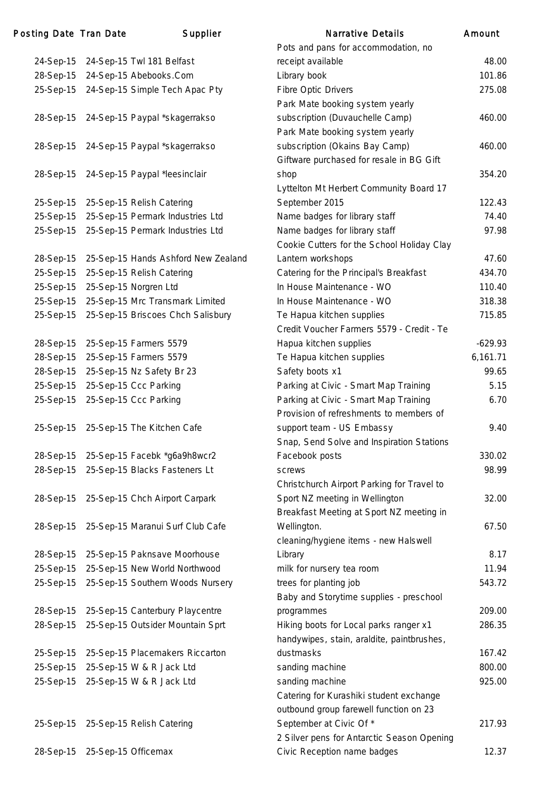| Posting Date Tran Date | Supplier                            | <b>Narrative Details</b>                   | Amount    |
|------------------------|-------------------------------------|--------------------------------------------|-----------|
|                        |                                     | Pots and pans for accommodation, no        |           |
| 24-Sep-15              | 24-Sep-15 Twl 181 Belfast           | receipt available                          | 48.00     |
| 28-Sep-15              | 24-Sep-15 Abebooks.Com              | Library book                               | 101.86    |
| 25-Sep-15              | 24-Sep-15 Simple Tech Apac Pty      | <b>Fibre Optic Drivers</b>                 | 275.08    |
|                        |                                     | Park Mate booking system yearly            |           |
| 28-Sep-15              | 24-Sep-15 Paypal *skagerrakso       | subscription (Duvauchelle Camp)            | 460.00    |
|                        |                                     | Park Mate booking system yearly            |           |
| 28-Sep-15              | 24-Sep-15 Paypal *skagerrakso       | subscription (Okains Bay Camp)             | 460.00    |
|                        |                                     | Giftware purchased for resale in BG Gift   |           |
| 28-Sep-15              | 24-Sep-15 Paypal *leesinclair       | shop                                       | 354.20    |
|                        |                                     | Lyttelton Mt Herbert Community Board 17    |           |
| 25-Sep-15              | 25-Sep-15 Relish Catering           | September 2015                             | 122.43    |
| 25-Sep-15              | 25-Sep-15 Permark Industries Ltd    | Name badges for library staff              | 74.40     |
| 25-Sep-15              | 25-Sep-15 Permark Industries Ltd    | Name badges for library staff              | 97.98     |
|                        |                                     | Cookie Cutters for the School Holiday Clay |           |
| 28-Sep-15              | 25-Sep-15 Hands Ashford New Zealand | Lantern workshops                          | 47.60     |
| 25-Sep-15              | 25-Sep-15 Relish Catering           | Catering for the Principal's Breakfast     | 434.70    |
| 25-Sep-15              | 25-Sep-15 Norgren Ltd               | In House Maintenance - WO                  | 110.40    |
| 25-Sep-15              | 25-Sep-15 Mrc Transmark Limited     | In House Maintenance - WO                  | 318.38    |
| 25-Sep-15              | 25-Sep-15 Briscoes Chch Salisbury   | Te Hapua kitchen supplies                  | 715.85    |
|                        |                                     | Credit Voucher Farmers 5579 - Credit - Te  |           |
| 28-Sep-15              | 25-Sep-15 Farmers 5579              | Hapua kitchen supplies                     | $-629.93$ |
| 28-Sep-15              | 25-Sep-15 Farmers 5579              | Te Hapua kitchen supplies                  | 6,161.71  |
| 28-Sep-15              | 25-Sep-15 Nz Safety Br 23           | Safety boots x1                            | 99.65     |
| 25-Sep-15              | 25-Sep-15 Ccc Parking               | Parking at Civic - Smart Map Training      | 5.15      |
| 25-Sep-15              | 25-Sep-15 Ccc Parking               | Parking at Civic - Smart Map Training      | 6.70      |
|                        |                                     | Provision of refreshments to members of    |           |
| 25-Sep-15              | 25-Sep-15 The Kitchen Cafe          | support team - US Embassy                  | 9.40      |
|                        |                                     | Snap, Send Solve and Inspiration Stations  |           |
| 28-Sep-15              | 25-Sep-15 Facebk *g6a9h8wcr2        | Facebook posts                             | 330.02    |
| 28-Sep-15              | 25-Sep-15 Blacks Fasteners Lt       | screws                                     | 98.99     |
|                        |                                     | Christchurch Airport Parking for Travel to |           |
| 28-Sep-15              | 25-Sep-15 Chch Airport Carpark      | Sport NZ meeting in Wellington             | 32.00     |
|                        |                                     | Breakfast Meeting at Sport NZ meeting in   |           |
| 28-Sep-15              | 25-Sep-15 Maranui Surf Club Cafe    | Wellington.                                | 67.50     |
|                        |                                     | cleaning/hygiene items - new Halswell      |           |
| 28-Sep-15              | 25-Sep-15 Paknsave Moorhouse        | Library                                    | 8.17      |
| 25-Sep-15              | 25-Sep-15 New World Northwood       | milk for nursery tea room                  | 11.94     |
| 25-Sep-15              | 25-Sep-15 Southern Woods Nursery    | trees for planting job                     | 543.72    |
|                        |                                     | Baby and Storytime supplies - preschool    |           |
| 28-Sep-15              | 25-Sep-15 Canterbury Playcentre     | programmes                                 | 209.00    |
| 28-Sep-15              | 25-Sep-15 Outsider Mountain Sprt    | Hiking boots for Local parks ranger x1     | 286.35    |
|                        |                                     | handywipes, stain, araldite, paintbrushes, |           |
| 25-Sep-15              | 25-Sep-15 Placemakers Riccarton     | dustmasks                                  | 167.42    |
| 25-Sep-15              | 25-Sep-15 W & R Jack Ltd            | sanding machine                            | 800.00    |
| 25-Sep-15              | 25-Sep-15 W & R Jack Ltd            | sanding machine                            | 925.00    |
|                        |                                     | Catering for Kurashiki student exchange    |           |
|                        |                                     | outbound group farewell function on 23     |           |
| 25-Sep-15              | 25-Sep-15 Relish Catering           | September at Civic Of *                    | 217.93    |
|                        |                                     | 2 Silver pens for Antarctic Season Opening |           |
| 28-Sep-15              | 25-Sep-15 Officemax                 | Civic Reception name badges                | 12.37     |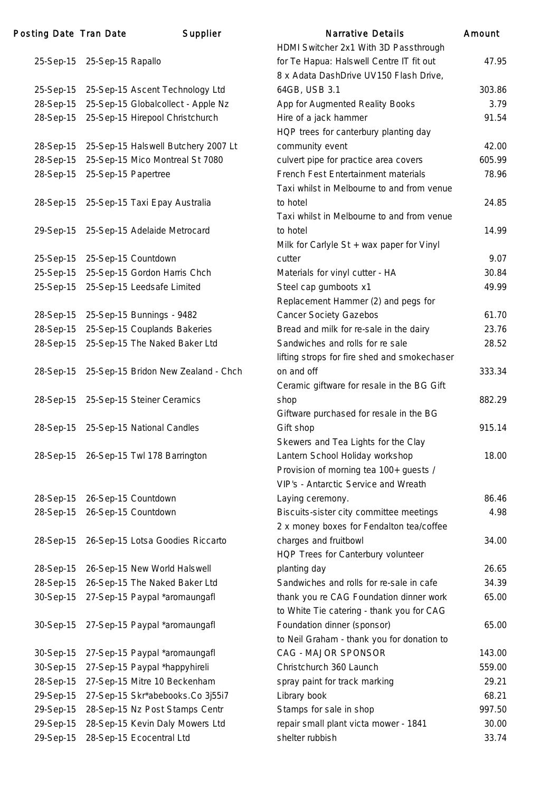| <b>Posting Date Tran Date</b> |                     | Supplier                               | <b>Narrative Details</b>                     | Amount |
|-------------------------------|---------------------|----------------------------------------|----------------------------------------------|--------|
|                               |                     |                                        | HDMI Switcher 2x1 With 3D Passthrough        |        |
| 25-Sep-15                     | 25-Sep-15 Rapallo   |                                        | for Te Hapua: Halswell Centre IT fit out     | 47.95  |
|                               |                     |                                        | 8 x Adata DashDrive UV150 Flash Drive,       |        |
| 25-Sep-15                     |                     | 25-Sep-15 Ascent Technology Ltd        | 64GB, USB 3.1                                | 303.86 |
| 28-Sep-15                     |                     | 25-Sep-15 Globalcollect - Apple Nz     | App for Augmented Reality Books              | 3.79   |
| 28-Sep-15                     |                     | 25-Sep-15 Hirepool Christchurch        | Hire of a jack hammer                        | 91.54  |
|                               |                     |                                        | HQP trees for canterbury planting day        |        |
| 28-Sep-15                     |                     | 25-Sep-15 Halswell Butchery 2007 Lt    | community event                              | 42.00  |
| 28-Sep-15                     |                     | 25-Sep-15 Mico Montreal St 7080        | culvert pipe for practice area covers        | 605.99 |
| 28-Sep-15                     | 25-Sep-15 Papertree |                                        | French Fest Entertainment materials          | 78.96  |
|                               |                     |                                        | Taxi whilst in Melbourne to and from venue   |        |
| 28-Sep-15                     |                     | 25-Sep-15 Taxi Epay Australia          | to hotel                                     | 24.85  |
|                               |                     |                                        | Taxi whilst in Melbourne to and from venue   |        |
| 29-Sep-15                     |                     | 25-Sep-15 Adelaide Metrocard           | to hotel                                     | 14.99  |
|                               |                     |                                        | Milk for Carlyle St + wax paper for Vinyl    |        |
| 25-Sep-15                     |                     | 25-Sep-15 Countdown                    | cutter                                       | 9.07   |
| 25-Sep-15                     |                     | 25-Sep-15 Gordon Harris Chch           | Materials for vinyl cutter - HA              | 30.84  |
| 25-Sep-15                     |                     | 25-Sep-15 Leedsafe Limited             | Steel cap gumboots x1                        | 49.99  |
|                               |                     |                                        | Replacement Hammer (2) and pegs for          |        |
| 28-Sep-15                     |                     | 25-Sep-15 Bunnings - 9482              | <b>Cancer Society Gazebos</b>                | 61.70  |
| 28-Sep-15                     |                     | 25-Sep-15 Couplands Bakeries           | Bread and milk for re-sale in the dairy      | 23.76  |
| 28-Sep-15                     |                     | 25-Sep-15 The Naked Baker Ltd          | Sandwiches and rolls for re sale             | 28.52  |
|                               |                     |                                        | lifting strops for fire shed and smokechaser |        |
| 28-Sep-15                     |                     | 25-Sep-15 Bridon New Zealand - Chch    | on and off                                   | 333.34 |
|                               |                     |                                        | Ceramic giftware for resale in the BG Gift   |        |
| 28-Sep-15                     |                     | 25-Sep-15 Steiner Ceramics             | shop                                         | 882.29 |
|                               |                     |                                        | Giftware purchased for resale in the BG      |        |
| 28-Sep-15                     |                     | 25-Sep-15 National Candles             | Gift shop                                    | 915.14 |
|                               |                     |                                        | Skewers and Tea Lights for the Clay          |        |
|                               |                     | 28-Sep-15 26-Sep-15 Twl 178 Barrington | Lantern School Holiday workshop              | 18.00  |
|                               |                     |                                        | Provision of morning tea 100+ guests /       |        |
|                               |                     |                                        | VIP's - Antarctic Service and Wreath         |        |
| 28-Sep-15                     |                     | 26-Sep-15 Countdown                    | Laying ceremony.                             | 86.46  |
| 28-Sep-15                     |                     | 26-Sep-15 Countdown                    | Biscuits-sister city committee meetings      | 4.98   |
|                               |                     |                                        | 2 x money boxes for Fendalton tea/coffee     |        |
| 28-Sep-15                     |                     | 26-Sep-15 Lotsa Goodies Riccarto       | charges and fruitbowl                        | 34.00  |
|                               |                     |                                        | HQP Trees for Canterbury volunteer           |        |
| 28-Sep-15                     |                     | 26-Sep-15 New World Halswell           | planting day                                 | 26.65  |
| 28-Sep-15                     |                     | 26-Sep-15 The Naked Baker Ltd          | Sandwiches and rolls for re-sale in cafe     | 34.39  |
| 30-Sep-15                     |                     | 27-Sep-15 Paypal *aromaungafl          | thank you re CAG Foundation dinner work      | 65.00  |
|                               |                     |                                        | to White Tie catering - thank you for CAG    |        |
| 30-Sep-15                     |                     | 27-Sep-15 Paypal *aromaungafl          | Foundation dinner (sponsor)                  | 65.00  |
|                               |                     |                                        | to Neil Graham - thank you for donation to   |        |
| 30-Sep-15                     |                     | 27-Sep-15 Paypal *aromaungafl          | CAG - MAJOR SPONSOR                          | 143.00 |
| 30-Sep-15                     |                     | 27-Sep-15 Paypal *happyhireli          | Christchurch 360 Launch                      | 559.00 |
| 28-Sep-15                     |                     | 27-Sep-15 Mitre 10 Beckenham           | spray paint for track marking                | 29.21  |
| 29-Sep-15                     |                     | 27-Sep-15 Skr*abebooks.Co 3j55i7       | Library book                                 | 68.21  |
| 29-Sep-15                     |                     | 28-Sep-15 Nz Post Stamps Centr         | Stamps for sale in shop                      | 997.50 |
| 29-Sep-15                     |                     | 28-Sep-15 Kevin Daly Mowers Ltd        | repair small plant victa mower - 1841        | 30.00  |
| 29-Sep-15                     |                     | 28-Sep-15 Ecocentral Ltd               | shelter rubbish                              | 33.74  |
|                               |                     |                                        |                                              |        |

| <b>Narrative Details</b>                     | Amount |
|----------------------------------------------|--------|
| HDMI Switcher 2x1 With 3D Passthrough        |        |
| for Te Hapua: Halswell Centre IT fit out     | 47.95  |
| 8 x Adata DashDrive UV150 Flash Drive,       |        |
| 64GB, USB 3.1                                | 303.86 |
| App for Augmented Reality Books              | 3.79   |
| Hire of a jack hammer                        | 91.54  |
| HQP trees for canterbury planting day        |        |
| community event                              | 42.00  |
| culvert pipe for practice area covers        | 605.99 |
| French Fest Entertainment materials          | 78.96  |
| Taxi whilst in Melbourne to and from venue   |        |
| to hotel                                     | 24.85  |
| Taxi whilst in Melbourne to and from venue   |        |
| to hotel                                     | 14.99  |
| Milk for Carlyle St + wax paper for Vinyl    |        |
| cutter                                       | 9.07   |
| Materials for vinyl cutter - HA              | 30.84  |
| Steel cap gumboots x1                        | 49.99  |
| Replacement Hammer (2) and pegs for          |        |
| <b>Cancer Society Gazebos</b>                | 61.70  |
| Bread and milk for re-sale in the dairy      | 23.76  |
| Sandwiches and rolls for re sale             | 28.52  |
| lifting strops for fire shed and smokechaser |        |
| on and off                                   | 333.34 |
| Ceramic giftware for resale in the BG Gift   |        |
| shop                                         | 882.29 |
| Giftware purchased for resale in the BG      |        |
| Gift shop                                    | 915.14 |
| Skewers and Tea Lights for the Clay          |        |
| Lantern School Holiday workshop              | 18.00  |
| Provision of morning tea 100+ guests /       |        |
| VIP's - Antarctic Service and Wreath         |        |
| Laying ceremony.                             | 86.46  |
| Biscuits-sister city committee meetings      | 4.98   |
| 2 x money boxes for Fendalton tea/coffee     |        |
| charges and fruitbowl                        | 34.00  |
| HQP Trees for Canterbury volunteer           |        |
| planting day                                 | 26.65  |
| Sandwiches and rolls for re-sale in cafe     | 34.39  |
| thank you re CAG Foundation dinner work      | 65.00  |
| to White Tie catering - thank you for CAG    |        |
| Foundation dinner (sponsor)                  | 65.00  |
| to Neil Graham - thank you for donation to   |        |
| CAG - MAJOR SPONSOR                          | 143.00 |
| Christchurch 360 Launch                      | 559.00 |
| spray paint for track marking                | 29.21  |
| Library book                                 | 68.21  |
| Stamps for sale in shop                      | 997.50 |
| repair small plant victa mower - 1841        | 30.00  |
| shelter rubbish                              | 33.74  |
|                                              |        |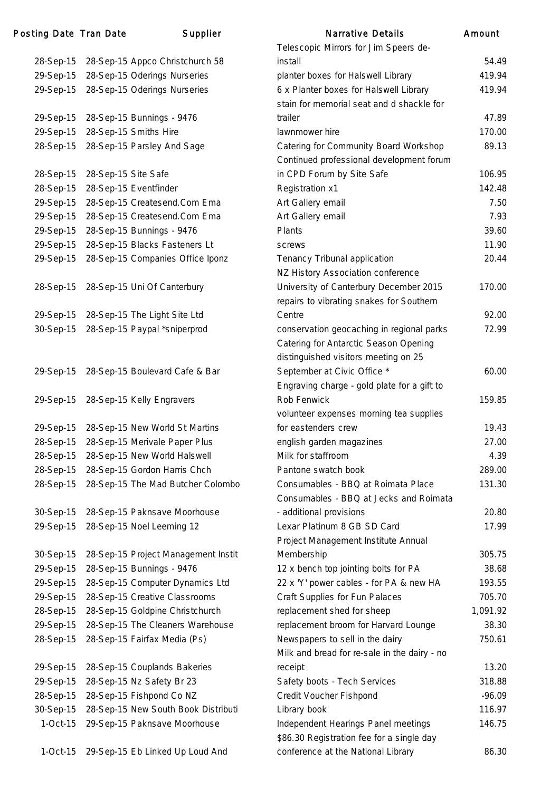| 28-Sep-15  | 28-Sep-15 Appco Christchurch 58     |
|------------|-------------------------------------|
| 29-Sep-15  | 28-Sep-15 Oderings Nurseries        |
| 29-Sep-15  | 28-Sep-15 Oderings Nurseries        |
|            |                                     |
| 29-Sep-15  | 28-Sep-15 Bunnings - 9476           |
| 29-Sep-15  | 28-Sep-15 Smiths Hire               |
| 28-Sep-15  | 28-Sep-15 Parsley And Sage          |
|            |                                     |
| 28-Sep-15  | 28-Sep-15 Site Safe                 |
| 28-Sep-15  | 28-Sep-15 Eventfinder               |
| 29-Sep-15  | 28-Sep-15 Createsend.Com Ema        |
| 29-Sep-15  | 28-Sep-15 Createsend.Com Ema        |
| 29-Sep-15  | 28-Sep-15 Bunnings - 9476           |
| 29-Sep-15  | 28-Sep-15 Blacks Fasteners Lt       |
| 29-Sep-15  | 28-Sep-15 Companies Office Iponz    |
|            |                                     |
| 28-Sep-15  | 28-Sep-15 Uni Of Canterbury         |
|            |                                     |
| 29-Sep-15  | 28-Sep-15 The Light Site Ltd        |
| 30-Sep-15  | 28-Sep-15 Paypal *sniperprod        |
|            |                                     |
|            |                                     |
| 29-Sep-15  | 28-Sep-15 Boulevard Cafe & Bar      |
|            |                                     |
| 29-Sep-15  | 28-Sep-15 Kelly Engravers           |
| 29-Sep-15  | 28-Sep-15 New World St Martins      |
| 28-Sep-15  | 28-Sep-15 Merivale Paper Plus       |
| 28-Sep-15  | 28-Sep-15 New World Halswell        |
| 28-Sep-15  | 28-Sep-15 Gordon Harris Chch        |
| 28-Sep-15  | 28-Sep-15 The Mad Butcher Colombo   |
|            |                                     |
| 30-Sep-15  | 28-Sep-15 Paknsave Moorhouse        |
| 29-Sep-15  | 28-Sep-15 Noel Leeming 12           |
|            |                                     |
| 30-Sep-15  | 28-Sep-15 Project Management Instit |
| 29-Sep-15  | 28-Sep-15 Bunnings - 9476           |
| 29-Sep-15  | 28-Sep-15 Computer Dynamics Ltd     |
| 29-Sep-15  | 28-Sep-15 Creative Classrooms       |
| 28-Sep-15  | 28-Sep-15 Goldpine Christchurch     |
| 29-Sep-15  | 28-Sep-15 The Cleaners Warehouse    |
| 28-Sep-15  | 28-Sep-15 Fairfax Media (Ps)        |
|            |                                     |
| 29-Sep-15  | 28-Sep-15 Couplands Bakeries        |
| 29-Sep-15  | 28-Sep-15 Nz Safety Br 23           |
| 28-Sep-15  | 28-Sep-15 Fishpond Co NZ            |
| 30-Sep-15  | 28-Sep-15 New South Book Distributi |
| $1-Oct-15$ | 29-Sep-15 Paknsave Moorhouse        |
|            |                                     |

| Posting Date Tran Date |                     | Supplier                               | <b>Narrative Details</b>                     | Amount   |
|------------------------|---------------------|----------------------------------------|----------------------------------------------|----------|
|                        |                     |                                        | Telescopic Mirrors for Jim Speers de-        |          |
| 28-Sep-15              |                     | 28-Sep-15 Appco Christchurch 58        | install                                      | 54.49    |
| 29-Sep-15              |                     | 28-Sep-15 Oderings Nurseries           | planter boxes for Halswell Library           | 419.94   |
| 29-Sep-15              |                     | 28-Sep-15 Oderings Nurseries           | 6 x Planter boxes for Halswell Library       | 419.94   |
|                        |                     |                                        | stain for memorial seat and d shackle for    |          |
| 29-Sep-15              |                     | 28-Sep-15 Bunnings - 9476              | trailer                                      | 47.89    |
| 29-Sep-15              |                     | 28-Sep-15 Smiths Hire                  | lawnmower hire                               | 170.00   |
| 28-Sep-15              |                     | 28-Sep-15 Parsley And Sage             | Catering for Community Board Workshop        | 89.13    |
|                        |                     |                                        | Continued professional development forum     |          |
| 28-Sep-15              | 28-Sep-15 Site Safe |                                        | in CPD Forum by Site Safe                    | 106.95   |
| 28-Sep-15              |                     | 28-Sep-15 Eventfinder                  | Registration x1                              | 142.48   |
| 29-Sep-15              |                     | 28-Sep-15 Createsend.Com Ema           | Art Gallery email                            | 7.50     |
| 29-Sep-15              |                     | 28-Sep-15 Createsend.Com Ema           | Art Gallery email                            | 7.93     |
| 29-Sep-15              |                     | 28-Sep-15 Bunnings - 9476              | Plants                                       | 39.60    |
| 29-Sep-15              |                     | 28-Sep-15 Blacks Fasteners Lt          | screws                                       | 11.90    |
| 29-Sep-15              |                     | 28-Sep-15 Companies Office Iponz       | Tenancy Tribunal application                 | 20.44    |
|                        |                     |                                        | NZ History Association conference            |          |
| 28-Sep-15              |                     | 28-Sep-15 Uni Of Canterbury            | University of Canterbury December 2015       | 170.00   |
|                        |                     |                                        | repairs to vibrating snakes for Southern     |          |
|                        |                     | 29-Sep-15 28-Sep-15 The Light Site Ltd | Centre                                       | 92.00    |
| 30-Sep-15              |                     | 28-Sep-15 Paypal *sniperprod           | conservation geocaching in regional parks    | 72.99    |
|                        |                     |                                        | Catering for Antarctic Season Opening        |          |
|                        |                     |                                        | distinguished visitors meeting on 25         |          |
| 29-Sep-15              |                     | 28-Sep-15 Boulevard Cafe & Bar         | September at Civic Office *                  | 60.00    |
|                        |                     |                                        | Engraving charge - gold plate for a gift to  |          |
| 29-Sep-15              |                     | 28-Sep-15 Kelly Engravers              | Rob Fenwick                                  | 159.85   |
|                        |                     |                                        | volunteer expenses morning tea supplies      |          |
| 29-Sep-15              |                     | 28-Sep-15 New World St Martins         | for eastenders crew                          | 19.43    |
| 28-Sep-15              |                     | 28-Sep-15 Merivale Paper Plus          | english garden magazines                     | 27.00    |
|                        |                     | 28-Sep-15 28-Sep-15 New World Halswell | Milk for staffroom                           | 4.39     |
| 28-Sep-15              |                     | 28-Sep-15 Gordon Harris Chch           | Pantone swatch book                          | 289.00   |
| 28-Sep-15              |                     | 28-Sep-15 The Mad Butcher Colombo      | Consumables - BBQ at Roimata Place           | 131.30   |
|                        |                     |                                        | Consumables - BBQ at Jecks and Roimata       |          |
| 30-Sep-15              |                     | 28-Sep-15 Paknsave Moorhouse           | - additional provisions                      | 20.80    |
| 29-Sep-15              |                     | 28-Sep-15 Noel Leeming 12              | Lexar Platinum 8 GB SD Card                  | 17.99    |
|                        |                     |                                        | Project Management Institute Annual          |          |
| 30-Sep-15              |                     | 28-Sep-15 Project Management Instit    | Membership                                   | 305.75   |
| 29-Sep-15              |                     | 28-Sep-15 Bunnings - 9476              | 12 x bench top jointing bolts for PA         | 38.68    |
| 29-Sep-15              |                     | 28-Sep-15 Computer Dynamics Ltd        | 22 x 'Y' power cables - for PA & new HA      | 193.55   |
| 29-Sep-15              |                     | 28-Sep-15 Creative Classrooms          | Craft Supplies for Fun Palaces               | 705.70   |
| 28-Sep-15              |                     | 28-Sep-15 Goldpine Christchurch        | replacement shed for sheep                   | 1,091.92 |
| 29-Sep-15              |                     | 28-Sep-15 The Cleaners Warehouse       | replacement broom for Harvard Lounge         | 38.30    |
| 28-Sep-15              |                     | 28-Sep-15 Fairfax Media (Ps)           | Newspapers to sell in the dairy              | 750.61   |
|                        |                     |                                        | Milk and bread for re-sale in the dairy - no |          |
| 29-Sep-15              |                     | 28-Sep-15 Couplands Bakeries           | receipt                                      | 13.20    |
| 29-Sep-15              |                     | 28-Sep-15 Nz Safety Br 23              | Safety boots - Tech Services                 | 318.88   |
| 28-Sep-15              |                     | 28-Sep-15 Fishpond Co NZ               | Credit Voucher Fishpond                      | $-96.09$ |
| 30-Sep-15              |                     | 28-Sep-15 New South Book Distributi    | Library book                                 | 116.97   |
| $1-Oct-15$             |                     | 29-Sep-15 Paknsave Moorhouse           | Independent Hearings Panel meetings          | 146.75   |
|                        |                     |                                        | \$86.30 Registration fee for a single day    |          |
| $1-Oct-15$             |                     | 29-Sep-15 Eb Linked Up Loud And        | conference at the National Library           | 86.30    |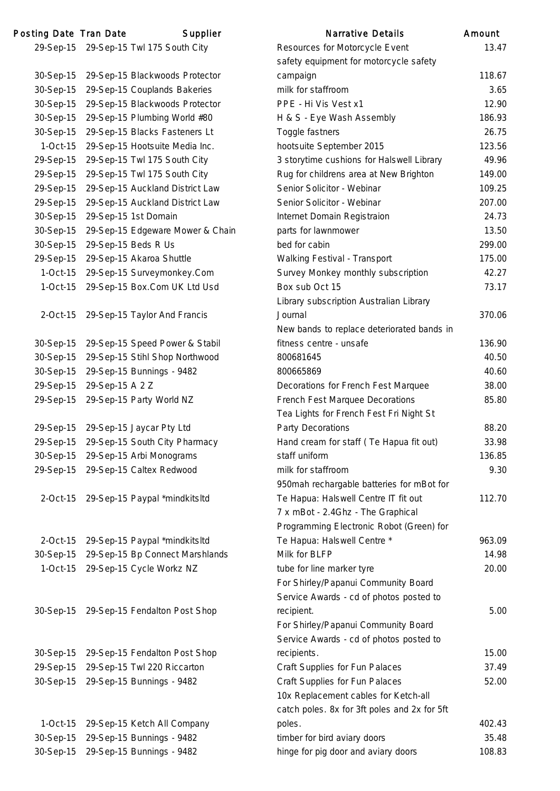| Posting Date Tran Date |                 | Supplier                               | <b>Narrative Details</b>                     | Amount |
|------------------------|-----------------|----------------------------------------|----------------------------------------------|--------|
|                        |                 | 29-Sep-15 29-Sep-15 Twl 175 South City | Resources for Motorcycle Event               | 13.47  |
|                        |                 |                                        | safety equipment for motorcycle safety       |        |
| 30-Sep-15              |                 | 29-Sep-15 Blackwoods Protector         | campaign                                     | 118.67 |
| 30-Sep-15              |                 | 29-Sep-15 Couplands Bakeries           | milk for staffroom                           | 3.65   |
| 30-Sep-15              |                 | 29-Sep-15 Blackwoods Protector         | PPE - Hi Vis Vest x1                         | 12.90  |
| 30-Sep-15              |                 | 29-Sep-15 Plumbing World #80           | H & S - Eye Wash Assembly                    | 186.93 |
| 30-Sep-15              |                 | 29-Sep-15 Blacks Fasteners Lt          | Toggle fastners                              | 26.75  |
| $1-Oct-15$             |                 | 29-Sep-15 Hootsuite Media Inc.         | hootsuite September 2015                     | 123.56 |
| 29-Sep-15              |                 | 29-Sep-15 Twl 175 South City           | 3 storytime cushions for Halswell Library    | 49.96  |
| 29-Sep-15              |                 | 29-Sep-15 Twl 175 South City           | Rug for childrens area at New Brighton       | 149.00 |
| 29-Sep-15              |                 | 29-Sep-15 Auckland District Law        | Senior Solicitor - Webinar                   | 109.25 |
| 29-Sep-15              |                 | 29-Sep-15 Auckland District Law        | Senior Solicitor - Webinar                   | 207.00 |
| 30-Sep-15              |                 | 29-Sep-15 1st Domain                   | Internet Domain Registraion                  | 24.73  |
| 30-Sep-15              |                 | 29-Sep-15 Edgeware Mower & Chain       | parts for lawnmower                          | 13.50  |
| 30-Sep-15              |                 | 29-Sep-15 Beds R Us                    | bed for cabin                                | 299.00 |
| 29-Sep-15              |                 | 29-Sep-15 Akaroa Shuttle               | Walking Festival - Transport                 | 175.00 |
| $1-Oct-15$             |                 | 29-Sep-15 Surveymonkey.Com             | Survey Monkey monthly subscription           | 42.27  |
| $1-Oct-15$             |                 | 29-Sep-15 Box.Com UK Ltd Usd           | Box sub Oct 15                               | 73.17  |
|                        |                 |                                        | Library subscription Australian Library      |        |
| $2$ -Oct-15            |                 | 29-Sep-15 Taylor And Francis           | Journal                                      | 370.06 |
|                        |                 |                                        | New bands to replace deteriorated bands in   |        |
| 30-Sep-15              |                 | 29-Sep-15 Speed Power & Stabil         | fitness centre - unsafe                      | 136.90 |
| 30-Sep-15              |                 | 29-Sep-15 Stihl Shop Northwood         | 800681645                                    | 40.50  |
| 30-Sep-15              |                 | 29-Sep-15 Bunnings - 9482              | 800665869                                    | 40.60  |
| 29-Sep-15              | 29-Sep-15 A 2 Z |                                        | Decorations for French Fest Marquee          | 38.00  |
| 29-Sep-15              |                 | 29-Sep-15 Party World NZ               | French Fest Marquee Decorations              | 85.80  |
|                        |                 |                                        | Tea Lights for French Fest Fri Night St      |        |
| 29-Sep-15              |                 | 29-Sep-15 Jaycar Pty Ltd               | Party Decorations                            | 88.20  |
| 29-Sep-15              |                 | 29-Sep-15 South City Pharmacy          | Hand cream for staff (Te Hapua fit out)      | 33.98  |
| 30-Sep-15              |                 | 29-Sep-15 Arbi Monograms               | staff uniform                                | 136.85 |
| 29-Sep-15              |                 | 29-Sep-15 Caltex Redwood               | milk for staffroom                           | 9.30   |
|                        |                 |                                        | 950mah rechargable batteries for mBot for    |        |
| $2$ -Oct-15            |                 | 29-Sep-15 Paypal *mindkitsltd          | Te Hapua: Halswell Centre IT fit out         | 112.70 |
|                        |                 |                                        | 7 x mBot - 2.4Ghz - The Graphical            |        |
|                        |                 |                                        | Programming Electronic Robot (Green) for     |        |
| $2$ -Oct-15            |                 | 29-Sep-15 Paypal *mindkitsltd          | Te Hapua: Halswell Centre *                  | 963.09 |
| 30-Sep-15              |                 | 29-Sep-15 Bp Connect Marshlands        | Milk for BLFP                                | 14.98  |
| $1-Oct-15$             |                 | 29-Sep-15 Cycle Workz NZ               | tube for line marker tyre                    | 20.00  |
|                        |                 |                                        | For Shirley/Papanui Community Board          |        |
|                        |                 |                                        | Service Awards - cd of photos posted to      |        |
| 30-Sep-15              |                 | 29-Sep-15 Fendalton Post Shop          | recipient.                                   | 5.00   |
|                        |                 |                                        | For Shirley/Papanui Community Board          |        |
|                        |                 |                                        | Service Awards - cd of photos posted to      |        |
| 30-Sep-15              |                 | 29-Sep-15 Fendalton Post Shop          | recipients.                                  | 15.00  |
| 29-Sep-15              |                 | 29-Sep-15 Twl 220 Riccarton            | Craft Supplies for Fun Palaces               | 37.49  |
|                        |                 | 29-Sep-15 Bunnings - 9482              | Craft Supplies for Fun Palaces               | 52.00  |
| 30-Sep-15              |                 |                                        | 10x Replacement cables for Ketch-all         |        |
|                        |                 |                                        | catch poles. 8x for 3ft poles and 2x for 5ft |        |
| $1-Oct-15$             |                 | 29-Sep-15 Ketch All Company            | poles.                                       | 402.43 |
| 30-Sep-15              |                 | 29-Sep-15 Bunnings - 9482              | timber for bird aviary doors                 | 35.48  |
| 30-Sep-15              |                 | 29-Sep-15 Bunnings - 9482              | hinge for pig door and aviary doors          | 108.83 |
|                        |                 |                                        |                                              |        |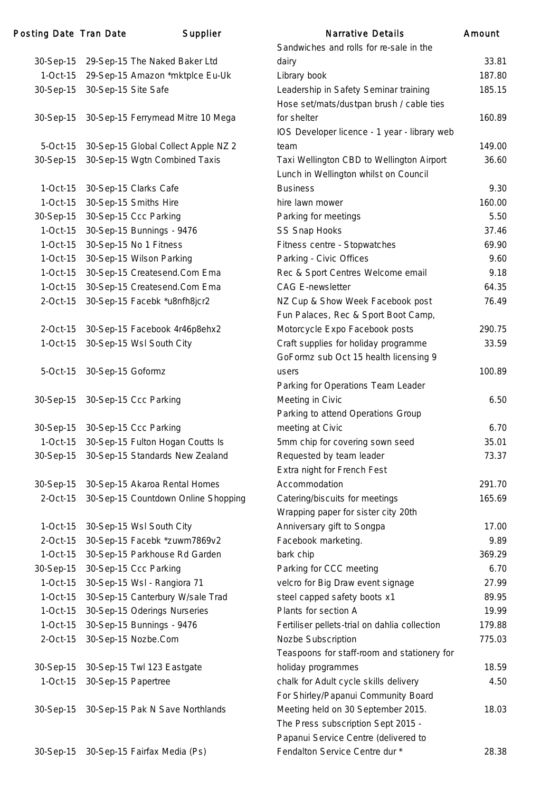# Posting Date Tran Date **Supplier** Supplier Narrative Details Amount

|             |                                     | Sandwiches and rolls for re-sale in the       |        |
|-------------|-------------------------------------|-----------------------------------------------|--------|
| 30-Sep-15   | 29-Sep-15 The Naked Baker Ltd       | dairy                                         | 33.81  |
| 1-Oct-15    | 29-Sep-15 Amazon *mktplce Eu-Uk     | Library book                                  | 187.80 |
| 30-Sep-15   | 30-Sep-15 Site Safe                 | Leadership in Safety Seminar training         | 185.15 |
|             |                                     | Hose set/mats/dustpan brush / cable ties      |        |
| 30-Sep-15   | 30-Sep-15 Ferrymead Mitre 10 Mega   | for shelter                                   | 160.89 |
|             |                                     | IOS Developer licence - 1 year - library web  |        |
| 5-Oct-15    | 30-Sep-15 Global Collect Apple NZ 2 | team                                          | 149.00 |
| 30-Sep-15   | 30-Sep-15 Wgtn Combined Taxis       | Taxi Wellington CBD to Wellington Airport     | 36.60  |
|             |                                     | Lunch in Wellington whilst on Council         |        |
| $1-Oct-15$  | 30-Sep-15 Clarks Cafe               | <b>Business</b>                               | 9.30   |
| $1-Oct-15$  | 30-Sep-15 Smiths Hire               | hire lawn mower                               | 160.00 |
| 30-Sep-15   | 30-Sep-15 Ccc Parking               | Parking for meetings                          | 5.50   |
| $1-Oct-15$  | 30-Sep-15 Bunnings - 9476           | SS Snap Hooks                                 | 37.46  |
| $1-Oct-15$  | 30-Sep-15 No 1 Fitness              | Fitness centre - Stopwatches                  | 69.90  |
| $1-Oct-15$  | 30-Sep-15 Wilson Parking            | Parking - Civic Offices                       | 9.60   |
| 1-Oct-15    | 30-Sep-15 Createsend.Com Ema        | Rec & Sport Centres Welcome email             | 9.18   |
| 1-Oct-15    | 30-Sep-15 Createsend.Com Ema        | <b>CAG E-newsletter</b>                       | 64.35  |
| 2-Oct-15    | 30-Sep-15 Facebk *u8nfh8jcr2        | NZ Cup & Show Week Facebook post              | 76.49  |
|             |                                     | Fun Palaces, Rec & Sport Boot Camp,           |        |
| $2$ -Oct-15 | 30-Sep-15 Facebook 4r46p8ehx2       | Motorcycle Expo Facebook posts                | 290.75 |
| $1-Oct-15$  | 30-Sep-15 Wsl South City            | Craft supplies for holiday programme          | 33.59  |
|             |                                     | GoFormz sub Oct 15 health licensing 9         |        |
| 5-Oct-15    | 30-Sep-15 Goformz                   | users                                         | 100.89 |
|             |                                     | Parking for Operations Team Leader            |        |
| 30-Sep-15   | 30-Sep-15 Ccc Parking               | Meeting in Civic                              | 6.50   |
|             |                                     | Parking to attend Operations Group            |        |
| 30-Sep-15   | 30-Sep-15 Ccc Parking               | meeting at Civic                              | 6.70   |
| $1-Oct-15$  | 30-Sep-15 Fulton Hogan Coutts Is    | 5mm chip for covering sown seed               | 35.01  |
| 30-Sep-15   | 30-Sep-15 Standards New Zealand     | Requested by team leader                      | 73.37  |
|             |                                     | Extra night for French Fest                   |        |
| 30-Sep-15   | 30-Sep-15 Akaroa Rental Homes       | Accommodation                                 | 291.70 |
| 2-Oct-15    | 30-Sep-15 Countdown Online Shopping | Catering/biscuits for meetings                | 165.69 |
|             |                                     | Wrapping paper for sister city 20th           |        |
| 1-Oct-15    | 30-Sep-15 Wsl South City            | Anniversary gift to Songpa                    | 17.00  |
| 2-Oct-15    | 30-Sep-15 Facebk *zuwm7869v2        | Facebook marketing.                           | 9.89   |
| $1-Oct-15$  | 30-Sep-15 Parkhouse Rd Garden       | bark chip                                     | 369.29 |
| 30-Sep-15   | 30-Sep-15 Ccc Parking               | Parking for CCC meeting                       | 6.70   |
| 1-Oct-15    | 30-Sep-15 Wsl - Rangiora 71         | velcro for Big Draw event signage             | 27.99  |
| $1-Oct-15$  | 30-Sep-15 Canterbury W/sale Trad    | steel capped safety boots x1                  | 89.95  |
| $1-Oct-15$  | 30-Sep-15 Oderings Nurseries        | Plants for section A                          | 19.99  |
| 1-Oct-15    | 30-Sep-15 Bunnings - 9476           | Fertiliser pellets-trial on dahlia collection | 179.88 |
| 2-Oct-15    | 30-Sep-15 Nozbe.Com                 | Nozbe Subscription                            | 775.03 |
|             |                                     | Teaspoons for staff-room and stationery for   |        |
| 30-Sep-15   | 30-Sep-15 Twl 123 Eastgate          | holiday programmes                            | 18.59  |
| $1-Oct-15$  | 30-Sep-15 Papertree                 | chalk for Adult cycle skills delivery         | 4.50   |
|             |                                     | For Shirley/Papanui Community Board           |        |
| 30-Sep-15   | 30-Sep-15 Pak N Save Northlands     | Meeting held on 30 September 2015.            | 18.03  |
|             |                                     | The Press subscription Sept 2015 -            |        |
|             |                                     | Pananui Service Centre (delivered to          |        |

| ivanative Details                             | www.   |
|-----------------------------------------------|--------|
| Sandwiches and rolls for re-sale in the       |        |
| dairy                                         | 33.81  |
| Library book                                  | 187.80 |
| Leadership in Safety Seminar training         | 185.15 |
| Hose set/mats/dustpan brush / cable ties      |        |
| for shelter                                   | 160.89 |
| IOS Developer licence - 1 year - library web  |        |
| team                                          | 149.00 |
| Taxi Wellington CBD to Wellington Airport     | 36.60  |
| Lunch in Wellington whilst on Council         |        |
| <b>Business</b>                               | 9.30   |
| hire lawn mower                               | 160.00 |
| Parking for meetings                          | 5.50   |
| <b>SS Snap Hooks</b>                          | 37.46  |
| Fitness centre - Stopwatches                  | 69.90  |
| Parking - Civic Offices                       | 9.60   |
| Rec & Sport Centres Welcome email             | 9.18   |
| <b>CAG E-newsletter</b>                       | 64.35  |
| NZ Cup & Show Week Facebook post              | 76.49  |
| Fun Palaces, Rec & Sport Boot Camp,           |        |
| Motorcycle Expo Facebook posts                | 290.75 |
| Craft supplies for holiday programme          | 33.59  |
| GoFormz sub Oct 15 health licensing 9         |        |
| users                                         | 100.89 |
| Parking for Operations Team Leader            |        |
| Meeting in Civic                              | 6.50   |
| Parking to attend Operations Group            |        |
| meeting at Civic                              | 6.70   |
| 5mm chip for covering sown seed               | 35.01  |
| Requested by team leader                      | 73.37  |
| Extra night for French Fest                   |        |
| Accommodation                                 | 291.70 |
| Catering/biscuits for meetings                | 165.69 |
| Wrapping paper for sister city 20th           |        |
| Anniversary gift to Songpa                    | 17.00  |
| Facebook marketing.                           | 9.89   |
| bark chip                                     | 369.29 |
| Parking for CCC meeting                       | 6.70   |
| velcro for Big Draw event signage             | 27.99  |
| steel capped safety boots x1                  | 89.95  |
| Plants for section A                          | 19.99  |
| Fertiliser pellets-trial on dahlia collection | 179.88 |
| Nozbe Subscription                            | 775.03 |
| Teaspoons for staff-room and stationery for   |        |
| holiday programmes                            | 18.59  |
| chalk for Adult cycle skills delivery         | 4.50   |
| For Shirley/Papanui Community Board           |        |
| Meeting held on 30 September 2015.            | 18.03  |
| The Press subscription Sept 2015 -            |        |
| Papanui Service Centre (delivered to          |        |
| Fendalton Service Centre dur *                | 28.38  |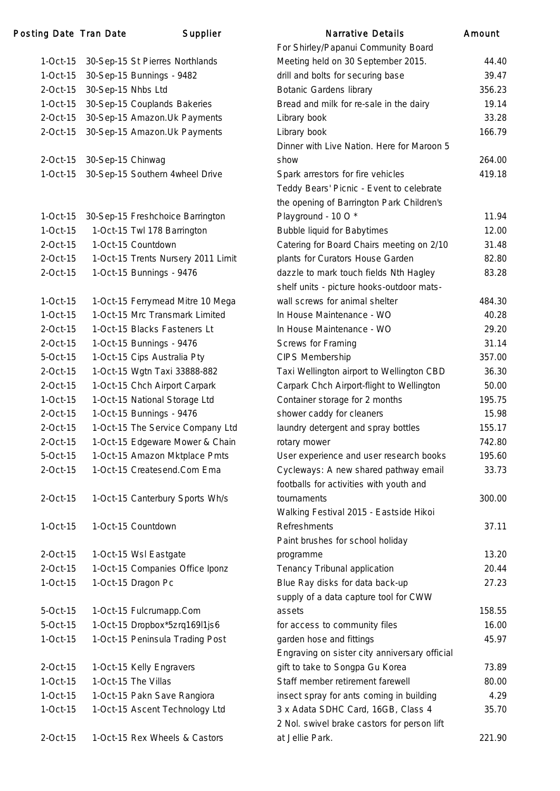# Posting Date Tran Date Supplier

| $1-Oct-15$  | 30-Sep-15 St Pierres Northlands    |
|-------------|------------------------------------|
| $1-Oct-15$  | 30-Sep-15 Bunnings - 9482          |
| 2-Oct-15    | 30-Sep-15 Nhbs Ltd                 |
| $1-Oct-15$  | 30-Sep-15 Couplands Bakeries       |
| 2-Oct-15    | 30-Sep-15 Amazon. Uk Payments      |
| 2-Oct-15    | 30-Sep-15 Amazon. Uk Payments      |
| 2-Oct-15    | 30-Sep-15 Chinwag                  |
| $1-Oct-15$  | 30-Sep-15 Southern 4wheel Drive    |
|             |                                    |
| 1-Oct-15    | 30-Sep-15 Freshchoice Barrington   |
| $1-Oct-15$  | 1-Oct-15 Twl 178 Barrington        |
| $2$ -Oct-15 | 1-Oct-15 Countdown                 |
| $2$ -Oct-15 | 1-Oct-15 Trents Nursery 2011 Limit |
| 2-Oct-15    | 1-Oct-15 Bunnings - 9476           |
| $1-Oct-15$  | 1-Oct-15 Ferrymead Mitre 10 Mega   |
| $1-Oct-15$  | 1-Oct-15 Mrc Transmark Limited     |
| 2-Oct-15    | 1-Oct-15 Blacks Fasteners Lt       |
| 2-Oct-15    | 1-Oct-15 Bunnings - 9476           |
| 5-Oct-15    | 1-Oct-15 Cips Australia Pty        |
| $2$ -Oct-15 | 1-Oct-15 Wgtn Taxi 33888-882       |
| 2-Oct-15    | 1-Oct-15 Chch Airport Carpark      |
| $1-Oct-15$  | 1-Oct-15 National Storage Ltd      |
| 2-Oct-15    | 1-Oct-15 Bunnings - 9476           |
| $2$ -Oct-15 | 1-Oct-15 The Service Company Ltd   |
| 2-Oct-15    | 1-Oct-15 Edgeware Mower & Chain    |
| 5-Oct-15    | 1-Oct-15 Amazon Mktplace Pmts      |
| 2-Oct-15    | 1-Oct-15 Createsend.Com Ema        |
| $2$ -Oct-15 | 1-Oct-15 Canterbury Sports Wh/s    |
| $1-Oct-15$  | 1-Oct-15 Countdown                 |
| $2$ -Oct-15 | 1-Oct-15 Wsl Eastgate              |
| 2-Oct-15    | 1-Oct-15 Companies Office Iponz    |
| $1-Oct-15$  | 1-Oct-15 Dragon Pc                 |
| 5-Oct-15    | 1-Oct-15 Fulcrumapp.Com            |
| 5-Oct-15    | 1-Oct-15 Dropbox*5zrq169l1js6      |
| $1-Oct-15$  | 1-Oct-15 Peninsula Trading Post    |
| $2$ -Oct-15 | 1-Oct-15 Kelly Engravers           |
| $1-Oct-15$  | 1-Oct-15 The Villas                |
| 1-Oct-15    | 1-Oct-15 Pakn Save Rangiora        |
| $1-Oct-15$  | 1-Oct-15 Ascent Technology Ltd     |
| 2-Oct-15    | 1-Oct-15 Rex Wheels & Castors      |
|             |                                    |

|            | ng Date Tran Date  | Supplier                           | <b>Narrative Details</b>                      | Amount |
|------------|--------------------|------------------------------------|-----------------------------------------------|--------|
|            |                    |                                    | For Shirley/Papanui Community Board           |        |
| 1-Oct-15   |                    | 30-Sep-15 St Pierres Northlands    | Meeting held on 30 September 2015.            | 44.40  |
| 1-Oct-15   |                    | 30-Sep-15 Bunnings - 9482          | drill and bolts for securing base             | 39.47  |
| 2-Oct-15   | 30-Sep-15 Nhbs Ltd |                                    | <b>Botanic Gardens library</b>                | 356.23 |
| $1-Oct-15$ |                    | 30-Sep-15 Couplands Bakeries       | Bread and milk for re-sale in the dairy       | 19.14  |
| 2-Oct-15   |                    | 30-Sep-15 Amazon.Uk Payments       | Library book                                  | 33.28  |
| 2-Oct-15   |                    | 30-Sep-15 Amazon.Uk Payments       | Library book                                  | 166.79 |
|            |                    |                                    | Dinner with Live Nation. Here for Maroon 5    |        |
| 2-Oct-15   | 30-Sep-15 Chinwag  |                                    | show                                          | 264.00 |
| $1-Oct-15$ |                    | 30-Sep-15 Southern 4wheel Drive    | Spark arrestors for fire vehicles             | 419.18 |
|            |                    |                                    | Teddy Bears' Picnic - Event to celebrate      |        |
|            |                    |                                    | the opening of Barrington Park Children's     |        |
| 1-Oct-15   |                    | 30-Sep-15 Freshchoice Barrington   | Playground - 10 O*                            | 11.94  |
| 1-Oct-15   |                    | 1-Oct-15 Twl 178 Barrington        | <b>Bubble liquid for Babytimes</b>            | 12.00  |
| 2-Oct-15   |                    | 1-Oct-15 Countdown                 | Catering for Board Chairs meeting on 2/10     | 31.48  |
| 2-Oct-15   |                    | 1-Oct-15 Trents Nursery 2011 Limit | plants for Curators House Garden              | 82.80  |
| 2-Oct-15   |                    | 1-Oct-15 Bunnings - 9476           | dazzle to mark touch fields Nth Hagley        | 83.28  |
|            |                    |                                    | shelf units - picture hooks-outdoor mats-     |        |
| 1-Oct-15   |                    | 1-Oct-15 Ferrymead Mitre 10 Mega   | wall screws for animal shelter                | 484.30 |
| 1-Oct-15   |                    | 1-Oct-15 Mrc Transmark Limited     | In House Maintenance - WO                     | 40.28  |
| 2-Oct-15   |                    | 1-Oct-15 Blacks Fasteners Lt       | In House Maintenance - WO                     | 29.20  |
| 2-Oct-15   |                    | 1-Oct-15 Bunnings - 9476           | Screws for Framing                            | 31.14  |
| 5-Oct-15   |                    | 1-Oct-15 Cips Australia Pty        | CIPS Membership                               | 357.00 |
| 2-Oct-15   |                    | 1-Oct-15 Wgtn Taxi 33888-882       | Taxi Wellington airport to Wellington CBD     | 36.30  |
| 2-Oct-15   |                    | 1-Oct-15 Chch Airport Carpark      | Carpark Chch Airport-flight to Wellington     | 50.00  |
| $1-Oct-15$ |                    | 1-Oct-15 National Storage Ltd      | Container storage for 2 months                | 195.75 |
| 2-Oct-15   |                    | 1-Oct-15 Bunnings - 9476           | shower caddy for cleaners                     | 15.98  |
| 2-Oct-15   |                    | 1-Oct-15 The Service Company Ltd   | laundry detergent and spray bottles           | 155.17 |
| 2-Oct-15   |                    | 1-Oct-15 Edgeware Mower & Chain    | rotary mower                                  | 742.80 |
| 5-Oct-15   |                    | 1-Oct-15 Amazon Mktplace Pmts      | User experience and user research books       | 195.60 |
| 2-Oct-15   |                    | 1-Oct-15 Createsend.Com Ema        | Cycleways: A new shared pathway email         | 33.73  |
|            |                    |                                    | footballs for activities with youth and       |        |
| 2-Oct-15   |                    | 1-Oct-15 Canterbury Sports Wh/s    | tournaments                                   | 300.00 |
|            |                    |                                    | Walking Festival 2015 - Eastside Hikoi        |        |
| 1-Oct-15   |                    | 1-Oct-15 Countdown                 | Refreshments                                  | 37.11  |
|            |                    |                                    | Paint brushes for school holiday              |        |
| 2-Oct-15   |                    | 1-Oct-15 Wsl Eastgate              | programme                                     | 13.20  |
| 2-Oct-15   |                    | 1-Oct-15 Companies Office Iponz    | Tenancy Tribunal application                  | 20.44  |
| 1-Oct-15   |                    | 1-Oct-15 Dragon Pc                 | Blue Ray disks for data back-up               | 27.23  |
|            |                    |                                    | supply of a data capture tool for CWW         |        |
| 5-Oct-15   |                    | 1-Oct-15 Fulcrumapp.Com            | assets                                        | 158.55 |
| 5-Oct-15   |                    | 1-Oct-15 Dropbox*5zrq169l1js6      | for access to community files                 | 16.00  |
| 1-Oct-15   |                    | 1-Oct-15 Peninsula Trading Post    | garden hose and fittings                      | 45.97  |
|            |                    |                                    | Engraving on sister city anniversary official |        |
| 2-Oct-15   |                    | 1-Oct-15 Kelly Engravers           | gift to take to Songpa Gu Korea               | 73.89  |
| 1-Oct-15   |                    | 1-Oct-15 The Villas                | Staff member retirement farewell              | 80.00  |
| $1-Oct-15$ |                    | 1-Oct-15 Pakn Save Rangiora        | insect spray for ants coming in building      | 4.29   |
| $1-Oct-15$ |                    | 1-Oct-15 Ascent Technology Ltd     | 3 x Adata SDHC Card, 16GB, Class 4            | 35.70  |
|            |                    |                                    | 2 Nol. swivel brake castors for person lift   |        |
| 2-Oct-15   |                    | 1-Oct-15 Rex Wheels & Castors      | at Jellie Park.                               | 221.90 |
|            |                    |                                    |                                               |        |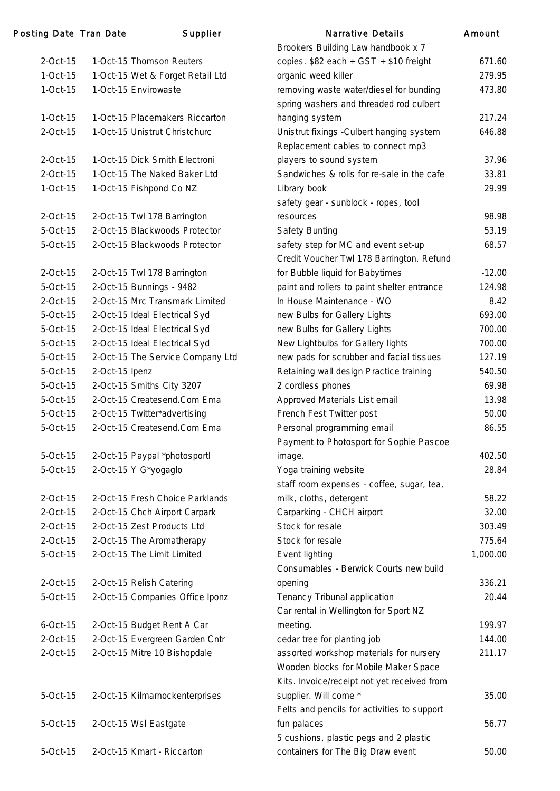| Posting Date Tran Date |                | Supplier                         | Narrative Details                           | Amount   |
|------------------------|----------------|----------------------------------|---------------------------------------------|----------|
|                        |                |                                  | Brookers Building Law handbook x 7          |          |
| $2$ -Oct-15            |                | 1-Oct-15 Thomson Reuters         | copies. \$82 each + GST + \$10 freight      | 671.60   |
| $1-Oct-15$             |                | 1-Oct-15 Wet & Forget Retail Ltd | organic weed killer                         | 279.95   |
| $1-Oct-15$             |                | 1-Oct-15 Envirowaste             | removing waste water/diesel for bunding     | 473.80   |
|                        |                |                                  | spring washers and threaded rod culbert     |          |
| $1-Oct-15$             |                | 1-Oct-15 Placemakers Riccarton   | hanging system                              | 217.24   |
| $2$ -Oct-15            |                | 1-Oct-15 Unistrut Christchurc    | Unistrut fixings - Culbert hanging system   | 646.88   |
|                        |                |                                  | Replacement cables to connect mp3           |          |
| $2$ -Oct-15            |                | 1-Oct-15 Dick Smith Electroni    | players to sound system                     | 37.96    |
| $2$ -Oct-15            |                | 1-Oct-15 The Naked Baker Ltd     | Sandwiches & rolls for re-sale in the cafe  | 33.81    |
| $1-Oct-15$             |                | 1-Oct-15 Fishpond Co NZ          | Library book                                | 29.99    |
|                        |                |                                  | safety gear - sunblock - ropes, tool        |          |
| $2$ -Oct-15            |                | 2-Oct-15 Twl 178 Barrington      | resources                                   | 98.98    |
| 5-Oct-15               |                | 2-Oct-15 Blackwoods Protector    | <b>Safety Bunting</b>                       | 53.19    |
| 5-Oct-15               |                | 2-Oct-15 Blackwoods Protector    | safety step for MC and event set-up         | 68.57    |
|                        |                |                                  | Credit Voucher Twl 178 Barrington. Refund   |          |
| $2$ -Oct-15            |                | 2-Oct-15 Twl 178 Barrington      | for Bubble liquid for Babytimes             | $-12.00$ |
| 5-Oct-15               |                | 2-Oct-15 Bunnings - 9482         | paint and rollers to paint shelter entrance | 124.98   |
| $2$ -Oct-15            |                | 2-Oct-15 Mrc Transmark Limited   | In House Maintenance - WO                   | 8.42     |
| 5-Oct-15               |                | 2-Oct-15 Ideal Electrical Syd    | new Bulbs for Gallery Lights                | 693.00   |
| 5-Oct-15               |                | 2-Oct-15 Ideal Electrical Syd    | new Bulbs for Gallery Lights                | 700.00   |
| 5-Oct-15               |                | 2-Oct-15 Ideal Electrical Syd    | New Lightbulbs for Gallery lights           | 700.00   |
| 5-Oct-15               |                | 2-Oct-15 The Service Company Ltd | new pads for scrubber and facial tissues    | 127.19   |
| 5-Oct-15               | 2-Oct-15 Ipenz |                                  | Retaining wall design Practice training     | 540.50   |
| 5-Oct-15               |                | 2-Oct-15 Smiths City 3207        | 2 cordless phones                           | 69.98    |
| 5-Oct-15               |                | 2-Oct-15 Createsend.Com Ema      | Approved Materials List email               | 13.98    |
| 5-Oct-15               |                | 2-Oct-15 Twitter*advertising     | French Fest Twitter post                    | 50.00    |
| 5-Oct-15               |                | 2-Oct-15 Createsend.Com Ema      | Personal programming email                  | 86.55    |
|                        |                |                                  | Payment to Photosport for Sophie Pascoe     |          |
| 5-Oct-15               |                | 2-Oct-15 Paypal *photosportl     | image.                                      | 402.50   |
| 5-Oct-15               |                | 2-Oct-15 Y G*yogaglo             | Yoga training website                       | 28.84    |
|                        |                |                                  | staff room expenses - coffee, sugar, tea,   |          |
| $2$ -Oct-15            |                | 2-Oct-15 Fresh Choice Parklands  | milk, cloths, detergent                     | 58.22    |
| $2$ -Oct-15            |                | 2-Oct-15 Chch Airport Carpark    | Carparking - CHCH airport                   | 32.00    |
| $2$ -Oct-15            |                | 2-Oct-15 Zest Products Ltd       | Stock for resale                            | 303.49   |
| $2$ -Oct-15            |                | 2-Oct-15 The Aromatherapy        | Stock for resale                            | 775.64   |
| 5-Oct-15               |                | 2-Oct-15 The Limit Limited       | Event lighting                              | 1,000.00 |
|                        |                |                                  | Consumables - Berwick Courts new build      |          |
| $2$ -Oct-15            |                | 2-Oct-15 Relish Catering         | opening                                     | 336.21   |
| $5$ -Oct-15            |                | 2-Oct-15 Companies Office Iponz  | Tenancy Tribunal application                | 20.44    |
|                        |                |                                  | Car rental in Wellington for Sport NZ       |          |
| $6$ -Oct-15            |                | 2-Oct-15 Budget Rent A Car       | meeting.                                    | 199.97   |
| $2$ -Oct-15            |                | 2-Oct-15 Evergreen Garden Cntr   | cedar tree for planting job                 | 144.00   |
| $2$ -Oct-15            |                | 2-Oct-15 Mitre 10 Bishopdale     | assorted workshop materials for nursery     | 211.17   |
|                        |                |                                  | Wooden blocks for Mobile Maker Space        |          |
|                        |                |                                  | Kits. Invoice/receipt not yet received from |          |
| 5-Oct-15               |                | 2-Oct-15 Kilmarnockenterprises   | supplier. Will come *                       | 35.00    |
|                        |                |                                  | Felts and pencils for activities to support |          |
| 5-Oct-15               |                | 2-Oct-15 Wsl Eastgate            | fun palaces                                 | 56.77    |
|                        |                |                                  | 5 cushions, plastic pegs and 2 plastic      |          |
| 5-Oct-15               |                | 2-Oct-15 Kmart - Riccarton       | containers for The Big Draw event           | 50.00    |
|                        |                |                                  |                                             |          |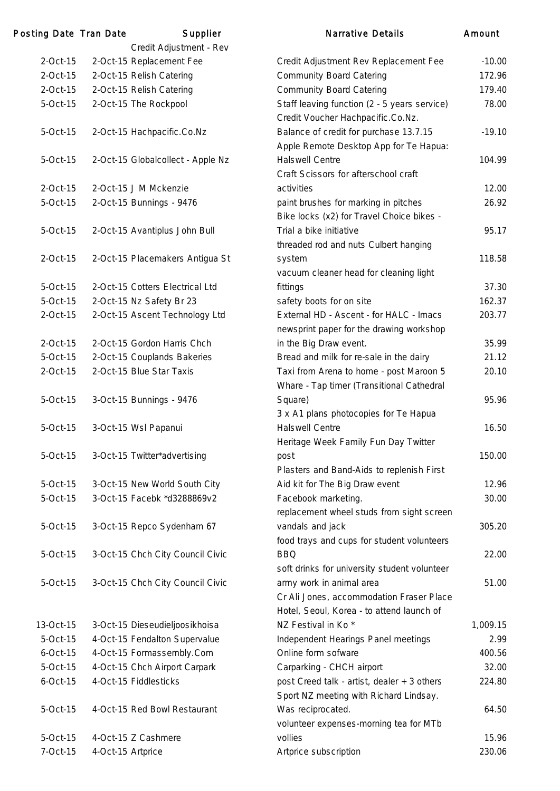| Posting Date Tran Date |                   | Supplier                                             | <b>Narrative Details</b>                                                                                          | Amount   |
|------------------------|-------------------|------------------------------------------------------|-------------------------------------------------------------------------------------------------------------------|----------|
| $2$ -Oct-15            |                   | Credit Adjustment - Rev                              |                                                                                                                   | $-10.00$ |
| 2-Oct-15               |                   | 2-Oct-15 Replacement Fee                             | Credit Adjustment Rev Replacement Fee                                                                             | 172.96   |
| $2$ -Oct-15            |                   | 2-Oct-15 Relish Catering<br>2-Oct-15 Relish Catering | <b>Community Board Catering</b><br><b>Community Board Catering</b>                                                | 179.40   |
| 5-Oct-15               |                   | 2-Oct-15 The Rockpool                                | Staff leaving function (2 - 5 years service)                                                                      | 78.00    |
|                        |                   |                                                      | Credit Voucher Hachpacific.Co.Nz.                                                                                 |          |
| 5-Oct-15               |                   | 2-Oct-15 Hachpacific.Co.Nz                           | Balance of credit for purchase 13.7.15<br>Apple Remote Desktop App for Te Hapua:                                  | $-19.10$ |
| 5-Oct-15               |                   | 2-Oct-15 Globalcollect - Apple Nz                    | <b>Halswell Centre</b><br>Craft Scissors for afterschool craft                                                    | 104.99   |
| 2-Oct-15               |                   | 2-Oct-15 J M Mckenzie                                | activities                                                                                                        | 12.00    |
| 5-Oct-15               |                   | 2-Oct-15 Bunnings - 9476                             | paint brushes for marking in pitches<br>Bike locks (x2) for Travel Choice bikes -                                 | 26.92    |
| 5-Oct-15               |                   | 2-Oct-15 Avantiplus John Bull                        | Trial a bike initiative<br>threaded rod and nuts Culbert hanging                                                  | 95.17    |
| $2$ -Oct-15            |                   | 2-Oct-15 Placemakers Antigua St                      | system<br>vacuum cleaner head for cleaning light                                                                  | 118.58   |
| 5-Oct-15               |                   | 2-Oct-15 Cotters Electrical Ltd                      | fittings                                                                                                          | 37.30    |
| 5-Oct-15               |                   | 2-Oct-15 Nz Safety Br 23                             | safety boots for on site                                                                                          | 162.37   |
| $2$ -Oct-15            |                   | 2-Oct-15 Ascent Technology Ltd                       | External HD - Ascent - for HALC - Imacs<br>newsprint paper for the drawing workshop                               | 203.77   |
| $2$ -Oct-15            |                   | 2-Oct-15 Gordon Harris Chch                          | in the Big Draw event.                                                                                            | 35.99    |
| 5-Oct-15               |                   | 2-Oct-15 Couplands Bakeries                          | Bread and milk for re-sale in the dairy                                                                           | 21.12    |
| $2$ -Oct-15            |                   | 2-Oct-15 Blue Star Taxis                             | Taxi from Arena to home - post Maroon 5<br>Whare - Tap timer (Transitional Cathedral                              | 20.10    |
| 5-Oct-15               |                   | 3-Oct-15 Bunnings - 9476                             | Square)<br>3 x A1 plans photocopies for Te Hapua                                                                  | 95.96    |
| 5-Oct-15               |                   | 3-Oct-15 Wsl Papanui                                 | <b>Halswell Centre</b><br>Heritage Week Family Fun Day Twitter                                                    | 16.50    |
| 5-Oct-15               |                   | 3-Oct-15 Twitter*advertising                         | post<br>Plasters and Band-Aids to replenish First                                                                 | 150.00   |
| 5-Oct-15               |                   | 3-Oct-15 New World South City                        | Aid kit for The Big Draw event                                                                                    | 12.96    |
| 5-Oct-15               |                   | 3-Oct-15 Facebk *d3288869v2                          | Facebook marketing.<br>replacement wheel studs from sight screen                                                  | 30.00    |
| 5-Oct-15               |                   | 3-Oct-15 Repco Sydenham 67                           | vandals and jack<br>food trays and cups for student volunteers                                                    | 305.20   |
| 5-Oct-15               |                   | 3-Oct-15 Chch City Council Civic                     | <b>BBQ</b><br>soft drinks for university student volunteer                                                        | 22.00    |
| 5-Oct-15               |                   | 3-Oct-15 Chch City Council Civic                     | army work in animal area<br>Cr Ali Jones, accommodation Fraser Place<br>Hotel, Seoul, Korea - to attend launch of | 51.00    |
| 13-Oct-15              |                   | 3-Oct-15 Dieseudieljoosikhoisa                       | NZ Festival in Ko <sup>*</sup>                                                                                    | 1,009.15 |
| 5-Oct-15               |                   | 4-Oct-15 Fendalton Supervalue                        | Independent Hearings Panel meetings                                                                               | 2.99     |
| $6$ -Oct-15            |                   | 4-Oct-15 Formassembly.Com                            | Online form sofware                                                                                               | 400.56   |
| 5-Oct-15               |                   | 4-Oct-15 Chch Airport Carpark                        | Carparking - CHCH airport                                                                                         | 32.00    |
| $6$ -Oct-15            |                   | 4-Oct-15 Fiddlesticks                                | post Creed talk - artist, dealer + 3 others<br>Sport NZ meeting with Richard Lindsay.                             | 224.80   |
| 5-Oct-15               |                   | 4-Oct-15 Red Bowl Restaurant                         | Was reciprocated.<br>volunteer expenses-morning tea for MTb                                                       | 64.50    |
| 5-Oct-15               |                   | 4-Oct-15 Z Cashmere                                  | vollies                                                                                                           | 15.96    |
| 7-Oct-15               | 4-Oct-15 Artprice |                                                      | Artprice subscription                                                                                             | 230.06   |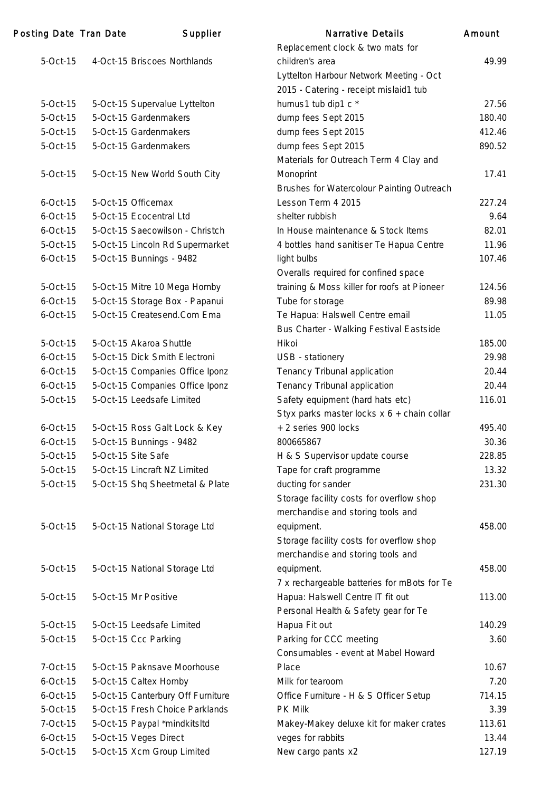| Posting Date Tran Date | Supplier                          | <b>Narrative Details</b>                    | Amount |
|------------------------|-----------------------------------|---------------------------------------------|--------|
|                        |                                   | Replacement clock & two mats for            |        |
| $5-Oct-15$             | 4-Oct-15 Briscoes Northlands      | children's area                             | 49.99  |
|                        |                                   | Lyttelton Harbour Network Meeting - Oct     |        |
|                        |                                   | 2015 - Catering - receipt mislaid1 tub      |        |
| 5-Oct-15               | 5-Oct-15 Supervalue Lyttelton     | humus1 tub dip1 c *                         | 27.56  |
| 5-Oct-15               | 5-Oct-15 Gardenmakers             | dump fees Sept 2015                         | 180.40 |
| 5-Oct-15               | 5-Oct-15 Gardenmakers             | dump fees Sept 2015                         | 412.46 |
| $5-Oct-15$             | 5-Oct-15 Gardenmakers             | dump fees Sept 2015                         | 890.52 |
|                        |                                   | Materials for Outreach Term 4 Clay and      |        |
| $5-Oct-15$             | 5-Oct-15 New World South City     | Monoprint                                   | 17.41  |
|                        |                                   | Brushes for Watercolour Painting Outreach   |        |
| $6$ -Oct-15            | 5-Oct-15 Officemax                | Lesson Term 4 2015                          | 227.24 |
| $6$ -Oct-15            | 5-Oct-15 Ecocentral Ltd           | shelter rubbish                             | 9.64   |
| $6$ -Oct-15            | 5-Oct-15 Saecowilson - Christch   | In House maintenance & Stock Items          | 82.01  |
| 5-Oct-15               | 5-Oct-15 Lincoln Rd Supermarket   | 4 bottles hand sanitiser Te Hapua Centre    | 11.96  |
| $6$ -Oct-15            | 5-Oct-15 Bunnings - 9482          | light bulbs                                 | 107.46 |
|                        |                                   | Overalls required for confined space        |        |
| 5-Oct-15               | 5-Oct-15 Mitre 10 Mega Hornby     | training & Moss killer for roofs at Pioneer | 124.56 |
| $6$ -Oct-15            | 5-Oct-15 Storage Box - Papanui    | Tube for storage                            | 89.98  |
| $6$ -Oct-15            | 5-Oct-15 Createsend.Com Ema       | Te Hapua: Halswell Centre email             | 11.05  |
|                        |                                   | Bus Charter - Walking Festival Eastside     |        |
| 5-Oct-15               | 5-Oct-15 Akaroa Shuttle           | Hikoi                                       | 185.00 |
| $6$ -Oct-15            | 5-Oct-15 Dick Smith Electroni     | USB - stationery                            | 29.98  |
| $6$ -Oct-15            | 5-Oct-15 Companies Office Iponz   | Tenancy Tribunal application                | 20.44  |
| $6$ -Oct-15            | 5-Oct-15 Companies Office Iponz   | Tenancy Tribunal application                | 20.44  |
| 5-Oct-15               | 5-Oct-15 Leedsafe Limited         | Safety equipment (hard hats etc)            | 116.01 |
|                        |                                   | Styx parks master locks x 6 + chain collar  |        |
| $6$ -Oct-15            | 5-Oct-15 Ross Galt Lock & Key     | + 2 series 900 locks                        | 495.40 |
| $6$ -Oct-15            | 5-Oct-15 Bunnings - 9482          | 800665867                                   | 30.36  |
| 5-Oct-15               | 5-Oct-15 Site Safe                | H & S Supervisor update course              | 228.85 |
| 5-Oct-15               | 5-Oct-15 Lincraft NZ Limited      | Tape for craft programme                    | 13.32  |
| $5-Oct-15$             | 5-Oct-15 Shq Sheetmetal & Plate   | ducting for sander                          | 231.30 |
|                        |                                   | Storage facility costs for overflow shop    |        |
|                        |                                   | merchandise and storing tools and           |        |
| 5-Oct-15               | 5-Oct-15 National Storage Ltd     | equipment.                                  | 458.00 |
|                        |                                   | Storage facility costs for overflow shop    |        |
|                        |                                   | merchandise and storing tools and           |        |
| 5-Oct-15               | 5-Oct-15 National Storage Ltd     | equipment.                                  | 458.00 |
|                        |                                   | 7 x rechargeable batteries for mBots for Te |        |
| $5-Oct-15$             | 5-Oct-15 Mr Positive              | Hapua: Halswell Centre IT fit out           | 113.00 |
|                        |                                   | Personal Health & Safety gear for Te        |        |
| 5-Oct-15               | 5-Oct-15 Leedsafe Limited         | Hapua Fit out                               | 140.29 |
| 5-Oct-15               | 5-Oct-15 Ccc Parking              | Parking for CCC meeting                     | 3.60   |
|                        |                                   | Consumables - event at Mabel Howard         |        |
| 7-Oct-15               | 5-Oct-15 Paknsave Moorhouse       | Place                                       | 10.67  |
| $6$ -Oct-15            | 5-Oct-15 Caltex Hornby            | Milk for tearoom                            | 7.20   |
| $6$ -Oct-15            | 5-Oct-15 Canterbury Off Furniture | Office Furniture - H & S Officer Setup      | 714.15 |
| 5-Oct-15               | 5-Oct-15 Fresh Choice Parklands   | PK Milk                                     | 3.39   |
| 7-Oct-15               | 5-Oct-15 Paypal *mindkitsltd      | Makey-Makey deluxe kit for maker crates     | 113.61 |
| $6$ -Oct-15            | 5-Oct-15 Veges Direct             | veges for rabbits                           | 13.44  |
| 5-Oct-15               | 5-Oct-15 Xcm Group Limited        | New cargo pants x2                          | 127.19 |
|                        |                                   |                                             |        |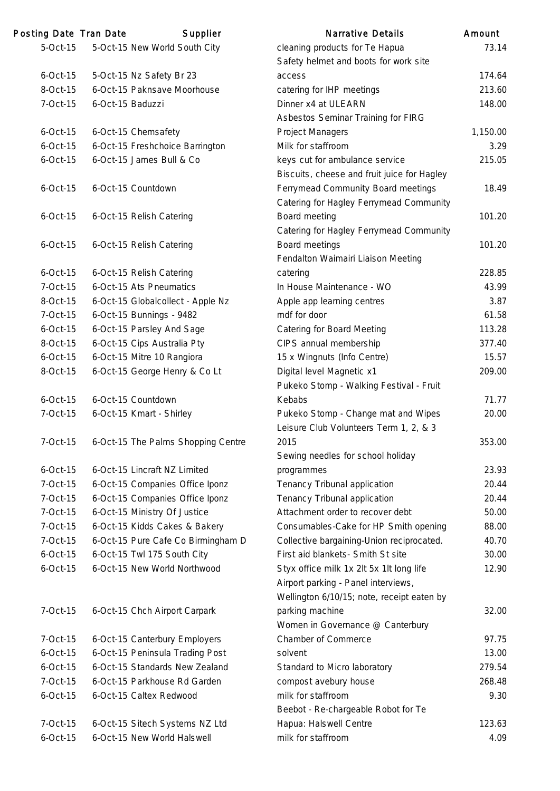| 5-Oct-15<br>5-Oct-15 New World South City<br>cleaning products for Te Hapua<br>73.14<br>Safety helmet and boots for work site<br>5-Oct-15 Nz Safety Br 23<br>174.64<br>$6$ -Oct-15<br>access<br>6-Oct-15 Paknsave Moorhouse<br>8-Oct-15<br>catering for IHP meetings<br>213.60<br>7-Oct-15<br>6-Oct-15 Baduzzi<br>Dinner x4 at ULEARN<br>148.00<br>Asbestos Seminar Training for FIRG<br><b>Project Managers</b><br>$6$ -Oct-15<br>6-Oct-15 Chemsafety<br>1,150.00<br>Milk for staffroom<br>$6$ -Oct-15<br>6-Oct-15 Freshchoice Barrington<br>3.29<br>6-Oct-15 James Bull & Co<br>$6$ -Oct-15<br>keys cut for ambulance service<br>215.05<br>Biscuits, cheese and fruit juice for Hagley<br>Ferrymead Community Board meetings<br>6-Oct-15 Countdown<br>18.49<br>$6$ -Oct-15<br>Catering for Hagley Ferrymead Community<br>Board meeting<br>101.20<br>$6$ -Oct-15<br>6-Oct-15 Relish Catering<br>Catering for Hagley Ferrymead Community<br>Board meetings<br>101.20<br>$6$ -Oct-15<br>6-Oct-15 Relish Catering<br>Fendalton Waimairi Liaison Meeting<br>6-Oct-15 Relish Catering<br>228.85<br>$6$ -Oct-15<br>catering<br>6-Oct-15 Ats Pneumatics<br>In House Maintenance - WO<br>7-Oct-15<br>43.99<br>8-Oct-15<br>6-Oct-15 Globalcollect - Apple Nz<br>Apple app learning centres<br>3.87<br>7-Oct-15<br>6-Oct-15 Bunnings - 9482<br>mdf for door<br>61.58<br>$6$ -Oct-15<br>6-Oct-15 Parsley And Sage<br><b>Catering for Board Meeting</b><br>113.28<br>6-Oct-15 Cips Australia Pty<br>CIPS annual membership<br>8-Oct-15<br>377.40<br>6-Oct-15 Mitre 10 Rangiora<br>15 x Wingnuts (Info Centre)<br>15.57<br>$6$ -Oct-15<br>6-Oct-15 George Henry & Co Lt<br>Digital level Magnetic x1<br>8-Oct-15<br>209.00<br>Pukeko Stomp - Walking Festival - Fruit<br>Kebabs<br>$6$ -Oct-15<br>6-Oct-15 Countdown<br>71.77<br>7-Oct-15<br>6-Oct-15 Kmart - Shirley<br>Pukeko Stomp - Change mat and Wipes<br>20.00<br>Leisure Club Volunteers Term 1, 2, & 3<br>6-Oct-15 The Palms Shopping Centre<br>353.00<br>7-Oct-15<br>2015<br>Sewing needles for school holiday<br>23.93<br>$6$ -Oct-15<br>6-Oct-15 Lincraft NZ Limited<br>programmes<br>7-Oct-15<br>6-Oct-15 Companies Office Iponz<br>Tenancy Tribunal application<br>20.44<br>7-Oct-15<br>6-Oct-15 Companies Office Iponz<br>Tenancy Tribunal application<br>20.44<br>6-Oct-15 Ministry Of Justice<br>Attachment order to recover debt<br>7-Oct-15<br>50.00<br>6-Oct-15 Kidds Cakes & Bakery<br>Consumables-Cake for HP Smith opening<br>7-Oct-15<br>88.00<br>7-Oct-15<br>6-Oct-15 Pure Cafe Co Birmingham D<br>Collective bargaining-Union reciprocated.<br>40.70<br>6-Oct-15 Twl 175 South City<br>First aid blankets- Smith St site<br>30.00<br>$6$ -Oct-15<br>6-Oct-15 New World Northwood<br>$6$ -Oct-15<br>Styx office milk 1x 2lt 5x 1lt long life<br>12.90<br>Airport parking - Panel interviews,<br>Wellington 6/10/15; note, receipt eaten by<br>parking machine<br>32.00<br>7-Oct-15<br>6-Oct-15 Chch Airport Carpark<br>Women in Governance @ Canterbury<br>97.75<br>6-Oct-15 Canterbury Employers<br>Chamber of Commerce<br>7-Oct-15<br>6-Oct-15 Peninsula Trading Post<br>$6$ -Oct-15<br>solvent<br>13.00<br>6-Oct-15 Standards New Zealand<br>$6$ -Oct-15<br>Standard to Micro laboratory<br>279.54<br>6-Oct-15 Parkhouse Rd Garden<br>7-Oct-15<br>compost avebury house<br>268.48<br>milk for staffroom<br>$6$ -Oct-15<br>6-Oct-15 Caltex Redwood<br>9.30<br>Beebot - Re-chargeable Robot for Te<br>6-Oct-15 Sitech Systems NZ Ltd<br>Hapua: Halswell Centre<br>123.63<br>7-Oct-15<br>6-Oct-15 New World Halswell<br>milk for staffroom<br>$6$ -Oct-15<br>4.09 | <b>Posting Date Tran Date</b> | Supplier | <b>Narrative Details</b> | Amount |
|--------------------------------------------------------------------------------------------------------------------------------------------------------------------------------------------------------------------------------------------------------------------------------------------------------------------------------------------------------------------------------------------------------------------------------------------------------------------------------------------------------------------------------------------------------------------------------------------------------------------------------------------------------------------------------------------------------------------------------------------------------------------------------------------------------------------------------------------------------------------------------------------------------------------------------------------------------------------------------------------------------------------------------------------------------------------------------------------------------------------------------------------------------------------------------------------------------------------------------------------------------------------------------------------------------------------------------------------------------------------------------------------------------------------------------------------------------------------------------------------------------------------------------------------------------------------------------------------------------------------------------------------------------------------------------------------------------------------------------------------------------------------------------------------------------------------------------------------------------------------------------------------------------------------------------------------------------------------------------------------------------------------------------------------------------------------------------------------------------------------------------------------------------------------------------------------------------------------------------------------------------------------------------------------------------------------------------------------------------------------------------------------------------------------------------------------------------------------------------------------------------------------------------------------------------------------------------------------------------------------------------------------------------------------------------------------------------------------------------------------------------------------------------------------------------------------------------------------------------------------------------------------------------------------------------------------------------------------------------------------------------------------------------------------------------------------------------------------------------------------------------------------------------------------------------------------------------------------------------------------------------------------------------------------------------------------------------------------------------------------------------------------------------------------------------------------------------------------------------------------------------------------------------------------------------------------------------------------------------------------------------|-------------------------------|----------|--------------------------|--------|
|                                                                                                                                                                                                                                                                                                                                                                                                                                                                                                                                                                                                                                                                                                                                                                                                                                                                                                                                                                                                                                                                                                                                                                                                                                                                                                                                                                                                                                                                                                                                                                                                                                                                                                                                                                                                                                                                                                                                                                                                                                                                                                                                                                                                                                                                                                                                                                                                                                                                                                                                                                                                                                                                                                                                                                                                                                                                                                                                                                                                                                                                                                                                                                                                                                                                                                                                                                                                                                                                                                                                                                                                                                |                               |          |                          |        |
|                                                                                                                                                                                                                                                                                                                                                                                                                                                                                                                                                                                                                                                                                                                                                                                                                                                                                                                                                                                                                                                                                                                                                                                                                                                                                                                                                                                                                                                                                                                                                                                                                                                                                                                                                                                                                                                                                                                                                                                                                                                                                                                                                                                                                                                                                                                                                                                                                                                                                                                                                                                                                                                                                                                                                                                                                                                                                                                                                                                                                                                                                                                                                                                                                                                                                                                                                                                                                                                                                                                                                                                                                                |                               |          |                          |        |
|                                                                                                                                                                                                                                                                                                                                                                                                                                                                                                                                                                                                                                                                                                                                                                                                                                                                                                                                                                                                                                                                                                                                                                                                                                                                                                                                                                                                                                                                                                                                                                                                                                                                                                                                                                                                                                                                                                                                                                                                                                                                                                                                                                                                                                                                                                                                                                                                                                                                                                                                                                                                                                                                                                                                                                                                                                                                                                                                                                                                                                                                                                                                                                                                                                                                                                                                                                                                                                                                                                                                                                                                                                |                               |          |                          |        |
|                                                                                                                                                                                                                                                                                                                                                                                                                                                                                                                                                                                                                                                                                                                                                                                                                                                                                                                                                                                                                                                                                                                                                                                                                                                                                                                                                                                                                                                                                                                                                                                                                                                                                                                                                                                                                                                                                                                                                                                                                                                                                                                                                                                                                                                                                                                                                                                                                                                                                                                                                                                                                                                                                                                                                                                                                                                                                                                                                                                                                                                                                                                                                                                                                                                                                                                                                                                                                                                                                                                                                                                                                                |                               |          |                          |        |
|                                                                                                                                                                                                                                                                                                                                                                                                                                                                                                                                                                                                                                                                                                                                                                                                                                                                                                                                                                                                                                                                                                                                                                                                                                                                                                                                                                                                                                                                                                                                                                                                                                                                                                                                                                                                                                                                                                                                                                                                                                                                                                                                                                                                                                                                                                                                                                                                                                                                                                                                                                                                                                                                                                                                                                                                                                                                                                                                                                                                                                                                                                                                                                                                                                                                                                                                                                                                                                                                                                                                                                                                                                |                               |          |                          |        |
|                                                                                                                                                                                                                                                                                                                                                                                                                                                                                                                                                                                                                                                                                                                                                                                                                                                                                                                                                                                                                                                                                                                                                                                                                                                                                                                                                                                                                                                                                                                                                                                                                                                                                                                                                                                                                                                                                                                                                                                                                                                                                                                                                                                                                                                                                                                                                                                                                                                                                                                                                                                                                                                                                                                                                                                                                                                                                                                                                                                                                                                                                                                                                                                                                                                                                                                                                                                                                                                                                                                                                                                                                                |                               |          |                          |        |
|                                                                                                                                                                                                                                                                                                                                                                                                                                                                                                                                                                                                                                                                                                                                                                                                                                                                                                                                                                                                                                                                                                                                                                                                                                                                                                                                                                                                                                                                                                                                                                                                                                                                                                                                                                                                                                                                                                                                                                                                                                                                                                                                                                                                                                                                                                                                                                                                                                                                                                                                                                                                                                                                                                                                                                                                                                                                                                                                                                                                                                                                                                                                                                                                                                                                                                                                                                                                                                                                                                                                                                                                                                |                               |          |                          |        |
|                                                                                                                                                                                                                                                                                                                                                                                                                                                                                                                                                                                                                                                                                                                                                                                                                                                                                                                                                                                                                                                                                                                                                                                                                                                                                                                                                                                                                                                                                                                                                                                                                                                                                                                                                                                                                                                                                                                                                                                                                                                                                                                                                                                                                                                                                                                                                                                                                                                                                                                                                                                                                                                                                                                                                                                                                                                                                                                                                                                                                                                                                                                                                                                                                                                                                                                                                                                                                                                                                                                                                                                                                                |                               |          |                          |        |
|                                                                                                                                                                                                                                                                                                                                                                                                                                                                                                                                                                                                                                                                                                                                                                                                                                                                                                                                                                                                                                                                                                                                                                                                                                                                                                                                                                                                                                                                                                                                                                                                                                                                                                                                                                                                                                                                                                                                                                                                                                                                                                                                                                                                                                                                                                                                                                                                                                                                                                                                                                                                                                                                                                                                                                                                                                                                                                                                                                                                                                                                                                                                                                                                                                                                                                                                                                                                                                                                                                                                                                                                                                |                               |          |                          |        |
|                                                                                                                                                                                                                                                                                                                                                                                                                                                                                                                                                                                                                                                                                                                                                                                                                                                                                                                                                                                                                                                                                                                                                                                                                                                                                                                                                                                                                                                                                                                                                                                                                                                                                                                                                                                                                                                                                                                                                                                                                                                                                                                                                                                                                                                                                                                                                                                                                                                                                                                                                                                                                                                                                                                                                                                                                                                                                                                                                                                                                                                                                                                                                                                                                                                                                                                                                                                                                                                                                                                                                                                                                                |                               |          |                          |        |
|                                                                                                                                                                                                                                                                                                                                                                                                                                                                                                                                                                                                                                                                                                                                                                                                                                                                                                                                                                                                                                                                                                                                                                                                                                                                                                                                                                                                                                                                                                                                                                                                                                                                                                                                                                                                                                                                                                                                                                                                                                                                                                                                                                                                                                                                                                                                                                                                                                                                                                                                                                                                                                                                                                                                                                                                                                                                                                                                                                                                                                                                                                                                                                                                                                                                                                                                                                                                                                                                                                                                                                                                                                |                               |          |                          |        |
|                                                                                                                                                                                                                                                                                                                                                                                                                                                                                                                                                                                                                                                                                                                                                                                                                                                                                                                                                                                                                                                                                                                                                                                                                                                                                                                                                                                                                                                                                                                                                                                                                                                                                                                                                                                                                                                                                                                                                                                                                                                                                                                                                                                                                                                                                                                                                                                                                                                                                                                                                                                                                                                                                                                                                                                                                                                                                                                                                                                                                                                                                                                                                                                                                                                                                                                                                                                                                                                                                                                                                                                                                                |                               |          |                          |        |
|                                                                                                                                                                                                                                                                                                                                                                                                                                                                                                                                                                                                                                                                                                                                                                                                                                                                                                                                                                                                                                                                                                                                                                                                                                                                                                                                                                                                                                                                                                                                                                                                                                                                                                                                                                                                                                                                                                                                                                                                                                                                                                                                                                                                                                                                                                                                                                                                                                                                                                                                                                                                                                                                                                                                                                                                                                                                                                                                                                                                                                                                                                                                                                                                                                                                                                                                                                                                                                                                                                                                                                                                                                |                               |          |                          |        |
|                                                                                                                                                                                                                                                                                                                                                                                                                                                                                                                                                                                                                                                                                                                                                                                                                                                                                                                                                                                                                                                                                                                                                                                                                                                                                                                                                                                                                                                                                                                                                                                                                                                                                                                                                                                                                                                                                                                                                                                                                                                                                                                                                                                                                                                                                                                                                                                                                                                                                                                                                                                                                                                                                                                                                                                                                                                                                                                                                                                                                                                                                                                                                                                                                                                                                                                                                                                                                                                                                                                                                                                                                                |                               |          |                          |        |
|                                                                                                                                                                                                                                                                                                                                                                                                                                                                                                                                                                                                                                                                                                                                                                                                                                                                                                                                                                                                                                                                                                                                                                                                                                                                                                                                                                                                                                                                                                                                                                                                                                                                                                                                                                                                                                                                                                                                                                                                                                                                                                                                                                                                                                                                                                                                                                                                                                                                                                                                                                                                                                                                                                                                                                                                                                                                                                                                                                                                                                                                                                                                                                                                                                                                                                                                                                                                                                                                                                                                                                                                                                |                               |          |                          |        |
|                                                                                                                                                                                                                                                                                                                                                                                                                                                                                                                                                                                                                                                                                                                                                                                                                                                                                                                                                                                                                                                                                                                                                                                                                                                                                                                                                                                                                                                                                                                                                                                                                                                                                                                                                                                                                                                                                                                                                                                                                                                                                                                                                                                                                                                                                                                                                                                                                                                                                                                                                                                                                                                                                                                                                                                                                                                                                                                                                                                                                                                                                                                                                                                                                                                                                                                                                                                                                                                                                                                                                                                                                                |                               |          |                          |        |
|                                                                                                                                                                                                                                                                                                                                                                                                                                                                                                                                                                                                                                                                                                                                                                                                                                                                                                                                                                                                                                                                                                                                                                                                                                                                                                                                                                                                                                                                                                                                                                                                                                                                                                                                                                                                                                                                                                                                                                                                                                                                                                                                                                                                                                                                                                                                                                                                                                                                                                                                                                                                                                                                                                                                                                                                                                                                                                                                                                                                                                                                                                                                                                                                                                                                                                                                                                                                                                                                                                                                                                                                                                |                               |          |                          |        |
|                                                                                                                                                                                                                                                                                                                                                                                                                                                                                                                                                                                                                                                                                                                                                                                                                                                                                                                                                                                                                                                                                                                                                                                                                                                                                                                                                                                                                                                                                                                                                                                                                                                                                                                                                                                                                                                                                                                                                                                                                                                                                                                                                                                                                                                                                                                                                                                                                                                                                                                                                                                                                                                                                                                                                                                                                                                                                                                                                                                                                                                                                                                                                                                                                                                                                                                                                                                                                                                                                                                                                                                                                                |                               |          |                          |        |
|                                                                                                                                                                                                                                                                                                                                                                                                                                                                                                                                                                                                                                                                                                                                                                                                                                                                                                                                                                                                                                                                                                                                                                                                                                                                                                                                                                                                                                                                                                                                                                                                                                                                                                                                                                                                                                                                                                                                                                                                                                                                                                                                                                                                                                                                                                                                                                                                                                                                                                                                                                                                                                                                                                                                                                                                                                                                                                                                                                                                                                                                                                                                                                                                                                                                                                                                                                                                                                                                                                                                                                                                                                |                               |          |                          |        |
|                                                                                                                                                                                                                                                                                                                                                                                                                                                                                                                                                                                                                                                                                                                                                                                                                                                                                                                                                                                                                                                                                                                                                                                                                                                                                                                                                                                                                                                                                                                                                                                                                                                                                                                                                                                                                                                                                                                                                                                                                                                                                                                                                                                                                                                                                                                                                                                                                                                                                                                                                                                                                                                                                                                                                                                                                                                                                                                                                                                                                                                                                                                                                                                                                                                                                                                                                                                                                                                                                                                                                                                                                                |                               |          |                          |        |
|                                                                                                                                                                                                                                                                                                                                                                                                                                                                                                                                                                                                                                                                                                                                                                                                                                                                                                                                                                                                                                                                                                                                                                                                                                                                                                                                                                                                                                                                                                                                                                                                                                                                                                                                                                                                                                                                                                                                                                                                                                                                                                                                                                                                                                                                                                                                                                                                                                                                                                                                                                                                                                                                                                                                                                                                                                                                                                                                                                                                                                                                                                                                                                                                                                                                                                                                                                                                                                                                                                                                                                                                                                |                               |          |                          |        |
|                                                                                                                                                                                                                                                                                                                                                                                                                                                                                                                                                                                                                                                                                                                                                                                                                                                                                                                                                                                                                                                                                                                                                                                                                                                                                                                                                                                                                                                                                                                                                                                                                                                                                                                                                                                                                                                                                                                                                                                                                                                                                                                                                                                                                                                                                                                                                                                                                                                                                                                                                                                                                                                                                                                                                                                                                                                                                                                                                                                                                                                                                                                                                                                                                                                                                                                                                                                                                                                                                                                                                                                                                                |                               |          |                          |        |
|                                                                                                                                                                                                                                                                                                                                                                                                                                                                                                                                                                                                                                                                                                                                                                                                                                                                                                                                                                                                                                                                                                                                                                                                                                                                                                                                                                                                                                                                                                                                                                                                                                                                                                                                                                                                                                                                                                                                                                                                                                                                                                                                                                                                                                                                                                                                                                                                                                                                                                                                                                                                                                                                                                                                                                                                                                                                                                                                                                                                                                                                                                                                                                                                                                                                                                                                                                                                                                                                                                                                                                                                                                |                               |          |                          |        |
|                                                                                                                                                                                                                                                                                                                                                                                                                                                                                                                                                                                                                                                                                                                                                                                                                                                                                                                                                                                                                                                                                                                                                                                                                                                                                                                                                                                                                                                                                                                                                                                                                                                                                                                                                                                                                                                                                                                                                                                                                                                                                                                                                                                                                                                                                                                                                                                                                                                                                                                                                                                                                                                                                                                                                                                                                                                                                                                                                                                                                                                                                                                                                                                                                                                                                                                                                                                                                                                                                                                                                                                                                                |                               |          |                          |        |
|                                                                                                                                                                                                                                                                                                                                                                                                                                                                                                                                                                                                                                                                                                                                                                                                                                                                                                                                                                                                                                                                                                                                                                                                                                                                                                                                                                                                                                                                                                                                                                                                                                                                                                                                                                                                                                                                                                                                                                                                                                                                                                                                                                                                                                                                                                                                                                                                                                                                                                                                                                                                                                                                                                                                                                                                                                                                                                                                                                                                                                                                                                                                                                                                                                                                                                                                                                                                                                                                                                                                                                                                                                |                               |          |                          |        |
|                                                                                                                                                                                                                                                                                                                                                                                                                                                                                                                                                                                                                                                                                                                                                                                                                                                                                                                                                                                                                                                                                                                                                                                                                                                                                                                                                                                                                                                                                                                                                                                                                                                                                                                                                                                                                                                                                                                                                                                                                                                                                                                                                                                                                                                                                                                                                                                                                                                                                                                                                                                                                                                                                                                                                                                                                                                                                                                                                                                                                                                                                                                                                                                                                                                                                                                                                                                                                                                                                                                                                                                                                                |                               |          |                          |        |
|                                                                                                                                                                                                                                                                                                                                                                                                                                                                                                                                                                                                                                                                                                                                                                                                                                                                                                                                                                                                                                                                                                                                                                                                                                                                                                                                                                                                                                                                                                                                                                                                                                                                                                                                                                                                                                                                                                                                                                                                                                                                                                                                                                                                                                                                                                                                                                                                                                                                                                                                                                                                                                                                                                                                                                                                                                                                                                                                                                                                                                                                                                                                                                                                                                                                                                                                                                                                                                                                                                                                                                                                                                |                               |          |                          |        |
|                                                                                                                                                                                                                                                                                                                                                                                                                                                                                                                                                                                                                                                                                                                                                                                                                                                                                                                                                                                                                                                                                                                                                                                                                                                                                                                                                                                                                                                                                                                                                                                                                                                                                                                                                                                                                                                                                                                                                                                                                                                                                                                                                                                                                                                                                                                                                                                                                                                                                                                                                                                                                                                                                                                                                                                                                                                                                                                                                                                                                                                                                                                                                                                                                                                                                                                                                                                                                                                                                                                                                                                                                                |                               |          |                          |        |
|                                                                                                                                                                                                                                                                                                                                                                                                                                                                                                                                                                                                                                                                                                                                                                                                                                                                                                                                                                                                                                                                                                                                                                                                                                                                                                                                                                                                                                                                                                                                                                                                                                                                                                                                                                                                                                                                                                                                                                                                                                                                                                                                                                                                                                                                                                                                                                                                                                                                                                                                                                                                                                                                                                                                                                                                                                                                                                                                                                                                                                                                                                                                                                                                                                                                                                                                                                                                                                                                                                                                                                                                                                |                               |          |                          |        |
|                                                                                                                                                                                                                                                                                                                                                                                                                                                                                                                                                                                                                                                                                                                                                                                                                                                                                                                                                                                                                                                                                                                                                                                                                                                                                                                                                                                                                                                                                                                                                                                                                                                                                                                                                                                                                                                                                                                                                                                                                                                                                                                                                                                                                                                                                                                                                                                                                                                                                                                                                                                                                                                                                                                                                                                                                                                                                                                                                                                                                                                                                                                                                                                                                                                                                                                                                                                                                                                                                                                                                                                                                                |                               |          |                          |        |
|                                                                                                                                                                                                                                                                                                                                                                                                                                                                                                                                                                                                                                                                                                                                                                                                                                                                                                                                                                                                                                                                                                                                                                                                                                                                                                                                                                                                                                                                                                                                                                                                                                                                                                                                                                                                                                                                                                                                                                                                                                                                                                                                                                                                                                                                                                                                                                                                                                                                                                                                                                                                                                                                                                                                                                                                                                                                                                                                                                                                                                                                                                                                                                                                                                                                                                                                                                                                                                                                                                                                                                                                                                |                               |          |                          |        |
|                                                                                                                                                                                                                                                                                                                                                                                                                                                                                                                                                                                                                                                                                                                                                                                                                                                                                                                                                                                                                                                                                                                                                                                                                                                                                                                                                                                                                                                                                                                                                                                                                                                                                                                                                                                                                                                                                                                                                                                                                                                                                                                                                                                                                                                                                                                                                                                                                                                                                                                                                                                                                                                                                                                                                                                                                                                                                                                                                                                                                                                                                                                                                                                                                                                                                                                                                                                                                                                                                                                                                                                                                                |                               |          |                          |        |
|                                                                                                                                                                                                                                                                                                                                                                                                                                                                                                                                                                                                                                                                                                                                                                                                                                                                                                                                                                                                                                                                                                                                                                                                                                                                                                                                                                                                                                                                                                                                                                                                                                                                                                                                                                                                                                                                                                                                                                                                                                                                                                                                                                                                                                                                                                                                                                                                                                                                                                                                                                                                                                                                                                                                                                                                                                                                                                                                                                                                                                                                                                                                                                                                                                                                                                                                                                                                                                                                                                                                                                                                                                |                               |          |                          |        |
|                                                                                                                                                                                                                                                                                                                                                                                                                                                                                                                                                                                                                                                                                                                                                                                                                                                                                                                                                                                                                                                                                                                                                                                                                                                                                                                                                                                                                                                                                                                                                                                                                                                                                                                                                                                                                                                                                                                                                                                                                                                                                                                                                                                                                                                                                                                                                                                                                                                                                                                                                                                                                                                                                                                                                                                                                                                                                                                                                                                                                                                                                                                                                                                                                                                                                                                                                                                                                                                                                                                                                                                                                                |                               |          |                          |        |
|                                                                                                                                                                                                                                                                                                                                                                                                                                                                                                                                                                                                                                                                                                                                                                                                                                                                                                                                                                                                                                                                                                                                                                                                                                                                                                                                                                                                                                                                                                                                                                                                                                                                                                                                                                                                                                                                                                                                                                                                                                                                                                                                                                                                                                                                                                                                                                                                                                                                                                                                                                                                                                                                                                                                                                                                                                                                                                                                                                                                                                                                                                                                                                                                                                                                                                                                                                                                                                                                                                                                                                                                                                |                               |          |                          |        |
|                                                                                                                                                                                                                                                                                                                                                                                                                                                                                                                                                                                                                                                                                                                                                                                                                                                                                                                                                                                                                                                                                                                                                                                                                                                                                                                                                                                                                                                                                                                                                                                                                                                                                                                                                                                                                                                                                                                                                                                                                                                                                                                                                                                                                                                                                                                                                                                                                                                                                                                                                                                                                                                                                                                                                                                                                                                                                                                                                                                                                                                                                                                                                                                                                                                                                                                                                                                                                                                                                                                                                                                                                                |                               |          |                          |        |
|                                                                                                                                                                                                                                                                                                                                                                                                                                                                                                                                                                                                                                                                                                                                                                                                                                                                                                                                                                                                                                                                                                                                                                                                                                                                                                                                                                                                                                                                                                                                                                                                                                                                                                                                                                                                                                                                                                                                                                                                                                                                                                                                                                                                                                                                                                                                                                                                                                                                                                                                                                                                                                                                                                                                                                                                                                                                                                                                                                                                                                                                                                                                                                                                                                                                                                                                                                                                                                                                                                                                                                                                                                |                               |          |                          |        |
|                                                                                                                                                                                                                                                                                                                                                                                                                                                                                                                                                                                                                                                                                                                                                                                                                                                                                                                                                                                                                                                                                                                                                                                                                                                                                                                                                                                                                                                                                                                                                                                                                                                                                                                                                                                                                                                                                                                                                                                                                                                                                                                                                                                                                                                                                                                                                                                                                                                                                                                                                                                                                                                                                                                                                                                                                                                                                                                                                                                                                                                                                                                                                                                                                                                                                                                                                                                                                                                                                                                                                                                                                                |                               |          |                          |        |
|                                                                                                                                                                                                                                                                                                                                                                                                                                                                                                                                                                                                                                                                                                                                                                                                                                                                                                                                                                                                                                                                                                                                                                                                                                                                                                                                                                                                                                                                                                                                                                                                                                                                                                                                                                                                                                                                                                                                                                                                                                                                                                                                                                                                                                                                                                                                                                                                                                                                                                                                                                                                                                                                                                                                                                                                                                                                                                                                                                                                                                                                                                                                                                                                                                                                                                                                                                                                                                                                                                                                                                                                                                |                               |          |                          |        |
|                                                                                                                                                                                                                                                                                                                                                                                                                                                                                                                                                                                                                                                                                                                                                                                                                                                                                                                                                                                                                                                                                                                                                                                                                                                                                                                                                                                                                                                                                                                                                                                                                                                                                                                                                                                                                                                                                                                                                                                                                                                                                                                                                                                                                                                                                                                                                                                                                                                                                                                                                                                                                                                                                                                                                                                                                                                                                                                                                                                                                                                                                                                                                                                                                                                                                                                                                                                                                                                                                                                                                                                                                                |                               |          |                          |        |
|                                                                                                                                                                                                                                                                                                                                                                                                                                                                                                                                                                                                                                                                                                                                                                                                                                                                                                                                                                                                                                                                                                                                                                                                                                                                                                                                                                                                                                                                                                                                                                                                                                                                                                                                                                                                                                                                                                                                                                                                                                                                                                                                                                                                                                                                                                                                                                                                                                                                                                                                                                                                                                                                                                                                                                                                                                                                                                                                                                                                                                                                                                                                                                                                                                                                                                                                                                                                                                                                                                                                                                                                                                |                               |          |                          |        |
|                                                                                                                                                                                                                                                                                                                                                                                                                                                                                                                                                                                                                                                                                                                                                                                                                                                                                                                                                                                                                                                                                                                                                                                                                                                                                                                                                                                                                                                                                                                                                                                                                                                                                                                                                                                                                                                                                                                                                                                                                                                                                                                                                                                                                                                                                                                                                                                                                                                                                                                                                                                                                                                                                                                                                                                                                                                                                                                                                                                                                                                                                                                                                                                                                                                                                                                                                                                                                                                                                                                                                                                                                                |                               |          |                          |        |
|                                                                                                                                                                                                                                                                                                                                                                                                                                                                                                                                                                                                                                                                                                                                                                                                                                                                                                                                                                                                                                                                                                                                                                                                                                                                                                                                                                                                                                                                                                                                                                                                                                                                                                                                                                                                                                                                                                                                                                                                                                                                                                                                                                                                                                                                                                                                                                                                                                                                                                                                                                                                                                                                                                                                                                                                                                                                                                                                                                                                                                                                                                                                                                                                                                                                                                                                                                                                                                                                                                                                                                                                                                |                               |          |                          |        |
|                                                                                                                                                                                                                                                                                                                                                                                                                                                                                                                                                                                                                                                                                                                                                                                                                                                                                                                                                                                                                                                                                                                                                                                                                                                                                                                                                                                                                                                                                                                                                                                                                                                                                                                                                                                                                                                                                                                                                                                                                                                                                                                                                                                                                                                                                                                                                                                                                                                                                                                                                                                                                                                                                                                                                                                                                                                                                                                                                                                                                                                                                                                                                                                                                                                                                                                                                                                                                                                                                                                                                                                                                                |                               |          |                          |        |
|                                                                                                                                                                                                                                                                                                                                                                                                                                                                                                                                                                                                                                                                                                                                                                                                                                                                                                                                                                                                                                                                                                                                                                                                                                                                                                                                                                                                                                                                                                                                                                                                                                                                                                                                                                                                                                                                                                                                                                                                                                                                                                                                                                                                                                                                                                                                                                                                                                                                                                                                                                                                                                                                                                                                                                                                                                                                                                                                                                                                                                                                                                                                                                                                                                                                                                                                                                                                                                                                                                                                                                                                                                |                               |          |                          |        |
|                                                                                                                                                                                                                                                                                                                                                                                                                                                                                                                                                                                                                                                                                                                                                                                                                                                                                                                                                                                                                                                                                                                                                                                                                                                                                                                                                                                                                                                                                                                                                                                                                                                                                                                                                                                                                                                                                                                                                                                                                                                                                                                                                                                                                                                                                                                                                                                                                                                                                                                                                                                                                                                                                                                                                                                                                                                                                                                                                                                                                                                                                                                                                                                                                                                                                                                                                                                                                                                                                                                                                                                                                                |                               |          |                          |        |
|                                                                                                                                                                                                                                                                                                                                                                                                                                                                                                                                                                                                                                                                                                                                                                                                                                                                                                                                                                                                                                                                                                                                                                                                                                                                                                                                                                                                                                                                                                                                                                                                                                                                                                                                                                                                                                                                                                                                                                                                                                                                                                                                                                                                                                                                                                                                                                                                                                                                                                                                                                                                                                                                                                                                                                                                                                                                                                                                                                                                                                                                                                                                                                                                                                                                                                                                                                                                                                                                                                                                                                                                                                |                               |          |                          |        |
|                                                                                                                                                                                                                                                                                                                                                                                                                                                                                                                                                                                                                                                                                                                                                                                                                                                                                                                                                                                                                                                                                                                                                                                                                                                                                                                                                                                                                                                                                                                                                                                                                                                                                                                                                                                                                                                                                                                                                                                                                                                                                                                                                                                                                                                                                                                                                                                                                                                                                                                                                                                                                                                                                                                                                                                                                                                                                                                                                                                                                                                                                                                                                                                                                                                                                                                                                                                                                                                                                                                                                                                                                                |                               |          |                          |        |
|                                                                                                                                                                                                                                                                                                                                                                                                                                                                                                                                                                                                                                                                                                                                                                                                                                                                                                                                                                                                                                                                                                                                                                                                                                                                                                                                                                                                                                                                                                                                                                                                                                                                                                                                                                                                                                                                                                                                                                                                                                                                                                                                                                                                                                                                                                                                                                                                                                                                                                                                                                                                                                                                                                                                                                                                                                                                                                                                                                                                                                                                                                                                                                                                                                                                                                                                                                                                                                                                                                                                                                                                                                |                               |          |                          |        |
|                                                                                                                                                                                                                                                                                                                                                                                                                                                                                                                                                                                                                                                                                                                                                                                                                                                                                                                                                                                                                                                                                                                                                                                                                                                                                                                                                                                                                                                                                                                                                                                                                                                                                                                                                                                                                                                                                                                                                                                                                                                                                                                                                                                                                                                                                                                                                                                                                                                                                                                                                                                                                                                                                                                                                                                                                                                                                                                                                                                                                                                                                                                                                                                                                                                                                                                                                                                                                                                                                                                                                                                                                                |                               |          |                          |        |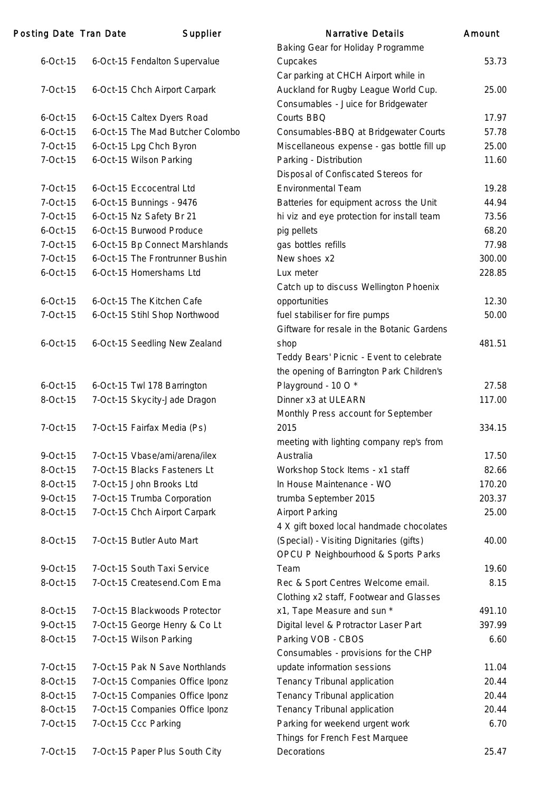| Posting Date Tran Date | Supplier                         | <b>Narrative Details</b>                                                    | Amount |
|------------------------|----------------------------------|-----------------------------------------------------------------------------|--------|
|                        |                                  | Baking Gear for Holiday Programme                                           |        |
| $6$ -Oct-15            | 6-Oct-15 Fendalton Supervalue    | Cupcakes                                                                    | 53.73  |
|                        |                                  | Car parking at CHCH Airport while in                                        |        |
| 7-Oct-15               | 6-Oct-15 Chch Airport Carpark    | Auckland for Rugby League World Cup.<br>Consumables - Juice for Bridgewater | 25.00  |
| $6$ -Oct-15            | 6-Oct-15 Caltex Dyers Road       | Courts BBQ                                                                  | 17.97  |
| $6$ -Oct-15            | 6-Oct-15 The Mad Butcher Colombo | Consumables-BBQ at Bridgewater Courts                                       | 57.78  |
| 7-Oct-15               | 6-Oct-15 Lpg Chch Byron          | Miscellaneous expense - gas bottle fill up                                  | 25.00  |
| 7-Oct-15               | 6-Oct-15 Wilson Parking          | Parking - Distribution                                                      | 11.60  |
|                        |                                  | Disposal of Confiscated Stereos for                                         |        |
| 7-Oct-15               | 6-Oct-15 Eccocentral Ltd         | <b>Environmental Team</b>                                                   | 19.28  |
| 7-Oct-15               | 6-Oct-15 Bunnings - 9476         | Batteries for equipment across the Unit                                     | 44.94  |
| 7-Oct-15               | 6-Oct-15 Nz Safety Br 21         | hi viz and eye protection for install team                                  | 73.56  |
| $6$ -Oct-15            | 6-Oct-15 Burwood Produce         | pig pellets                                                                 | 68.20  |
| 7-Oct-15               | 6-Oct-15 Bp Connect Marshlands   | gas bottles refills                                                         | 77.98  |
| 7-Oct-15               | 6-Oct-15 The Frontrunner Bushin  | New shoes x2                                                                | 300.00 |
| $6$ -Oct-15            | 6-Oct-15 Homershams Ltd          | Lux meter                                                                   | 228.85 |
|                        |                                  | Catch up to discuss Wellington Phoenix                                      |        |
| $6$ -Oct-15            | 6-Oct-15 The Kitchen Cafe        | opportunities                                                               | 12.30  |
| 7-Oct-15               | 6-Oct-15 Stihl Shop Northwood    | fuel stabiliser for fire pumps                                              | 50.00  |
|                        |                                  | Giftware for resale in the Botanic Gardens                                  |        |
| $6$ -Oct-15            | 6-Oct-15 Seedling New Zealand    | shop                                                                        | 481.51 |
|                        |                                  | Teddy Bears' Picnic - Event to celebrate                                    |        |
|                        |                                  | the opening of Barrington Park Children's                                   |        |
| $6$ -Oct-15            | 6-Oct-15 Twl 178 Barrington      | Playground - 10 O*                                                          | 27.58  |
| 8-Oct-15               | 7-Oct-15 Skycity-Jade Dragon     | Dinner x3 at ULEARN                                                         | 117.00 |
|                        |                                  | Monthly Press account for September                                         |        |
| 7-Oct-15               | 7-Oct-15 Fairfax Media (Ps)      | 2015                                                                        | 334.15 |
|                        |                                  | meeting with lighting company rep's from                                    |        |
| $9$ -Oct-15            | 7-Oct-15 Vbase/ami/arena/ilex    | Australia                                                                   | 17.50  |
| 8-Oct-15               | 7-Oct-15 Blacks Fasteners Lt     | Workshop Stock Items - x1 staff                                             | 82.66  |
| 8-Oct-15               | 7-Oct-15 John Brooks Ltd         | In House Maintenance - WO                                                   | 170.20 |
| $9$ -Oct-15            | 7-Oct-15 Trumba Corporation      | trumba September 2015                                                       | 203.37 |
| 8-Oct-15               | 7-Oct-15 Chch Airport Carpark    | <b>Airport Parking</b>                                                      | 25.00  |
|                        |                                  | 4 X gift boxed local handmade chocolates                                    |        |
| 8-Oct-15               | 7-Oct-15 Butler Auto Mart        | (Special) - Visiting Dignitaries (gifts)                                    | 40.00  |
|                        |                                  | OPCU P Neighbourhood & Sports Parks                                         |        |
| 9-Oct-15               | 7-Oct-15 South Taxi Service      | Team                                                                        | 19.60  |
| 8-Oct-15               | 7-Oct-15 Createsend.Com Ema      | Rec & Sport Centres Welcome email.                                          | 8.15   |
|                        |                                  | Clothing x2 staff, Footwear and Glasses                                     |        |
| 8-Oct-15               | 7-Oct-15 Blackwoods Protector    | x1, Tape Measure and sun *                                                  | 491.10 |
| $9$ -Oct-15            | 7-Oct-15 George Henry & Co Lt    | Digital level & Protractor Laser Part                                       | 397.99 |
| 8-Oct-15               | 7-Oct-15 Wilson Parking          | Parking VOB - CBOS                                                          | 6.60   |
|                        |                                  | Consumables - provisions for the CHP                                        |        |
| 7-Oct-15               | 7-Oct-15 Pak N Save Northlands   | update information sessions                                                 | 11.04  |
| 8-Oct-15               | 7-Oct-15 Companies Office Iponz  | Tenancy Tribunal application                                                | 20.44  |
| 8-Oct-15               | 7-Oct-15 Companies Office Iponz  | Tenancy Tribunal application                                                | 20.44  |
| 8-Oct-15               | 7-Oct-15 Companies Office Iponz  | Tenancy Tribunal application                                                | 20.44  |
| 7-Oct-15               | 7-Oct-15 Ccc Parking             | Parking for weekend urgent work                                             | 6.70   |
|                        |                                  | Things for French Fest Marquee                                              |        |
| 7-Oct-15               | 7-Oct-15 Paper Plus South City   | Decorations                                                                 | 25.47  |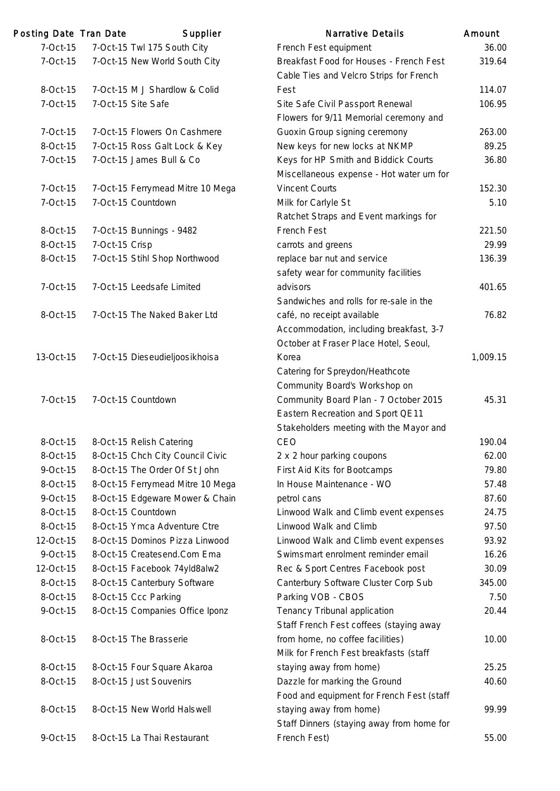| Posting Date Tran Date |                | Supplier                         | <b>Narrative Details</b>                                                           | Amount   |
|------------------------|----------------|----------------------------------|------------------------------------------------------------------------------------|----------|
| 7-Oct-15               |                | 7-Oct-15 Twl 175 South City      | French Fest equipment                                                              | 36.00    |
| 7-Oct-15               |                | 7-Oct-15 New World South City    | Breakfast Food for Houses - French Fest<br>Cable Ties and Velcro Strips for French | 319.64   |
| 8-Oct-15               |                | 7-Oct-15 M J Shardlow & Colid    | Fest                                                                               | 114.07   |
| 7-Oct-15               |                | 7-Oct-15 Site Safe               | Site Safe Civil Passport Renewal                                                   | 106.95   |
|                        |                |                                  | Flowers for 9/11 Memorial ceremony and                                             |          |
| 7-Oct-15               |                | 7-Oct-15 Flowers On Cashmere     | Guoxin Group signing ceremony                                                      | 263.00   |
| 8-Oct-15               |                | 7-Oct-15 Ross Galt Lock & Key    | New keys for new locks at NKMP                                                     | 89.25    |
| 7-Oct-15               |                | 7-Oct-15 James Bull & Co         | Keys for HP Smith and Biddick Courts                                               | 36.80    |
|                        |                |                                  | Miscellaneous expense - Hot water urn for                                          |          |
| 7-Oct-15               |                | 7-Oct-15 Ferrymead Mitre 10 Mega | <b>Vincent Courts</b>                                                              | 152.30   |
| 7-Oct-15               |                | 7-Oct-15 Countdown               | Milk for Carlyle St                                                                | 5.10     |
|                        |                |                                  | Ratchet Straps and Event markings for                                              |          |
| 8-Oct-15               |                | 7-Oct-15 Bunnings - 9482         | French Fest                                                                        | 221.50   |
| 8-Oct-15               | 7-Oct-15 Crisp |                                  | carrots and greens                                                                 | 29.99    |
| 8-Oct-15               |                | 7-Oct-15 Stihl Shop Northwood    | replace bar nut and service                                                        | 136.39   |
|                        |                |                                  | safety wear for community facilities                                               |          |
| 7-Oct-15               |                | 7-Oct-15 Leedsafe Limited        | advisors                                                                           | 401.65   |
|                        |                |                                  | Sandwiches and rolls for re-sale in the                                            |          |
| 8-Oct-15               |                | 7-Oct-15 The Naked Baker Ltd     | café, no receipt available                                                         | 76.82    |
|                        |                |                                  | Accommodation, including breakfast, 3-7                                            |          |
|                        |                |                                  | October at Fraser Place Hotel, Seoul,                                              |          |
| 13-Oct-15              |                | 7-Oct-15 Dieseudieljoosikhoisa   | Korea                                                                              | 1,009.15 |
|                        |                |                                  | Catering for Spreydon/Heathcote                                                    |          |
|                        |                |                                  | Community Board's Workshop on                                                      |          |
| 7-Oct-15               |                | 7-Oct-15 Countdown               | Community Board Plan - 7 October 2015                                              | 45.31    |
|                        |                |                                  | Eastern Recreation and Sport QE11                                                  |          |
|                        |                |                                  | Stakeholders meeting with the Mayor and                                            |          |
| 8-Oct-15               |                | 8-Oct-15 Relish Catering         | CEO                                                                                | 190.04   |
| 8-Oct-15               |                | 8-Oct-15 Chch City Council Civic | 2 x 2 hour parking coupons                                                         | 62.00    |
| $9$ -Oct-15            |                | 8-Oct-15 The Order Of St John    | First Aid Kits for Bootcamps                                                       | 79.80    |
| 8-Oct-15               |                | 8-Oct-15 Ferrymead Mitre 10 Mega | In House Maintenance - WO                                                          | 57.48    |
| 9-Oct-15               |                | 8-Oct-15 Edgeware Mower & Chain  | petrol cans                                                                        | 87.60    |
| 8-Oct-15               |                | 8-Oct-15 Countdown               | Linwood Walk and Climb event expenses                                              | 24.75    |
| 8-Oct-15               |                | 8-Oct-15 Ymca Adventure Ctre     | Linwood Walk and Climb                                                             | 97.50    |
| 12-Oct-15              |                | 8-Oct-15 Dominos Pizza Linwood   | Linwood Walk and Climb event expenses                                              | 93.92    |
| 9-Oct-15               |                | 8-Oct-15 Createsend.Com Ema      | Swimsmart enrolment reminder email                                                 | 16.26    |
| 12-Oct-15              |                | 8-Oct-15 Facebook 74yld8alw2     | Rec & Sport Centres Facebook post                                                  | 30.09    |
| 8-Oct-15               |                | 8-Oct-15 Canterbury Software     | Canterbury Software Cluster Corp Sub                                               | 345.00   |
| 8-Oct-15               |                | 8-Oct-15 Ccc Parking             | Parking VOB - CBOS                                                                 | 7.50     |
| 9-Oct-15               |                | 8-Oct-15 Companies Office Iponz  | Tenancy Tribunal application                                                       | 20.44    |
|                        |                |                                  | Staff French Fest coffees (staying away                                            |          |
| 8-Oct-15               |                | 8-Oct-15 The Brasserie           | from home, no coffee facilities)                                                   | 10.00    |
|                        |                |                                  | Milk for French Fest breakfasts (staff                                             |          |
| 8-Oct-15               |                | 8-Oct-15 Four Square Akaroa      | staying away from home)                                                            | 25.25    |
| 8-Oct-15               |                | 8-Oct-15 Just Souvenirs          | Dazzle for marking the Ground                                                      | 40.60    |
|                        |                |                                  | Food and equipment for French Fest (staff                                          |          |
| 8-Oct-15               |                | 8-Oct-15 New World Halswell      | staying away from home)                                                            | 99.99    |
|                        |                |                                  | Staff Dinners (staying away from home for                                          |          |
| 9-Oct-15               |                | 8-Oct-15 La Thai Restaurant      | French Fest)                                                                       | 55.00    |
|                        |                |                                  |                                                                                    |          |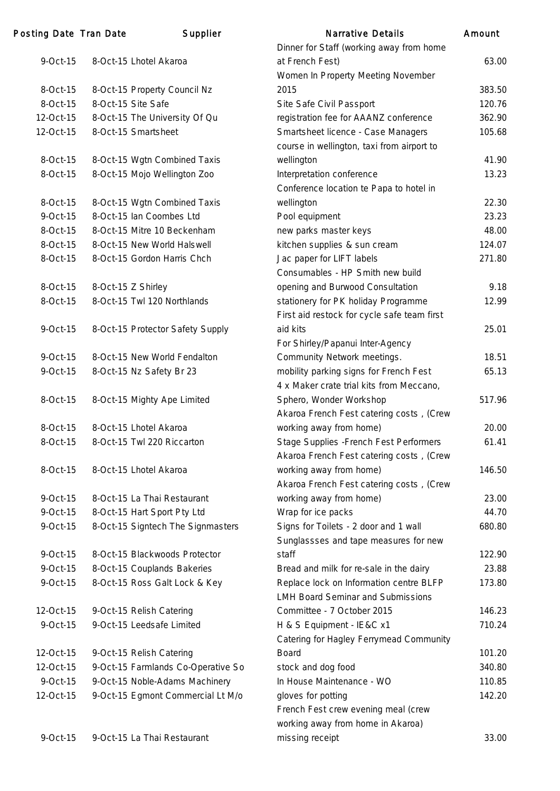| Posting Date Tran Date  | Supplier                           | <b>Narrative Details</b>                       | Amount         |
|-------------------------|------------------------------------|------------------------------------------------|----------------|
|                         |                                    | Dinner for Staff (working away from home       |                |
| $9$ -Oct-15             | 8-Oct-15 Lhotel Akaroa             | at French Fest)                                | 63.00          |
|                         |                                    | Women In Property Meeting November             |                |
| 8-Oct-15                | 8-Oct-15 Property Council Nz       | 2015                                           | 383.50         |
| 8-Oct-15                | 8-Oct-15 Site Safe                 | Site Safe Civil Passport                       | 120.76         |
| 12-Oct-15               | 8-Oct-15 The University Of Qu      | registration fee for AAANZ conference          | 362.90         |
| 12-Oct-15               | 8-Oct-15 Smartsheet                | Smartsheet licence - Case Managers             | 105.68         |
|                         |                                    | course in wellington, taxi from airport to     |                |
| 8-Oct-15                | 8-Oct-15 Wgtn Combined Taxis       | wellington                                     | 41.90          |
| 8-Oct-15                | 8-Oct-15 Mojo Wellington Zoo       | Interpretation conference                      | 13.23          |
|                         |                                    | Conference location te Papa to hotel in        |                |
| 8-Oct-15                | 8-Oct-15 Wgtn Combined Taxis       | wellington                                     | 22.30          |
| 9-Oct-15                | 8-Oct-15 Ian Coombes Ltd           | Pool equipment                                 | 23.23          |
| 8-Oct-15                | 8-Oct-15 Mitre 10 Beckenham        | new parks master keys                          | 48.00          |
| 8-Oct-15                | 8-Oct-15 New World Halswell        | kitchen supplies & sun cream                   | 124.07         |
| 8-Oct-15                | 8-Oct-15 Gordon Harris Chch        | Jac paper for LIFT labels                      | 271.80         |
|                         |                                    | Consumables - HP Smith new build               |                |
| 8-Oct-15                | 8-Oct-15 Z Shirley                 | opening and Burwood Consultation               | 9.18           |
| 8-Oct-15                | 8-Oct-15 Twl 120 Northlands        | stationery for PK holiday Programme            | 12.99          |
|                         |                                    | First aid restock for cycle safe team first    |                |
| $9$ -Oct-15             | 8-Oct-15 Protector Safety Supply   | aid kits                                       | 25.01          |
|                         |                                    | For Shirley/Papanui Inter-Agency               |                |
| 9-Oct-15                | 8-Oct-15 New World Fendalton       | Community Network meetings.                    | 18.51          |
| $9$ -Oct-15             | 8-Oct-15 Nz Safety Br 23           | mobility parking signs for French Fest         | 65.13          |
|                         |                                    | 4 x Maker crate trial kits from Meccano,       |                |
| 8-Oct-15                | 8-Oct-15 Mighty Ape Limited        | Sphero, Wonder Workshop                        | 517.96         |
|                         |                                    | Akaroa French Fest catering costs, (Crew       |                |
| 8-Oct-15                | 8-Oct-15 Lhotel Akaroa             | working away from home)                        | 20.00          |
| 8-Oct-15                | 8-Oct-15 Twl 220 Riccarton         | Stage Supplies - French Fest Performers        | 61.41          |
|                         |                                    | Akaroa French Fest catering costs, (Crew       |                |
| 8-Oct-15                | 8-Oct-15 Lhotel Akaroa             | working away from home)                        | 146.50         |
|                         |                                    | Akaroa French Fest catering costs, (Crew       |                |
| $9$ -Oct-15             | 8-Oct-15 La Thai Restaurant        | working away from home)                        | 23.00<br>44.70 |
| 9-Oct-15<br>$9$ -Oct-15 | 8-Oct-15 Hart Sport Pty Ltd        | Wrap for ice packs                             | 680.80         |
|                         | 8-Oct-15 Signtech The Signmasters  | Signs for Toilets - 2 door and 1 wall          |                |
| 9-Oct-15                | 8-Oct-15 Blackwoods Protector      | Sunglassses and tape measures for new<br>staff | 122.90         |
| 9-Oct-15                | 8-Oct-15 Couplands Bakeries        | Bread and milk for re-sale in the dairy        | 23.88          |
| $9$ -Oct-15             | 8-Oct-15 Ross Galt Lock & Key      | Replace lock on Information centre BLFP        | 173.80         |
|                         |                                    | <b>LMH Board Seminar and Submissions</b>       |                |
| 12-Oct-15               | 9-Oct-15 Relish Catering           | Committee - 7 October 2015                     | 146.23         |
| $9$ -Oct-15             | 9-Oct-15 Leedsafe Limited          | H & S Equipment - IE&C x1                      | 710.24         |
|                         |                                    | Catering for Hagley Ferrymead Community        |                |
| 12-Oct-15               | 9-Oct-15 Relish Catering           | <b>Board</b>                                   | 101.20         |
| 12-Oct-15               | 9-Oct-15 Farmlands Co-Operative So | stock and dog food                             | 340.80         |
| 9-Oct-15                | 9-Oct-15 Noble-Adams Machinery     | In House Maintenance - WO                      | 110.85         |
| 12-Oct-15               | 9-Oct-15 Egmont Commercial Lt M/o  | gloves for potting                             | 142.20         |
|                         |                                    | French Fest crew evening meal (crew            |                |
|                         |                                    | working away from home in Akaroa)              |                |
| 9-Oct-15                | 9-Oct-15 La Thai Restaurant        | missing receipt                                | 33.00          |
|                         |                                    |                                                |                |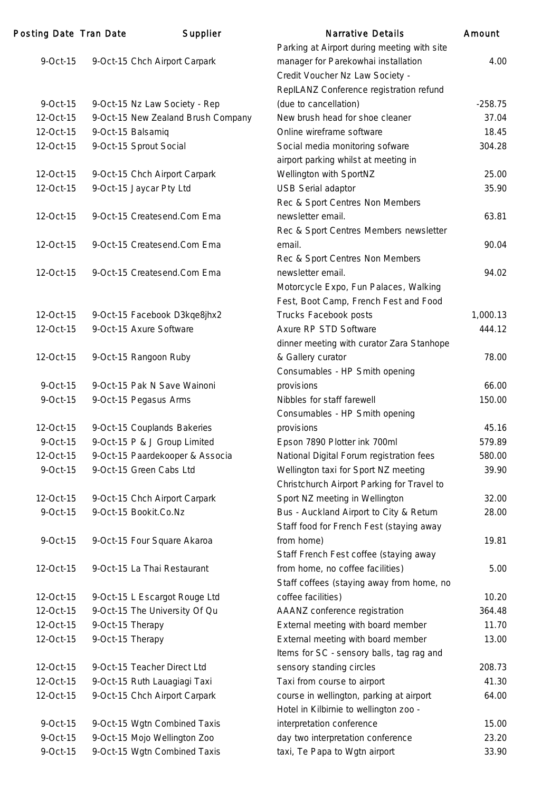| Posting Date Tran Date |                  | Supplier                           | <b>Narrative Details</b>                    | Amount    |
|------------------------|------------------|------------------------------------|---------------------------------------------|-----------|
|                        |                  |                                    | Parking at Airport during meeting with site |           |
| 9-Oct-15               |                  | 9-Oct-15 Chch Airport Carpark      | manager for Parekowhai installation         | 4.00      |
|                        |                  |                                    | Credit Voucher Nz Law Society -             |           |
|                        |                  |                                    | RepILANZ Conference registration refund     |           |
| $9$ -Oct-15            |                  | 9-Oct-15 Nz Law Society - Rep      | (due to cancellation)                       | $-258.75$ |
| 12-Oct-15              |                  | 9-Oct-15 New Zealand Brush Company | New brush head for shoe cleaner             | 37.04     |
| 12-Oct-15              |                  | 9-Oct-15 Balsamiq                  | Online wireframe software                   | 18.45     |
| 12-Oct-15              |                  | 9-Oct-15 Sprout Social             | Social media monitoring sofware             | 304.28    |
|                        |                  |                                    | airport parking whilst at meeting in        |           |
| 12-Oct-15              |                  | 9-Oct-15 Chch Airport Carpark      | Wellington with SportNZ                     | 25.00     |
| 12-Oct-15              |                  | 9-Oct-15 Jaycar Pty Ltd            | <b>USB Serial adaptor</b>                   | 35.90     |
|                        |                  |                                    | Rec & Sport Centres Non Members             |           |
| 12-Oct-15              |                  | 9-Oct-15 Createsend.Com Ema        | newsletter email.                           | 63.81     |
|                        |                  |                                    | Rec & Sport Centres Members newsletter      |           |
| 12-Oct-15              |                  | 9-Oct-15 Createsend.Com Ema        | email.                                      | 90.04     |
|                        |                  |                                    | Rec & Sport Centres Non Members             |           |
| 12-Oct-15              |                  | 9-Oct-15 Createsend.Com Ema        | newsletter email.                           | 94.02     |
|                        |                  |                                    | Motorcycle Expo, Fun Palaces, Walking       |           |
|                        |                  |                                    | Fest, Boot Camp, French Fest and Food       |           |
| 12-Oct-15              |                  | 9-Oct-15 Facebook D3kqe8jhx2       | Trucks Facebook posts                       | 1,000.13  |
| 12-Oct-15              |                  | 9-Oct-15 Axure Software            | Axure RP STD Software                       | 444.12    |
|                        |                  |                                    | dinner meeting with curator Zara Stanhope   |           |
| 12-Oct-15              |                  | 9-Oct-15 Rangoon Ruby              | & Gallery curator                           | 78.00     |
|                        |                  |                                    | Consumables - HP Smith opening              |           |
| $9$ -Oct-15            |                  | 9-Oct-15 Pak N Save Wainoni        | provisions                                  | 66.00     |
| $9$ -Oct-15            |                  | 9-Oct-15 Pegasus Arms              | Nibbles for staff farewell                  | 150.00    |
|                        |                  |                                    | Consumables - HP Smith opening              |           |
| 12-Oct-15              |                  | 9-Oct-15 Couplands Bakeries        | provisions                                  | 45.16     |
| 9-Oct-15               |                  | 9-Oct-15 P & J Group Limited       | Epson 7890 Plotter ink 700ml                | 579.89    |
| 12-Oct-15              |                  | 9-Oct-15 Paardekooper & Associa    | National Digital Forum registration fees    | 580.00    |
| $9$ -Oct-15            |                  | 9-Oct-15 Green Cabs Ltd            | Wellington taxi for Sport NZ meeting        | 39.90     |
|                        |                  |                                    | Christchurch Airport Parking for Travel to  |           |
| 12-Oct-15              |                  | 9-Oct-15 Chch Airport Carpark      | Sport NZ meeting in Wellington              | 32.00     |
| $9$ -Oct-15            |                  | 9-Oct-15 Bookit.Co.Nz              | Bus - Auckland Airport to City & Return     | 28.00     |
|                        |                  |                                    | Staff food for French Fest (staying away    |           |
| 9-Oct-15               |                  | 9-Oct-15 Four Square Akaroa        | from home)                                  | 19.81     |
|                        |                  |                                    | Staff French Fest coffee (staying away      |           |
| 12-Oct-15              |                  | 9-Oct-15 La Thai Restaurant        | from home, no coffee facilities)            | 5.00      |
|                        |                  |                                    | Staff coffees (staying away from home, no   |           |
| 12-Oct-15              |                  | 9-Oct-15 L Escargot Rouge Ltd      | coffee facilities)                          | 10.20     |
| 12-Oct-15              |                  | 9-Oct-15 The University Of Qu      | AAANZ conference registration               | 364.48    |
| 12-Oct-15              | 9-Oct-15 Therapy |                                    | External meeting with board member          | 11.70     |
| 12-Oct-15              | 9-Oct-15 Therapy |                                    | External meeting with board member          | 13.00     |
|                        |                  |                                    | Items for SC - sensory balls, tag rag and   |           |
| 12-Oct-15              |                  | 9-Oct-15 Teacher Direct Ltd        | sensory standing circles                    | 208.73    |
| 12-Oct-15              |                  | 9-Oct-15 Ruth Lauagiagi Taxi       | Taxi from course to airport                 | 41.30     |
| 12-Oct-15              |                  | 9-Oct-15 Chch Airport Carpark      | course in wellington, parking at airport    | 64.00     |
|                        |                  |                                    | Hotel in Kilbirnie to wellington zoo -      |           |
| 9-Oct-15               |                  | 9-Oct-15 Wgtn Combined Taxis       | interpretation conference                   | 15.00     |
| 9-Oct-15               |                  | 9-Oct-15 Mojo Wellington Zoo       | day two interpretation conference           | 23.20     |
| 9-Oct-15               |                  | 9-Oct-15 Wgtn Combined Taxis       | taxi, Te Papa to Wgtn airport               | 33.90     |
|                        |                  |                                    |                                             |           |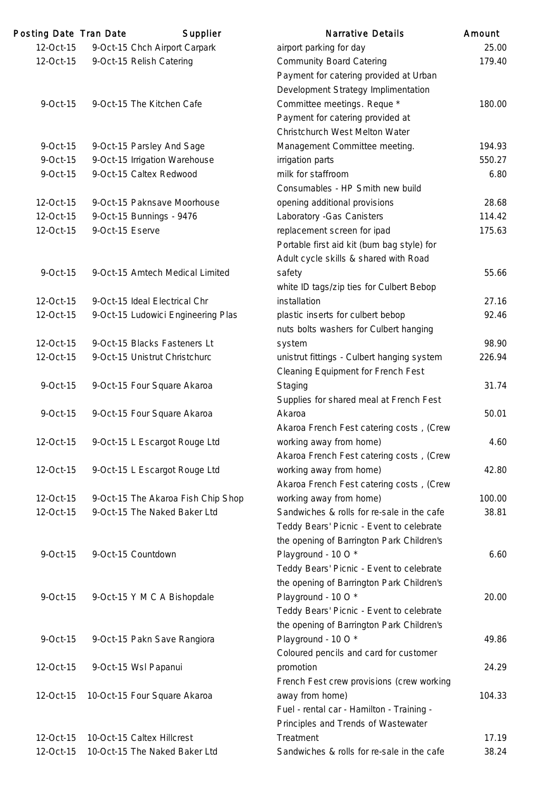| Posting Date Tran Date |                 | Supplier                           | <b>Narrative Details</b>                   | Amount |
|------------------------|-----------------|------------------------------------|--------------------------------------------|--------|
| 12-Oct-15              |                 | 9-Oct-15 Chch Airport Carpark      | airport parking for day                    | 25.00  |
| 12-Oct-15              |                 | 9-Oct-15 Relish Catering           | <b>Community Board Catering</b>            | 179.40 |
|                        |                 |                                    | Payment for catering provided at Urban     |        |
|                        |                 |                                    | Development Strategy Implimentation        |        |
| 9-Oct-15               |                 | 9-Oct-15 The Kitchen Cafe          | Committee meetings. Reque *                | 180.00 |
|                        |                 |                                    | Payment for catering provided at           |        |
|                        |                 |                                    | Christchurch West Melton Water             |        |
| 9-Oct-15               |                 | 9-Oct-15 Parsley And Sage          | Management Committee meeting.              | 194.93 |
| 9-Oct-15               |                 | 9-Oct-15 Irrigation Warehouse      | irrigation parts                           | 550.27 |
| 9-Oct-15               |                 | 9-Oct-15 Caltex Redwood            | milk for staffroom                         | 6.80   |
|                        |                 |                                    | Consumables - HP Smith new build           |        |
| 12-Oct-15              |                 | 9-Oct-15 Paknsave Moorhouse        | opening additional provisions              | 28.68  |
| 12-Oct-15              |                 | 9-Oct-15 Bunnings - 9476           | Laboratory - Gas Canisters                 | 114.42 |
| 12-Oct-15              | 9-Oct-15 Eserve |                                    | replacement screen for ipad                | 175.63 |
|                        |                 |                                    | Portable first aid kit (bum bag style) for |        |
|                        |                 |                                    | Adult cycle skills & shared with Road      |        |
| 9-Oct-15               |                 | 9-Oct-15 Amtech Medical Limited    | safety                                     | 55.66  |
|                        |                 |                                    | white ID tags/zip ties for Culbert Bebop   |        |
| 12-Oct-15              |                 | 9-Oct-15 Ideal Electrical Chr      | installation                               | 27.16  |
| 12-Oct-15              |                 | 9-Oct-15 Ludowici Engineering Plas | plastic inserts for culbert bebop          | 92.46  |
|                        |                 |                                    | nuts bolts washers for Culbert hanging     |        |
| 12-Oct-15              |                 | 9-Oct-15 Blacks Fasteners Lt       | system                                     | 98.90  |
| 12-Oct-15              |                 | 9-Oct-15 Unistrut Christchurc      | unistrut fittings - Culbert hanging system | 226.94 |
|                        |                 |                                    | Cleaning Equipment for French Fest         |        |
| 9-Oct-15               |                 | 9-Oct-15 Four Square Akaroa        | Staging                                    | 31.74  |
|                        |                 |                                    | Supplies for shared meal at French Fest    |        |
| 9-Oct-15               |                 | 9-Oct-15 Four Square Akaroa        | Akaroa                                     | 50.01  |
|                        |                 |                                    | Akaroa French Fest catering costs, (Crew   |        |
| 12-Oct-15              |                 | 9-Oct-15 L Escargot Rouge Ltd      | working away from home)                    | 4.60   |
|                        |                 |                                    | Akaroa French Fest catering costs, (Crew   |        |
| 12-Oct-15              |                 | 9-Oct-15 L Escargot Rouge Ltd      | working away from home)                    | 42.80  |
|                        |                 |                                    | Akaroa French Fest catering costs, (Crew   |        |
| 12-Oct-15              |                 | 9-Oct-15 The Akaroa Fish Chip Shop | working away from home)                    | 100.00 |
| 12-Oct-15              |                 | 9-Oct-15 The Naked Baker Ltd       | Sandwiches & rolls for re-sale in the cafe | 38.81  |
|                        |                 |                                    |                                            |        |
|                        |                 |                                    | Teddy Bears' Picnic - Event to celebrate   |        |
|                        |                 |                                    | the opening of Barrington Park Children's  |        |
| 9-Oct-15               |                 | 9-Oct-15 Countdown                 | Playground - 10 O*                         | 6.60   |
|                        |                 |                                    | Teddy Bears' Picnic - Event to celebrate   |        |
|                        |                 |                                    | the opening of Barrington Park Children's  |        |
| 9-Oct-15               |                 | 9-Oct-15 Y M C A Bishopdale        | Playground - 10 O*                         | 20.00  |
|                        |                 |                                    | Teddy Bears' Picnic - Event to celebrate   |        |
|                        |                 |                                    | the opening of Barrington Park Children's  |        |
| 9-Oct-15               |                 | 9-Oct-15 Pakn Save Rangiora        | Playground - 10 O*                         | 49.86  |
|                        |                 |                                    | Coloured pencils and card for customer     |        |
| 12-Oct-15              |                 | 9-Oct-15 Wsl Papanui               | promotion                                  | 24.29  |
|                        |                 |                                    | French Fest crew provisions (crew working  |        |
| 12-Oct-15              |                 | 10-Oct-15 Four Square Akaroa       | away from home)                            | 104.33 |
|                        |                 |                                    | Fuel - rental car - Hamilton - Training -  |        |
|                        |                 |                                    | Principles and Trends of Wastewater        |        |
| 12-Oct-15              |                 | 10-Oct-15 Caltex Hillcrest         | Treatment                                  | 17.19  |
| 12-Oct-15              |                 | 10-Oct-15 The Naked Baker Ltd      | Sandwiches & rolls for re-sale in the cafe | 38.24  |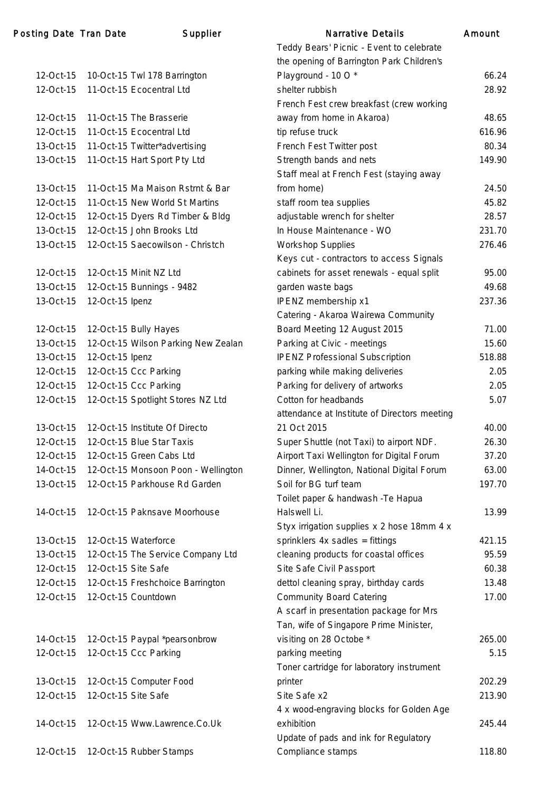# Posting Date Tran Date Supplier

| 12-Oct-15       | 10-Oct-15 Twl 178 Barrington        |
|-----------------|-------------------------------------|
| 12-Oct-15       | 11-Oct-15 Ecocentral Ltd            |
|                 |                                     |
| 12-Oct-15       | 11-Oct-15 The Brasserie             |
| 12-Oct-15       | 11-Oct-15 Ecocentral Ltd            |
| 13-Oct-15       | 11-Oct-15 Twitter*advertising       |
| 13-Oct-15       | 11-Oct-15 Hart Sport Pty Ltd        |
|                 |                                     |
| 13-Oct-15       | 11-Oct-15 Ma Maison Rstrnt & Bar    |
| 12-Oct-15       | 11-Oct-15 New World St Martins      |
| 12-Oct-15       | 12-Oct-15 Dyers Rd Timber & Bldg    |
| 13-Oct-15       | 12-Oct-15 John Brooks Ltd           |
| 13-Oct-15       | 12-Oct-15 Saecowilson - Christch    |
|                 |                                     |
| 12-Oct-15       | 12-Oct-15 Minit NZ Ltd              |
| 13-Oct-15       | 12-Oct-15 Bunnings - 9482           |
| 13-Oct-15       | 12-Oct-15 Ipenz                     |
|                 |                                     |
| 12-Oct-15       | 12-Oct-15 Bully Hayes               |
| 13-Oct-15       | 12-Oct-15 Wilson Parking New Zealan |
| 13-Oct-15       | 12-Oct-15 Ipenz                     |
| 12-Oct-15       | 12-Oct-15 Ccc Parking               |
| 12-Oct-15       | 12-Oct-15 Ccc Parking               |
| 12-Oct-15       | 12-Oct-15 Spotlight Stores NZ Ltd   |
|                 |                                     |
| 13-Oct-15       | 12-Oct-15 Institute Of Directo      |
| 12-Oct-15       | 12-Oct-15 Blue Star Taxis           |
| 12-Oct-15       | 12-Oct-15 Green Cabs Ltd            |
| 14-Oct-15       | 12-Oct-15 Monsoon Poon - Wellington |
| $13 - Oct - 15$ | 12-Oct-15 Parkhouse Rd Garden       |
|                 |                                     |
| 14-Oct-15       | 12-Oct-15 Paknsave Moorhouse        |
|                 |                                     |
| 13-Oct-15       | 12-Oct-15 Waterforce                |
| 13-Oct-15       | 12-Oct-15 The Service Company Ltd   |
| 12-Oct-15       | 12-Oct-15 Site Safe                 |
| 12-Oct-15       | 12-Oct-15 Freshchoice Barrington    |
| 12-Oct-15       | 12-Oct-15 Countdown                 |
|                 |                                     |
|                 |                                     |
| 14-Oct-15       | 12-Oct-15 Paypal *pearsonbrow       |
| 12-Oct-15       | 12-Oct-15 Ccc Parking               |
|                 |                                     |
| 13-Oct-15       | 12-Oct-15 Computer Food             |
| 12-Oct-15       | 12-Oct-15 Site Safe                 |
|                 |                                     |
| 14-Oct-15       | 12-Oct-15 Www.Lawrence.Co.Uk        |
|                 |                                     |
| 12-Oct-15       | 12-Oct-15 Rubber Stamps             |
|                 |                                     |

|           | ing Date Tran Date  | Supplier                            | Narrative Details                                      | Amount |
|-----------|---------------------|-------------------------------------|--------------------------------------------------------|--------|
|           |                     |                                     | Teddy Bears' Picnic - Event to celebrate               |        |
|           |                     |                                     | the opening of Barrington Park Children's              |        |
| 12-Oct-15 |                     | 10-Oct-15 Twl 178 Barrington        | Playground - 10 O*                                     | 66.24  |
| 12-Oct-15 |                     | 11-Oct-15 Ecocentral Ltd            | shelter rubbish                                        | 28.92  |
|           |                     |                                     | French Fest crew breakfast (crew working               |        |
| 12-Oct-15 |                     | 11-Oct-15 The Brasserie             | away from home in Akaroa)                              | 48.65  |
| 12-Oct-15 |                     | 11-Oct-15 Ecocentral Ltd            | tip refuse truck                                       | 616.96 |
| 13-Oct-15 |                     | 11-Oct-15 Twitter*advertising       | French Fest Twitter post                               | 80.34  |
| 13-Oct-15 |                     | 11-Oct-15 Hart Sport Pty Ltd        | Strength bands and nets                                | 149.90 |
|           |                     |                                     | Staff meal at French Fest (staying away                |        |
| 13-Oct-15 |                     | 11-Oct-15 Ma Maison Rstrnt & Bar    | from home)                                             | 24.50  |
| 12-Oct-15 |                     | 11-Oct-15 New World St Martins      | staff room tea supplies                                | 45.82  |
| 12-Oct-15 |                     | 12-Oct-15 Dyers Rd Timber & Bldg    | adjustable wrench for shelter                          | 28.57  |
| 13-Oct-15 |                     | 12-Oct-15 John Brooks Ltd           | In House Maintenance - WO                              | 231.70 |
| 13-Oct-15 |                     | 12-Oct-15 Saecowilson - Christch    | <b>Workshop Supplies</b>                               | 276.46 |
|           |                     |                                     | Keys cut - contractors to access Signals               |        |
| 12-Oct-15 |                     | 12-Oct-15 Minit NZ Ltd              | cabinets for asset renewals - equal split              | 95.00  |
| 13-Oct-15 |                     | 12-Oct-15 Bunnings - 9482           | garden waste bags                                      | 49.68  |
| 13-Oct-15 | 12-Oct-15 Ipenz     |                                     | IPENZ membership x1                                    | 237.36 |
|           |                     |                                     | Catering - Akaroa Wairewa Community                    |        |
| 12-Oct-15 |                     | 12-Oct-15 Bully Hayes               | Board Meeting 12 August 2015                           | 71.00  |
| 13-Oct-15 |                     | 12-Oct-15 Wilson Parking New Zealan | Parking at Civic - meetings                            | 15.60  |
| 13-Oct-15 | 12-Oct-15 Ipenz     |                                     | <b>IPENZ Professional Subscription</b>                 | 518.88 |
| 12-Oct-15 |                     | 12-Oct-15 Ccc Parking               | parking while making deliveries                        | 2.05   |
| 12-Oct-15 |                     | 12-Oct-15 Ccc Parking               | Parking for delivery of artworks                       | 2.05   |
| 12-Oct-15 |                     | 12-Oct-15 Spotlight Stores NZ Ltd   | Cotton for headbands                                   | 5.07   |
|           |                     |                                     | attendance at Institute of Directors meeting           |        |
| 13-Oct-15 |                     | 12-Oct-15 Institute Of Directo      | 21 Oct 2015                                            | 40.00  |
| 12-Oct-15 |                     | 12-Oct-15 Blue Star Taxis           | Super Shuttle (not Taxi) to airport NDF.               | 26.30  |
| 12-Oct-15 |                     | 12-Oct-15 Green Cabs Ltd            | Airport Taxi Wellington for Digital Forum              | 37.20  |
| 14-Oct-15 |                     | 12-Oct-15 Monsoon Poon - Wellington | Dinner, Wellington, National Digital Forum             | 63.00  |
| 13-Oct-15 |                     | 12-Oct-15 Parkhouse Rd Garden       | Soil for BG turf team                                  | 197.70 |
|           |                     |                                     | Toilet paper & handwash - Te Hapua                     |        |
| 14-Oct-15 |                     | 12-Oct-15 Paknsave Moorhouse        | Halswell Li.                                           | 13.99  |
|           |                     |                                     | Styx irrigation supplies x 2 hose 18mm 4 x             |        |
| 13-Oct-15 |                     | 12-Oct-15 Waterforce                | sprinklers 4x sadles = fittings                        | 421.15 |
| 13-Oct-15 |                     | 12-Oct-15 The Service Company Ltd   | cleaning products for coastal offices                  | 95.59  |
| 12-Oct-15 | 12-Oct-15 Site Safe |                                     | Site Safe Civil Passport                               | 60.38  |
| 12-Oct-15 |                     | 12-Oct-15 Freshchoice Barrington    | dettol cleaning spray, birthday cards                  | 13.48  |
| 12-Oct-15 |                     | 12-Oct-15 Countdown                 | <b>Community Board Catering</b>                        | 17.00  |
|           |                     |                                     | A scarf in presentation package for Mrs                |        |
|           |                     |                                     | Tan, wife of Singapore Prime Minister,                 |        |
| 14-Oct-15 |                     | 12-Oct-15 Paypal *pearsonbrow       | visiting on 28 Octobe *                                | 265.00 |
| 12-Oct-15 |                     | 12-Oct-15 Ccc Parking               | parking meeting                                        | 5.15   |
|           |                     |                                     | Toner cartridge for laboratory instrument              |        |
| 13-Oct-15 |                     | 12-Oct-15 Computer Food             | printer                                                | 202.29 |
| 12-Oct-15 | 12-Oct-15 Site Safe |                                     | Site Safe x2                                           | 213.90 |
|           |                     |                                     |                                                        |        |
| 14-Oct-15 |                     | 12-Oct-15 Www.Lawrence.Co.Uk        | 4 x wood-engraving blocks for Golden Age<br>exhibition | 245.44 |
|           |                     |                                     |                                                        |        |
|           |                     |                                     | Update of pads and ink for Regulatory                  | 118.80 |
| 12-Oct-15 |                     | 12-Oct-15 Rubber Stamps             | Compliance stamps                                      |        |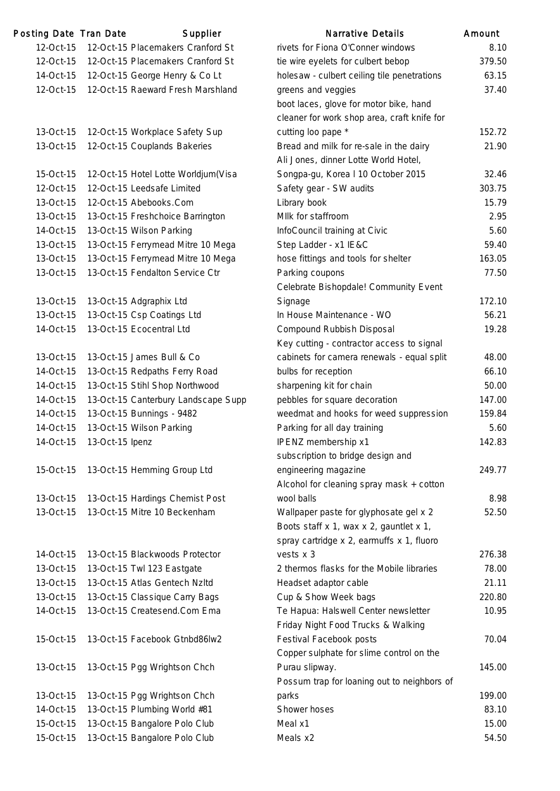| Posting Date Tran Date |                 | Supplier                            | Narrative Details                           | Amount |
|------------------------|-----------------|-------------------------------------|---------------------------------------------|--------|
| 12-Oct-15              |                 | 12-Oct-15 Placemakers Cranford St   | rivets for Fiona O'Conner windows           | 8.10   |
| 12-Oct-15              |                 | 12-Oct-15 Placemakers Cranford St   | tie wire eyelets for culbert bebop          | 379.50 |
| 14-Oct-15              |                 | 12-Oct-15 George Henry & Co Lt      | holesaw - culbert ceiling tile penetrations | 63.15  |
| 12-Oct-15              |                 | 12-Oct-15 Raeward Fresh Marshland   | greens and veggies                          | 37.40  |
|                        |                 |                                     | boot laces, glove for motor bike, hand      |        |
|                        |                 |                                     | cleaner for work shop area, craft knife for |        |
| 13-Oct-15              |                 | 12-Oct-15 Workplace Safety Sup      | cutting loo pape *                          | 152.72 |
| 13-Oct-15              |                 | 12-Oct-15 Couplands Bakeries        | Bread and milk for re-sale in the dairy     | 21.90  |
|                        |                 |                                     | Ali Jones, dinner Lotte World Hotel,        |        |
| 15-Oct-15              |                 | 12-Oct-15 Hotel Lotte Worldjum(Visa | Songpa-gu, Korea I 10 October 2015          | 32.46  |
| 12-Oct-15              |                 | 12-Oct-15 Leedsafe Limited          | Safety gear - SW audits                     | 303.75 |
| 13-Oct-15              |                 | 12-Oct-15 Abebooks.Com              | Library book                                | 15.79  |
| 13-Oct-15              |                 | 13-Oct-15 Freshchoice Barrington    | Mllk for staffroom                          | 2.95   |
| 14-Oct-15              |                 | 13-Oct-15 Wilson Parking            | InfoCouncil training at Civic               | 5.60   |
| 13-Oct-15              |                 | 13-Oct-15 Ferrymead Mitre 10 Mega   | Step Ladder - x1 IE&C                       | 59.40  |
| 13-Oct-15              |                 | 13-Oct-15 Ferrymead Mitre 10 Mega   | hose fittings and tools for shelter         | 163.05 |
| 13-Oct-15              |                 | 13-Oct-15 Fendalton Service Ctr     | Parking coupons                             | 77.50  |
|                        |                 |                                     | Celebrate Bishopdale! Community Event       |        |
| 13-Oct-15              |                 | 13-Oct-15 Adgraphix Ltd             | Signage                                     | 172.10 |
| 13-Oct-15              |                 | 13-Oct-15 Csp Coatings Ltd          | In House Maintenance - WO                   | 56.21  |
| 14-Oct-15              |                 | 13-Oct-15 Ecocentral Ltd            | Compound Rubbish Disposal                   | 19.28  |
|                        |                 |                                     | Key cutting - contractor access to signal   |        |
| 13-Oct-15              |                 | 13-Oct-15 James Bull & Co           | cabinets for camera renewals - equal split  | 48.00  |
| 14-Oct-15              |                 | 13-Oct-15 Redpaths Ferry Road       | bulbs for reception                         | 66.10  |
| 14-Oct-15              |                 | 13-Oct-15 Stihl Shop Northwood      | sharpening kit for chain                    | 50.00  |
| 14-Oct-15              |                 | 13-Oct-15 Canterbury Landscape Supp | pebbles for square decoration               | 147.00 |
| 14-Oct-15              |                 | 13-Oct-15 Bunnings - 9482           | weedmat and hooks for weed suppression      | 159.84 |
| 14-Oct-15              |                 | 13-Oct-15 Wilson Parking            | Parking for all day training                | 5.60   |
| 14-Oct-15              | 13-Oct-15 Ipenz |                                     | IPENZ membership x1                         | 142.83 |
|                        |                 |                                     | subscription to bridge design and           |        |
|                        |                 |                                     |                                             | 249.77 |
| 15-Oct-15              |                 | 13-Oct-15 Hemming Group Ltd         | engineering magazine                        |        |
|                        |                 |                                     | Alcohol for cleaning spray mask + cotton    |        |
| 13-Oct-15              |                 | 13-Oct-15 Hardings Chemist Post     | wool balls                                  | 8.98   |
| 13-Oct-15              |                 | 13-Oct-15 Mitre 10 Beckenham        | Wallpaper paste for glyphosate gel x 2      | 52.50  |
|                        |                 |                                     | Boots staff x 1, wax x 2, gauntlet x 1,     |        |
|                        |                 |                                     | spray cartridge x 2, earmuffs x 1, fluoro   |        |
| 14-Oct-15              |                 | 13-Oct-15 Blackwoods Protector      | vests x 3                                   | 276.38 |
| 13-Oct-15              |                 | 13-Oct-15 Twl 123 Eastgate          | 2 thermos flasks for the Mobile libraries   | 78.00  |
| 13-Oct-15              |                 | 13-Oct-15 Atlas Gentech Nzltd       | Headset adaptor cable                       | 21.11  |
| 13-Oct-15              |                 | 13-Oct-15 Classique Carry Bags      | Cup & Show Week bags                        | 220.80 |
| 14-Oct-15              |                 | 13-Oct-15 Createsend.Com Ema        | Te Hapua: Halswell Center newsletter        | 10.95  |
|                        |                 |                                     | Friday Night Food Trucks & Walking          |        |
| 15-Oct-15              |                 | 13-Oct-15 Facebook Gtnbd86lw2       | Festival Facebook posts                     | 70.04  |
|                        |                 |                                     | Copper sulphate for slime control on the    |        |
| 13-Oct-15              |                 | 13-Oct-15 Pgg Wrightson Chch        | Purau slipway.                              | 145.00 |
|                        |                 |                                     | Possum trap for loaning out to neighbors of |        |
| 13-Oct-15              |                 | 13-Oct-15 Pgg Wrightson Chch        | parks                                       | 199.00 |
| 14-Oct-15              |                 | 13-Oct-15 Plumbing World #81        | Shower hoses                                | 83.10  |
| 15-Oct-15              |                 | 13-Oct-15 Bangalore Polo Club       | Meal x1                                     | 15.00  |
| 15-Oct-15              |                 | 13-Oct-15 Bangalore Polo Club       | Meals x2                                    | 54.50  |
|                        |                 |                                     |                                             |        |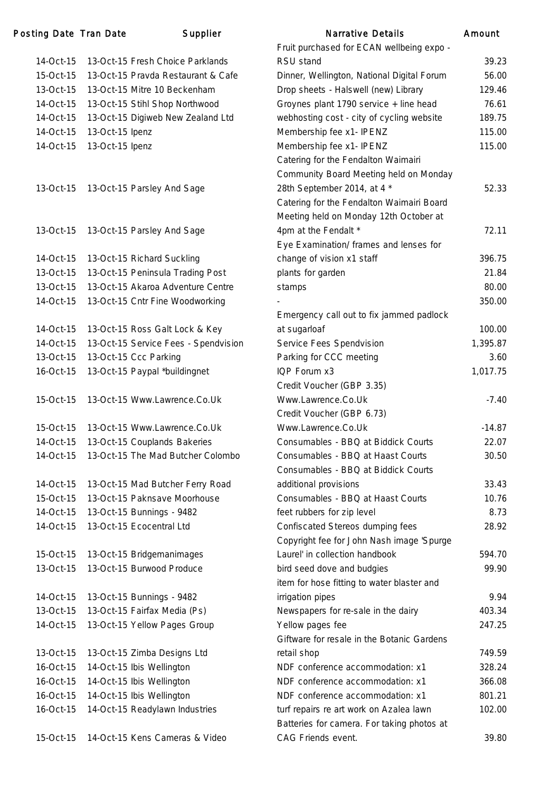| Posting Date Tran Date |                 | Supplier                                                  | <b>Narrative Details</b>                                       | Amount   |
|------------------------|-----------------|-----------------------------------------------------------|----------------------------------------------------------------|----------|
|                        |                 |                                                           | Fruit purchased for ECAN wellbeing expo -                      |          |
| 14-Oct-15              |                 | 13-Oct-15 Fresh Choice Parklands                          | RSU stand                                                      | 39.23    |
| 15-Oct-15              |                 | 13-Oct-15 Pravda Restaurant & Cafe                        | Dinner, Wellington, National Digital Forum                     | 56.00    |
| 13-Oct-15              |                 | 13-Oct-15 Mitre 10 Beckenham                              | Drop sheets - Halswell (new) Library                           | 129.46   |
| 14-Oct-15              |                 | 13-Oct-15 Stihl Shop Northwood                            | Groynes plant 1790 service + line head                         | 76.61    |
| 14-Oct-15              |                 | 13-Oct-15 Digiweb New Zealand Ltd                         | webhosting cost - city of cycling website                      | 189.75   |
| 14-Oct-15              | 13-Oct-15 Ipenz |                                                           | Membership fee x1- IPENZ                                       | 115.00   |
| 14-Oct-15              | 13-Oct-15 Ipenz |                                                           | Membership fee x1- IPENZ                                       | 115.00   |
|                        |                 |                                                           | Catering for the Fendalton Waimairi                            |          |
|                        |                 |                                                           | Community Board Meeting held on Monday                         |          |
| 13-Oct-15              |                 | 13-Oct-15 Parsley And Sage                                | 28th September 2014, at 4 *                                    | 52.33    |
|                        |                 |                                                           | Catering for the Fendalton Waimairi Board                      |          |
|                        |                 |                                                           | Meeting held on Monday 12th October at                         |          |
| 13-Oct-15              |                 | 13-Oct-15 Parsley And Sage                                | 4pm at the Fendalt *                                           | 72.11    |
|                        |                 |                                                           | Eye Examination/ frames and lenses for                         |          |
| 14-Oct-15              |                 | 13-Oct-15 Richard Suckling                                | change of vision x1 staff                                      | 396.75   |
| 13-Oct-15              |                 | 13-Oct-15 Peninsula Trading Post                          | plants for garden                                              | 21.84    |
| 13-Oct-15              |                 | 13-Oct-15 Akaroa Adventure Centre                         | stamps                                                         | 80.00    |
| 14-Oct-15              |                 | 13-Oct-15 Cntr Fine Woodworking                           |                                                                | 350.00   |
|                        |                 |                                                           | Emergency call out to fix jammed padlock                       |          |
| 14-Oct-15              |                 | 13-Oct-15 Ross Galt Lock & Key                            | at sugarloaf                                                   | 100.00   |
| 14-Oct-15              |                 | 13-Oct-15 Service Fees - Spendvision                      | Service Fees Spendvision                                       | 1,395.87 |
| 13-Oct-15              |                 | 13-Oct-15 Ccc Parking                                     | Parking for CCC meeting                                        | 3.60     |
| 16-Oct-15              |                 | 13-Oct-15 Paypal *buildingnet                             | IQP Forum x3                                                   | 1,017.75 |
|                        |                 |                                                           | Credit Voucher (GBP 3.35)                                      |          |
| 15-Oct-15              |                 | 13-Oct-15 Www.Lawrence.Co.Uk                              | Www.Lawrence.Co.Uk                                             | $-7.40$  |
|                        |                 |                                                           | Credit Voucher (GBP 6.73)                                      |          |
| 15-Oct-15              |                 | 13-Oct-15 Www.Lawrence.Co.Uk                              | Www.Lawrence.Co.Uk                                             | $-14.87$ |
| 14-Oct-15              |                 | 13-Oct-15 Couplands Bakeries                              | Consumables - BBQ at Biddick Courts                            | 22.07    |
| 14-Oct-15              |                 | 13-Oct-15 The Mad Butcher Colombo                         | Consumables - BBQ at Haast Courts                              | 30.50    |
|                        |                 |                                                           | Consumables - BBQ at Biddick Courts                            |          |
| 14-Oct-15              |                 | 13-Oct-15 Mad Butcher Ferry Road                          | additional provisions                                          | 33.43    |
| 15-Oct-15              |                 | 13-Oct-15 Paknsave Moorhouse                              | Consumables - BBQ at Haast Courts                              | 10.76    |
| 14-Oct-15              |                 | 13-Oct-15 Bunnings - 9482                                 | feet rubbers for zip level                                     | 8.73     |
| 14-Oct-15              |                 | 13-Oct-15 Ecocentral Ltd                                  | Confiscated Stereos dumping fees                               | 28.92    |
|                        |                 |                                                           | Copyright fee for John Nash image 'Spurge                      |          |
| 15-Oct-15              |                 | 13-Oct-15 Bridgemanimages                                 | Laurel' in collection handbook                                 | 594.70   |
| 13-Oct-15              |                 | 13-Oct-15 Burwood Produce                                 | bird seed dove and budgies                                     | 99.90    |
|                        |                 |                                                           | item for hose fitting to water blaster and                     |          |
| 14-Oct-15              |                 |                                                           | irrigation pipes                                               | 9.94     |
| 13-Oct-15              |                 | 13-Oct-15 Bunnings - 9482<br>13-Oct-15 Fairfax Media (Ps) |                                                                | 403.34   |
|                        |                 |                                                           | Newspapers for re-sale in the dairy                            |          |
| 14-Oct-15              |                 | 13-Oct-15 Yellow Pages Group                              | Yellow pages fee<br>Giftware for resale in the Botanic Gardens | 247.25   |
|                        |                 |                                                           |                                                                |          |
| 13-Oct-15              |                 | 13-Oct-15 Zimba Designs Ltd                               | retail shop                                                    | 749.59   |
| 16-Oct-15              |                 | 14-Oct-15 Ibis Wellington                                 | NDF conference accommodation: x1                               | 328.24   |
| 16-Oct-15              |                 | 14-Oct-15 Ibis Wellington                                 | NDF conference accommodation: x1                               | 366.08   |
| 16-Oct-15              |                 | 14-Oct-15 Ibis Wellington                                 | NDF conference accommodation: x1                               | 801.21   |
| 16-Oct-15              |                 | 14-Oct-15 Readylawn Industries                            | turf repairs re art work on Azalea lawn                        | 102.00   |
|                        |                 |                                                           | Batteries for camera. For taking photos at                     |          |
| 15-Oct-15              |                 | 14-Oct-15 Kens Cameras & Video                            | CAG Friends event.                                             | 39.80    |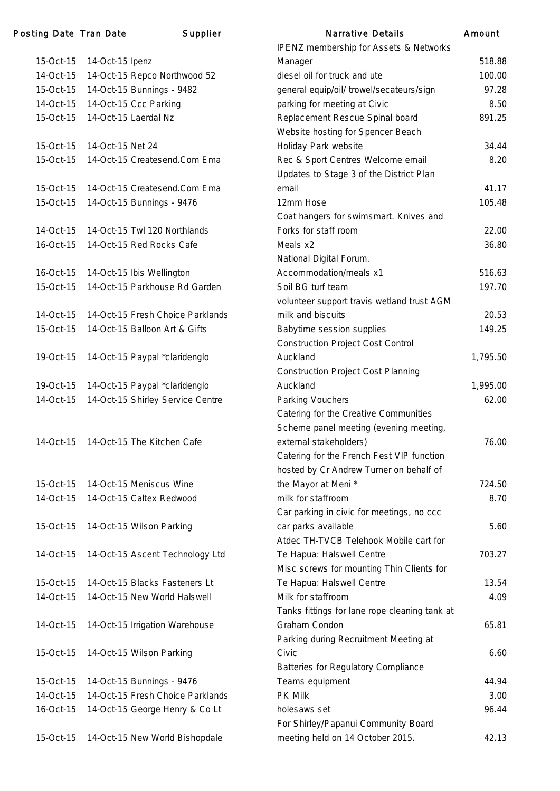| 15-Oct-15       | 14-Oct-15 Ipenz                  |
|-----------------|----------------------------------|
| 14-Oct-15       | 14-Oct-15 Repco Northwood 52     |
| 15-Oct-15       | 14-Oct-15 Bunnings - 9482        |
| 14-Oct-15       | 14-Oct-15 Ccc Parking            |
| 15-Oct-15       | 14-Oct-15 Laerdal Nz             |
|                 |                                  |
| 15-Oct-15       | 14-Oct-15 Net 24                 |
| 15-Oct-15       | 14-Oct-15 Createsend.Com Ema     |
|                 |                                  |
| 15-Oct-15       | 14-Oct-15 Createsend.Com Ema     |
| 15-Oct-15       | 14-Oct-15 Bunnings - 9476        |
|                 |                                  |
| 14-Oct-15       | 14-Oct-15 Twl 120 Northlands     |
| $16$ -Oct- $15$ | 14-Oct-15 Red Rocks Cafe         |
|                 |                                  |
| 16-Oct-15       | 14-Oct-15 Ibis Wellington        |
| 15-Oct-15       | 14-Oct-15 Parkhouse Rd Garden    |
| 14-Oct-15       | 14-Oct-15 Fresh Choice Parklands |
| 15-Oct-15       | 14-Oct-15 Balloon Art & Gifts    |
|                 |                                  |
| 19-Oct-15       | 14-Oct-15 Paypal *claridenglo    |
|                 |                                  |
| 19-Oct-15       | 14-Oct-15 Paypal *claridenglo    |
| 14-Oct-15       | 14-Oct-15 Shirley Service Centre |
|                 |                                  |
|                 |                                  |
| 14-Oct-15       | 14-Oct-15 The Kitchen Cafe       |
|                 |                                  |
|                 |                                  |
| 15-Oct-15       | 14-Oct-15 Meniscus Wine          |
| 14-Oct-15       | 14-Oct-15 Caltex Redwood         |
| 15-Oct-15       | 14-Oct-15 Wilson Parking         |
|                 |                                  |
| 14-Oct-15       | 14-Oct-15 Ascent Technology Ltd  |
|                 |                                  |
| 15-Oct-15       | 14-Oct-15 Blacks Fasteners Lt    |
| 14-Oct-15       | 14-Oct-15 New World Halswell     |
|                 |                                  |
| 14-Oct-15       | 14-Oct-15 Irrigation Warehouse   |
|                 |                                  |
| 15-Oct-15       | 14-Oct-15 Wilson Parking         |
|                 |                                  |
| 15-Oct-15       | 14-Oct-15 Bunnings - 9476        |
| 14-Oct-15       | 14-Oct-15 Fresh Choice Parklands |
| 16-Oct-15       | 14-Oct-15 George Henry & Co Lt   |
| 15-Oct-15       |                                  |
|                 | 14-Oct-15 New World Bishopdale   |

| Posting Date Tran Date |                  | Supplier                         | <b>Narrative Details</b>                      | Amount   |
|------------------------|------------------|----------------------------------|-----------------------------------------------|----------|
|                        |                  |                                  | <b>IPENZ</b> membership for Assets & Networks |          |
| 15-Oct-15              | 14-Oct-15 Ipenz  |                                  | Manager                                       | 518.88   |
| 14-Oct-15              |                  | 14-Oct-15 Repco Northwood 52     | diesel oil for truck and ute                  | 100.00   |
| 15-Oct-15              |                  | 14-Oct-15 Bunnings - 9482        | general equip/oil/ trowel/secateurs/sign      | 97.28    |
| 14-Oct-15              |                  | 14-Oct-15 Ccc Parking            | parking for meeting at Civic                  | 8.50     |
| 15-Oct-15              |                  | 14-Oct-15 Laerdal Nz             | Replacement Rescue Spinal board               | 891.25   |
|                        |                  |                                  | Website hosting for Spencer Beach             |          |
| 15-Oct-15              | 14-Oct-15 Net 24 |                                  | Holiday Park website                          | 34.44    |
| 15-Oct-15              |                  | 14-Oct-15 Createsend.Com Ema     | Rec & Sport Centres Welcome email             | 8.20     |
|                        |                  |                                  | Updates to Stage 3 of the District Plan       |          |
| 15-Oct-15              |                  | 14-Oct-15 Createsend.Com Ema     | email                                         | 41.17    |
| 15-Oct-15              |                  | 14-Oct-15 Bunnings - 9476        | 12mm Hose                                     | 105.48   |
|                        |                  |                                  | Coat hangers for swimsmart. Knives and        |          |
| 14-Oct-15              |                  | 14-Oct-15 Twl 120 Northlands     | Forks for staff room                          | 22.00    |
| 16-Oct-15              |                  | 14-Oct-15 Red Rocks Cafe         | Meals x2                                      | 36.80    |
|                        |                  |                                  | National Digital Forum.                       |          |
| 16-Oct-15              |                  | 14-Oct-15 Ibis Wellington        | Accommodation/meals x1                        | 516.63   |
| 15-Oct-15              |                  | 14-Oct-15 Parkhouse Rd Garden    | Soil BG turf team                             | 197.70   |
|                        |                  |                                  | volunteer support travis wetland trust AGM    |          |
| 14-Oct-15              |                  | 14-Oct-15 Fresh Choice Parklands | milk and biscuits                             | 20.53    |
| 15-Oct-15              |                  | 14-Oct-15 Balloon Art & Gifts    | Babytime session supplies                     | 149.25   |
|                        |                  |                                  | <b>Construction Project Cost Control</b>      |          |
| 19-Oct-15              |                  | 14-Oct-15 Paypal *claridenglo    | Auckland                                      | 1,795.50 |
|                        |                  |                                  | <b>Construction Project Cost Planning</b>     |          |
| 19-Oct-15              |                  | 14-Oct-15 Paypal *claridenglo    | Auckland                                      | 1,995.00 |
| 14-Oct-15              |                  | 14-Oct-15 Shirley Service Centre | Parking Vouchers                              | 62.00    |
|                        |                  |                                  | Catering for the Creative Communities         |          |
|                        |                  |                                  | Scheme panel meeting (evening meeting,        |          |
| 14-Oct-15              |                  | 14-Oct-15 The Kitchen Cafe       | external stakeholders)                        | 76.00    |
|                        |                  |                                  | Catering for the French Fest VIP function     |          |
|                        |                  |                                  | hosted by Cr Andrew Turner on behalf of       |          |
| 15-Oct-15              |                  | 14-Oct-15 Meniscus Wine          | the Mayor at Meni *                           | 724.50   |
| 14-Oct-15              |                  | 14-Oct-15 Caltex Redwood         | milk for staffroom                            | 8.70     |
|                        |                  |                                  | Car parking in civic for meetings, no ccc     |          |
| 15-Oct-15              |                  | 14-Oct-15 Wilson Parking         | car parks available                           | 5.60     |
|                        |                  |                                  | Atdec TH-TVCB Telehook Mobile cart for        |          |
| 14-Oct-15              |                  | 14-Oct-15 Ascent Technology Ltd  | Te Hapua: Halswell Centre                     | 703.27   |
|                        |                  |                                  | Misc screws for mounting Thin Clients for     |          |
| 15-Oct-15              |                  | 14-Oct-15 Blacks Fasteners Lt    | Te Hapua: Halswell Centre                     | 13.54    |
| 14-Oct-15              |                  | 14-Oct-15 New World Halswell     | Milk for staffroom                            | 4.09     |
|                        |                  |                                  | Tanks fittings for lane rope cleaning tank at |          |
| 14-Oct-15              |                  | 14-Oct-15 Irrigation Warehouse   | Graham Condon                                 | 65.81    |
|                        |                  |                                  | Parking during Recruitment Meeting at         |          |
| 15-Oct-15              |                  | 14-Oct-15 Wilson Parking         | Civic                                         | 6.60     |
|                        |                  |                                  | Batteries for Regulatory Compliance           |          |
| 15-Oct-15              |                  | 14-Oct-15 Bunnings - 9476        | Teams equipment                               | 44.94    |
| 14-Oct-15              |                  | 14-Oct-15 Fresh Choice Parklands | <b>PK Milk</b>                                | 3.00     |
| 16-Oct-15              |                  | 14-Oct-15 George Henry & Co Lt   | holesaws set                                  | 96.44    |
|                        |                  |                                  | For Shirley/Papanui Community Board           |          |
| 15-Oct-15              |                  | 14-Oct-15 New World Bishopdale   | meeting held on 14 October 2015.              | 42.13    |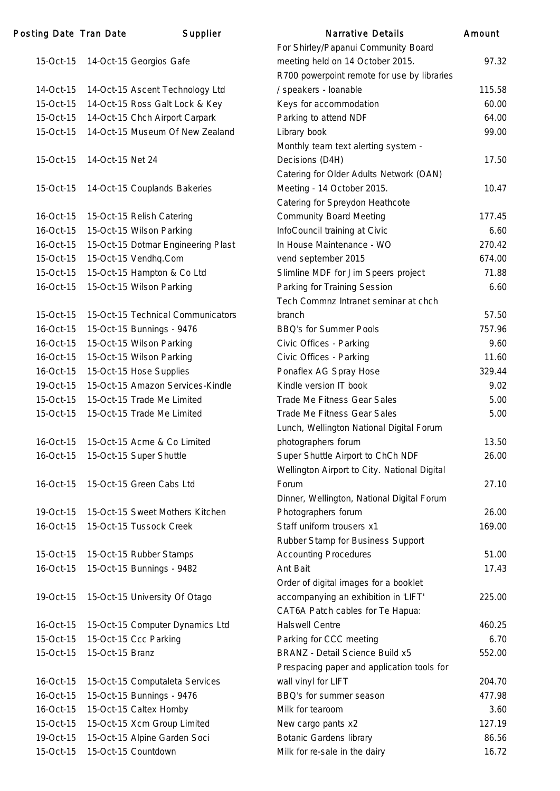| Posting Date Tran Date |                  | Supplier                           | <b>Narrative Details</b>                                                      | Amount |
|------------------------|------------------|------------------------------------|-------------------------------------------------------------------------------|--------|
|                        |                  |                                    | For Shirley/Papanui Community Board                                           |        |
| 15-Oct-15              |                  | 14-Oct-15 Georgios Gafe            | meeting held on 14 October 2015.                                              | 97.32  |
|                        |                  |                                    | R700 powerpoint remote for use by libraries                                   |        |
| 14-Oct-15              |                  | 14-Oct-15 Ascent Technology Ltd    | / speakers - loanable                                                         | 115.58 |
| 15-Oct-15              |                  | 14-Oct-15 Ross Galt Lock & Key     | Keys for accommodation                                                        | 60.00  |
| 15-Oct-15              |                  | 14-Oct-15 Chch Airport Carpark     | Parking to attend NDF                                                         | 64.00  |
| 15-Oct-15              |                  | 14-Oct-15 Museum Of New Zealand    | Library book                                                                  | 99.00  |
|                        |                  |                                    | Monthly team text alerting system -                                           |        |
| 15-Oct-15              | 14-Oct-15 Net 24 |                                    | Decisions (D4H)                                                               | 17.50  |
|                        |                  |                                    | Catering for Older Adults Network (OAN)                                       |        |
| 15-Oct-15              |                  | 14-Oct-15 Couplands Bakeries       | Meeting - 14 October 2015.                                                    | 10.47  |
|                        |                  |                                    | Catering for Spreydon Heathcote                                               |        |
| 16-Oct-15              |                  | 15-Oct-15 Relish Catering          | <b>Community Board Meeting</b>                                                | 177.45 |
| 16-Oct-15              |                  | 15-Oct-15 Wilson Parking           | InfoCouncil training at Civic                                                 | 6.60   |
| 16-Oct-15              |                  | 15-Oct-15 Dotmar Engineering Plast | In House Maintenance - WO                                                     | 270.42 |
| 15-Oct-15              |                  | 15-Oct-15 Vendhq.Com               | vend september 2015                                                           | 674.00 |
| 15-Oct-15              |                  | 15-Oct-15 Hampton & Co Ltd         | Slimline MDF for Jim Speers project                                           | 71.88  |
| 16-Oct-15              |                  | 15-Oct-15 Wilson Parking           | Parking for Training Session                                                  | 6.60   |
|                        |                  |                                    | Tech Commnz Intranet seminar at chch                                          |        |
| 15-Oct-15              |                  | 15-Oct-15 Technical Communicators  | branch                                                                        | 57.50  |
| 16-Oct-15              |                  | 15-Oct-15 Bunnings - 9476          | <b>BBQ's for Summer Pools</b>                                                 | 757.96 |
| 16-Oct-15              |                  | 15-Oct-15 Wilson Parking           | Civic Offices - Parking                                                       | 9.60   |
| 16-Oct-15              |                  | 15-Oct-15 Wilson Parking           | Civic Offices - Parking                                                       | 11.60  |
| 16-Oct-15              |                  | 15-Oct-15 Hose Supplies            | Ponaflex AG Spray Hose                                                        | 329.44 |
| 19-Oct-15              |                  | 15-Oct-15 Amazon Services-Kindle   | Kindle version IT book                                                        | 9.02   |
| 15-Oct-15              |                  | 15-Oct-15 Trade Me Limited         | <b>Trade Me Fitness Gear Sales</b>                                            | 5.00   |
| 15-Oct-15              |                  | 15-Oct-15 Trade Me Limited         | Trade Me Fitness Gear Sales                                                   | 5.00   |
|                        |                  |                                    | Lunch, Wellington National Digital Forum                                      |        |
| 16-Oct-15              |                  | 15-Oct-15 Acme & Co Limited        | photographers forum                                                           | 13.50  |
| 16-Oct-15              |                  | 15-Oct-15 Super Shuttle            | Super Shuttle Airport to ChCh NDF                                             | 26.00  |
|                        |                  |                                    | Wellington Airport to City. National Digital                                  |        |
| 16-Oct-15              |                  | 15-Oct-15 Green Cabs Ltd           | Forum                                                                         | 27.10  |
|                        |                  |                                    | Dinner, Wellington, National Digital Forum                                    |        |
| 19-Oct-15              |                  | 15-Oct-15 Sweet Mothers Kitchen    | Photographers forum                                                           | 26.00  |
| 16-Oct-15              |                  | 15-Oct-15 Tussock Creek            | Staff uniform trousers x1                                                     | 169.00 |
|                        |                  |                                    | Rubber Stamp for Business Support                                             |        |
| 15-Oct-15              |                  | 15-Oct-15 Rubber Stamps            | <b>Accounting Procedures</b>                                                  | 51.00  |
| 16-Oct-15              |                  | 15-Oct-15 Bunnings - 9482          | Ant Bait                                                                      | 17.43  |
|                        |                  |                                    |                                                                               |        |
|                        |                  |                                    | Order of digital images for a booklet<br>accompanying an exhibition in 'LIFT' | 225.00 |
| 19-Oct-15              |                  | 15-Oct-15 University Of Otago      |                                                                               |        |
|                        |                  |                                    | CAT6A Patch cables for Te Hapua:<br><b>Halswell Centre</b>                    |        |
| 16-Oct-15              |                  | 15-Oct-15 Computer Dynamics Ltd    |                                                                               | 460.25 |
| 15-Oct-15              |                  | 15-Oct-15 Ccc Parking              | Parking for CCC meeting                                                       | 6.70   |
| 15-Oct-15              | 15-Oct-15 Branz  |                                    | <b>BRANZ</b> - Detail Science Build x5                                        | 552.00 |
|                        |                  |                                    | Prespacing paper and application tools for                                    |        |
| 16-Oct-15              |                  | 15-Oct-15 Computaleta Services     | wall vinyl for LIFT                                                           | 204.70 |
| 16-Oct-15              |                  | 15-Oct-15 Bunnings - 9476          | BBQ's for summer season                                                       | 477.98 |
| 16-Oct-15              |                  | 15-Oct-15 Caltex Hornby            | Milk for tearoom                                                              | 3.60   |
| 15-Oct-15              |                  | 15-Oct-15 Xcm Group Limited        | New cargo pants x2                                                            | 127.19 |
| 19-Oct-15              |                  | 15-Oct-15 Alpine Garden Soci       | <b>Botanic Gardens library</b>                                                | 86.56  |
| 15-Oct-15              |                  | 15-Oct-15 Countdown                | Milk for re-sale in the dairy                                                 | 16.72  |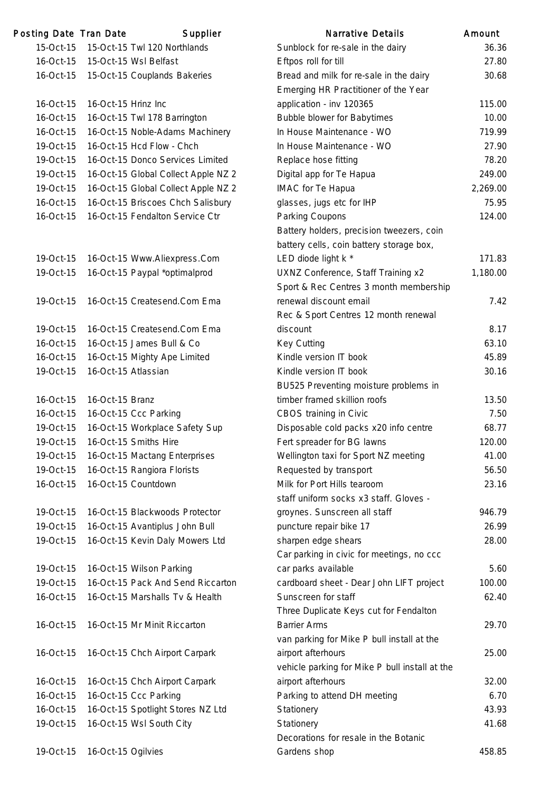| Posting Date Tran Date |                     | Supplier                            | Narrative Details                                   | Amount   |
|------------------------|---------------------|-------------------------------------|-----------------------------------------------------|----------|
| 15-Oct-15              |                     | 15-Oct-15 Twl 120 Northlands        | Sunblock for re-sale in the dairy                   | 36.36    |
| 16-Oct-15              |                     | 15-Oct-15 Wsl Belfast               | Eftpos roll for till                                | 27.80    |
| 16-Oct-15              |                     | 15-Oct-15 Couplands Bakeries        | Bread and milk for re-sale in the dairy             | 30.68    |
|                        |                     |                                     | Emerging HR Practitioner of the Year                |          |
| 16-Oct-15              | 16-Oct-15 Hrinz Inc |                                     | application - inv 120365                            | 115.00   |
| 16-Oct-15              |                     | 16-Oct-15 Twl 178 Barrington        | <b>Bubble blower for Babytimes</b>                  | 10.00    |
| 16-Oct-15              |                     | 16-Oct-15 Noble-Adams Machinery     | In House Maintenance - WO                           | 719.99   |
| 19-Oct-15              |                     | 16-Oct-15 Hcd Flow - Chch           | In House Maintenance - WO                           | 27.90    |
| 19-Oct-15              |                     | 16-Oct-15 Donco Services Limited    | Replace hose fitting                                | 78.20    |
| 19-Oct-15              |                     | 16-Oct-15 Global Collect Apple NZ 2 | Digital app for Te Hapua                            | 249.00   |
| 19-Oct-15              |                     | 16-Oct-15 Global Collect Apple NZ 2 | IMAC for Te Hapua                                   | 2,269.00 |
| 16-Oct-15              |                     | 16-Oct-15 Briscoes Chch Salisbury   | glasses, jugs etc for IHP                           | 75.95    |
| 16-Oct-15              |                     | 16-Oct-15 Fendalton Service Ctr     | Parking Coupons                                     | 124.00   |
|                        |                     |                                     | Battery holders, precision tweezers, coin           |          |
|                        |                     |                                     | battery cells, coin battery storage box,            |          |
| 19-Oct-15              |                     | 16-Oct-15 Www.Aliexpress.Com        | LED diode light k *                                 | 171.83   |
| 19-Oct-15              |                     | 16-Oct-15 Paypal *optimalprod       | UXNZ Conference, Staff Training x2                  | 1,180.00 |
|                        |                     |                                     | Sport & Rec Centres 3 month membership              |          |
| 19-Oct-15              |                     | 16-Oct-15 Createsend.Com Ema        | renewal discount email                              | 7.42     |
|                        |                     |                                     | Rec & Sport Centres 12 month renewal                |          |
| 19-Oct-15              |                     | 16-Oct-15 Createsend.Com Ema        | discount                                            | 8.17     |
| 16-Oct-15              |                     | 16-Oct-15 James Bull & Co           | <b>Key Cutting</b>                                  | 63.10    |
| 16-Oct-15              |                     | 16-Oct-15 Mighty Ape Limited        | Kindle version IT book                              | 45.89    |
| 19-Oct-15              | 16-Oct-15 Atlassian |                                     | Kindle version IT book                              | 30.16    |
|                        |                     |                                     | BU525 Preventing moisture problems in               |          |
| 16-Oct-15              | 16-Oct-15 Branz     |                                     | timber framed skillion roofs                        | 13.50    |
| 16-Oct-15              |                     | 16-Oct-15 Ccc Parking               | CBOS training in Civic                              | 7.50     |
| 19-Oct-15              |                     | 16-Oct-15 Workplace Safety Sup      | Disposable cold packs x20 info centre               | 68.77    |
| 19-Oct-15              |                     | 16-Oct-15 Smiths Hire               | Fert spreader for BG lawns                          | 120.00   |
| 19-Oct-15              |                     | 16-Oct-15 Mactang Enterprises       | Wellington taxi for Sport NZ meeting                | 41.00    |
| 19-Oct-15              |                     | 16-Oct-15 Rangiora Florists         | Requested by transport                              | 56.50    |
| 16-Oct-15              |                     | 16-Oct-15 Countdown                 | Milk for Port Hills tearoom                         | 23.16    |
|                        |                     |                                     | staff uniform socks x3 staff. Gloves -              |          |
| 19-Oct-15              |                     | 16-Oct-15 Blackwoods Protector      | groynes. Sunscreen all staff                        | 946.79   |
| 19-Oct-15              |                     | 16-Oct-15 Avantiplus John Bull      | puncture repair bike 17                             | 26.99    |
| 19-Oct-15              |                     | 16-Oct-15 Kevin Daly Mowers Ltd     | sharpen edge shears                                 | 28.00    |
|                        |                     |                                     | Car parking in civic for meetings, no ccc           |          |
| 19-Oct-15              |                     | 16-Oct-15 Wilson Parking            | car parks available                                 | 5.60     |
| 19-Oct-15              |                     | 16-Oct-15 Pack And Send Riccarton   | cardboard sheet - Dear John LIFT project            | 100.00   |
| 16-Oct-15              |                     | 16-Oct-15 Marshalls Tv & Health     | Sunscreen for staff                                 | 62.40    |
|                        |                     |                                     | Three Duplicate Keys cut for Fendalton              |          |
| 16-Oct-15              |                     | 16-Oct-15 Mr Minit Riccarton        | <b>Barrier Arms</b>                                 | 29.70    |
|                        |                     |                                     | van parking for Mike P bull install at the          |          |
| 16-Oct-15              |                     | 16-Oct-15 Chch Airport Carpark      | airport afterhours                                  | 25.00    |
|                        |                     |                                     | vehicle parking for Mike P bull install at the      |          |
| 16-Oct-15              |                     | 16-Oct-15 Chch Airport Carpark      | airport afterhours                                  | 32.00    |
| 16-Oct-15              |                     |                                     |                                                     | 6.70     |
| 16-Oct-15              |                     | 16-Oct-15 Ccc Parking               | Parking to attend DH meeting                        | 43.93    |
|                        |                     | 16-Oct-15 Spotlight Stores NZ Ltd   | Stationery                                          |          |
| 19-Oct-15              |                     | 16-Oct-15 Wsl South City            | Stationery<br>Decorations for resale in the Botanic | 41.68    |
|                        |                     |                                     |                                                     | 458.85   |
| 19-Oct-15              | 16-Oct-15 Ogilvies  |                                     | Gardens shop                                        |          |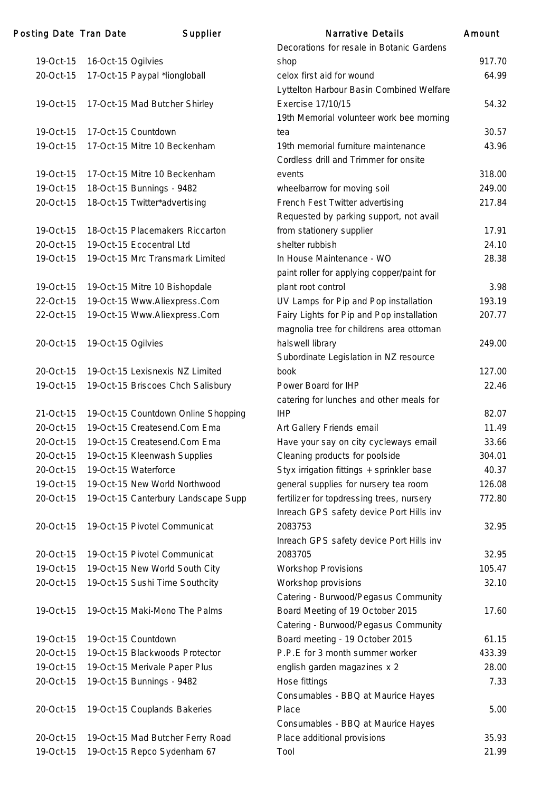| 19-Oct-15 | 16-Oct-15 Ogilvies                  |
|-----------|-------------------------------------|
| 20-Oct-15 | 17-Oct-15 Paypal *liongloball       |
|           |                                     |
| 19-Oct-15 | 17-Oct-15 Mad Butcher Shirley       |
|           |                                     |
| 19-Oct-15 | 17-Oct-15 Countdown                 |
| 19-Oct-15 | 17-Oct-15 Mitre 10 Beckenham        |
|           |                                     |
| 19-Oct-15 | 17-Oct-15 Mitre 10 Beckenham        |
| 19-Oct-15 | 18-Oct-15 Bunnings - 9482           |
| 20-Oct-15 | 18-Oct-15 Twitter*advertising       |
|           |                                     |
| 19-Oct-15 | 18-Oct-15 Placemakers Riccarton     |
| 20-Oct-15 | 19-Oct-15 Ecocentral Ltd            |
| 19-Oct-15 | 19-Oct-15 Mrc Transmark Limited     |
|           |                                     |
| 19-Oct-15 | 19-Oct-15 Mitre 10 Bishopdale       |
| 22-Oct-15 | 19-Oct-15 Www.Aliexpress.Com        |
| 22-Oct-15 | 19-Oct-15 Www.Aliexpress.Com        |
|           |                                     |
| 20-Oct-15 | 19-Oct-15 Ogilvies                  |
|           |                                     |
| 20-Oct-15 | 19-Oct-15 Lexisnexis NZ Limited     |
| 19-Oct-15 | 19-Oct-15 Briscoes Chch Salisbury   |
|           |                                     |
| 21-Oct-15 | 19-Oct-15 Countdown Online Shopping |
| 20-Oct-15 | 19-Oct-15 Createsend.Com Ema        |
| 20-Oct-15 | 19-Oct-15 Createsend.Com Ema        |
| 20-Oct-15 | 19-Oct-15 Kleenwash Supplies        |
| 20-Oct-15 | 19-Oct-15 Waterforce                |
| 19-Oct-15 | 19-Oct-15 New World Northwood       |
| 20-Oct-15 | 19-Oct-15 Canterbury Landscape Supp |
|           |                                     |
| 20-Oct-15 | 19-Oct-15 Pivotel Communicat        |
| 20-Oct-15 | 19-Oct-15 Pivotel Communicat        |
| 19-Oct-15 | 19-Oct-15 New World South City      |
| 20-Oct-15 |                                     |
|           | 19-Oct-15 Sushi Time Southcity      |
| 19-Oct-15 | 19-Oct-15 Maki-Mono The Palms       |
|           |                                     |
| 19-Oct-15 | 19-Oct-15 Countdown                 |
| 20-Oct-15 | 19-Oct-15 Blackwoods Protector      |
| 19-Oct-15 | 19-Oct-15 Merivale Paper Plus       |
| 20-Oct-15 | 19-Oct-15 Bunnings - 9482           |
|           |                                     |
| 20-Oct-15 | 19-Oct-15 Couplands Bakeries        |
|           |                                     |
| 20-Oct-15 | 19-Oct-15 Mad Butcher Ferry Road    |
| 19-Oct-15 | 19-Oct-15 Repco Sydenham 67         |

| Posting Date Tran Date |                    | Supplier                            | <b>Narrative Details</b>                   | Amount |
|------------------------|--------------------|-------------------------------------|--------------------------------------------|--------|
|                        |                    |                                     | Decorations for resale in Botanic Gardens  |        |
| 19-Oct-15              | 16-Oct-15 Ogilvies |                                     | shop                                       | 917.70 |
| 20-Oct-15              |                    | 17-Oct-15 Paypal *liongloball       | celox first aid for wound                  | 64.99  |
|                        |                    |                                     | Lyttelton Harbour Basin Combined Welfare   |        |
| 19-Oct-15              |                    | 17-Oct-15 Mad Butcher Shirley       | Exercise 17/10/15                          | 54.32  |
|                        |                    |                                     | 19th Memorial volunteer work bee morning   |        |
| 19-Oct-15              |                    | 17-Oct-15 Countdown                 | tea                                        | 30.57  |
| 19-Oct-15              |                    | 17-Oct-15 Mitre 10 Beckenham        | 19th memorial furniture maintenance        | 43.96  |
|                        |                    |                                     | Cordless drill and Trimmer for onsite      |        |
| 19-Oct-15              |                    | 17-Oct-15 Mitre 10 Beckenham        | events                                     | 318.00 |
| 19-Oct-15              |                    | 18-Oct-15 Bunnings - 9482           | wheelbarrow for moving soil                | 249.00 |
| 20-Oct-15              |                    | 18-Oct-15 Twitter*advertising       | French Fest Twitter advertising            | 217.84 |
|                        |                    |                                     | Requested by parking support, not avail    |        |
| 19-Oct-15              |                    | 18-Oct-15 Placemakers Riccarton     | from stationery supplier                   | 17.91  |
| 20-Oct-15              |                    | 19-Oct-15 Ecocentral Ltd            | shelter rubbish                            | 24.10  |
| 19-Oct-15              |                    | 19-Oct-15 Mrc Transmark Limited     | In House Maintenance - WO                  | 28.38  |
|                        |                    |                                     | paint roller for applying copper/paint for |        |
| 19-Oct-15              |                    | 19-Oct-15 Mitre 10 Bishopdale       | plant root control                         | 3.98   |
| 22-Oct-15              |                    | 19-Oct-15 Www.Aliexpress.Com        | UV Lamps for Pip and Pop installation      | 193.19 |
| 22-Oct-15              |                    | 19-Oct-15 Www.Aliexpress.Com        | Fairy Lights for Pip and Pop installation  | 207.77 |
|                        |                    |                                     | magnolia tree for childrens area ottoman   |        |
| 20-Oct-15              | 19-Oct-15 Ogilvies |                                     | halswell library                           | 249.00 |
|                        |                    |                                     | Subordinate Legislation in NZ resource     |        |
| 20-Oct-15              |                    | 19-Oct-15 Lexisnexis NZ Limited     | book                                       | 127.00 |
| 19-Oct-15              |                    | 19-Oct-15 Briscoes Chch Salisbury   | Power Board for IHP                        | 22.46  |
|                        |                    |                                     | catering for lunches and other meals for   |        |
| 21-Oct-15              |                    | 19-Oct-15 Countdown Online Shopping | <b>IHP</b>                                 | 82.07  |
| 20-Oct-15              |                    | 19-Oct-15 Createsend.Com Ema        | Art Gallery Friends email                  | 11.49  |
| 20-Oct-15              |                    | 19-Oct-15 Createsend.Com Ema        | Have your say on city cycleways email      | 33.66  |
| 20-Oct-15              |                    | 19-Oct-15 Kleenwash Supplies        | Cleaning products for poolside             | 304.01 |
| 20-Oct-15              |                    | 19-Oct-15 Waterforce                | Styx irrigation fittings + sprinkler base  | 40.37  |
| 19-Oct-15              |                    | 19-Oct-15 New World Northwood       | general supplies for nursery tea room      | 126.08 |
| 20-Oct-15              |                    | 19-Oct-15 Canterbury Landscape Supp | fertilizer for topdressing trees, nursery  | 772.80 |
|                        |                    |                                     | Inreach GPS safety device Port Hills inv   |        |
| 20-Oct-15              |                    | 19-Oct-15 Pivotel Communicat        | 2083753                                    | 32.95  |
|                        |                    |                                     | Inreach GPS safety device Port Hills inv   |        |
| 20-Oct-15              |                    | 19-Oct-15 Pivotel Communicat        | 2083705                                    | 32.95  |
| 19-Oct-15              |                    | 19-Oct-15 New World South City      | Workshop Provisions                        | 105.47 |
| 20-Oct-15              |                    | 19-Oct-15 Sushi Time Southcity      | Workshop provisions                        | 32.10  |
|                        |                    |                                     | Catering - Burwood/Pegasus Community       |        |
| 19-Oct-15              |                    | 19-Oct-15 Maki-Mono The Palms       | Board Meeting of 19 October 2015           | 17.60  |
|                        |                    |                                     | Catering - Burwood/Pegasus Community       |        |
| 19-Oct-15              |                    | 19-Oct-15 Countdown                 | Board meeting - 19 October 2015            | 61.15  |
| 20-Oct-15              |                    | 19-Oct-15 Blackwoods Protector      | P.P.E for 3 month summer worker            | 433.39 |
| 19-Oct-15              |                    | 19-Oct-15 Merivale Paper Plus       | english garden magazines x 2               | 28.00  |
| 20-Oct-15              |                    | 19-Oct-15 Bunnings - 9482           | Hose fittings                              | 7.33   |
|                        |                    |                                     | Consumables - BBQ at Maurice Hayes         |        |
| 20-Oct-15              |                    | 19-Oct-15 Couplands Bakeries        | Place                                      | 5.00   |
|                        |                    |                                     | Consumables - BBQ at Maurice Hayes         |        |
| 20-Oct-15              |                    | 19-Oct-15 Mad Butcher Ferry Road    | Place additional provisions                | 35.93  |
| 19-Oct-15              |                    | 19-Oct-15 Repco Sydenham 67         | Tool                                       | 21.99  |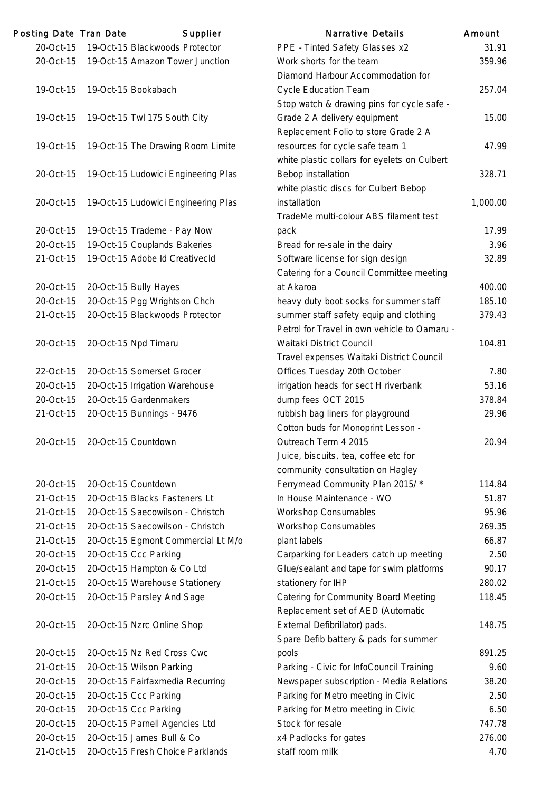| Posting Date Tran Date | Supplier                            | <b>Narrative Details</b>                                                  | Amount |
|------------------------|-------------------------------------|---------------------------------------------------------------------------|--------|
| 20-Oct-15              | 19-Oct-15 Blackwoods Protector      | PPE - Tinted Safety Glasses x2                                            | 31.    |
| 20-Oct-15              | 19-Oct-15 Amazon Tower Junction     | Work shorts for the team                                                  | 359.   |
|                        |                                     | Diamond Harbour Accommodation for                                         |        |
| 19-Oct-15              | 19-Oct-15 Bookabach                 | <b>Cycle Education Team</b>                                               | 257.   |
|                        |                                     | Stop watch & drawing pins for cycle safe -                                |        |
| 19-Oct-15              | 19-Oct-15 Twl 175 South City        | Grade 2 A delivery equipment                                              | 15.1   |
|                        |                                     | Replacement Folio to store Grade 2 A                                      |        |
| 19-Oct-15              | 19-Oct-15 The Drawing Room Limite   | resources for cycle safe team 1                                           | 47.    |
|                        |                                     | white plastic collars for eyelets on Culbert                              |        |
| 20-Oct-15              | 19-Oct-15 Ludowici Engineering Plas | Bebop installation                                                        | 328.   |
|                        |                                     | white plastic discs for Culbert Bebop                                     |        |
| 20-Oct-15              | 19-Oct-15 Ludowici Engineering Plas | installation                                                              | 1,000. |
|                        |                                     | TradeMe multi-colour ABS filament test                                    |        |
| 20-Oct-15              | 19-Oct-15 Trademe - Pay Now         | pack                                                                      | 17.    |
| 20-Oct-15              | 19-Oct-15 Couplands Bakeries        | Bread for re-sale in the dairy                                            | 3.5    |
| 21-Oct-15              | 19-Oct-15 Adobe Id CreativecId      | Software license for sign design                                          | 32.    |
|                        |                                     | Catering for a Council Committee meeting                                  |        |
| 20-Oct-15              | 20-Oct-15 Bully Hayes               | at Akaroa                                                                 | 400.   |
| 20-Oct-15              | 20-Oct-15 Pgg Wrightson Chch        | heavy duty boot socks for summer staff                                    | 185.   |
| 21-Oct-15              | 20-Oct-15 Blackwoods Protector      | summer staff safety equip and clothing                                    | 379.   |
|                        |                                     | Petrol for Travel in own vehicle to Oamaru -                              |        |
| 20-Oct-15              | 20-Oct-15 Npd Timaru                | Waitaki District Council                                                  | 104.   |
|                        |                                     | Travel expenses Waitaki District Council                                  |        |
| 22-Oct-15              | 20-Oct-15 Somerset Grocer           | Offices Tuesday 20th October                                              | 7.     |
| 20-Oct-15              | 20-Oct-15 Irrigation Warehouse      | irrigation heads for sect H riverbank                                     | 53.    |
| 20-Oct-15              | 20-Oct-15 Gardenmakers              | dump fees OCT 2015                                                        | 378.   |
| 21-Oct-15              | 20-Oct-15 Bunnings - 9476           | rubbish bag liners for playground                                         | 29.5   |
|                        |                                     | Cotton buds for Monoprint Lesson -                                        |        |
| 20-Oct-15              | 20-Oct-15 Countdown                 | Outreach Term 4 2015                                                      | 20.1   |
|                        |                                     | Juice, biscuits, tea, coffee etc for                                      |        |
|                        |                                     | community consultation on Hagley                                          |        |
| 20-Oct-15              | 20-Oct-15 Countdown                 | Ferrymead Community Plan 2015/*                                           | 114.   |
| 21-Oct-15              | 20-Oct-15 Blacks Fasteners Lt       | In House Maintenance - WO                                                 | 51.    |
| 21-Oct-15              | 20-Oct-15 Saecowilson - Christch    | <b>Workshop Consumables</b>                                               | 95.    |
| 21-Oct-15              | 20-Oct-15 Saecowilson - Christch    | <b>Workshop Consumables</b>                                               | 269.   |
| 21-Oct-15              | 20-Oct-15 Egmont Commercial Lt M/o  | plant labels                                                              | 66.    |
| 20-Oct-15              | 20-Oct-15 Ccc Parking               | Carparking for Leaders catch up meeting                                   | 2.1    |
| 20-Oct-15              | 20-Oct-15 Hampton & Co Ltd          | Glue/sealant and tape for swim platforms                                  | 90.    |
| 21-Oct-15              | 20-Oct-15 Warehouse Stationery      | stationery for IHP                                                        | 280.   |
| 20-Oct-15              | 20-Oct-15 Parsley And Sage          | Catering for Community Board Meeting<br>Replacement set of AED (Automatic | 118.4  |
| 20-Oct-15              | 20-Oct-15 Nzrc Online Shop          | External Defibrillator) pads.                                             | 148.   |
|                        |                                     | Spare Defib battery & pads for summer                                     |        |
| 20-Oct-15              | 20-Oct-15 Nz Red Cross Cwc          | pools                                                                     | 891.   |
| 21-Oct-15              | 20-Oct-15 Wilson Parking            | Parking - Civic for InfoCouncil Training                                  | 9.0    |
| 20-Oct-15              | 20-Oct-15 Fairfaxmedia Recurring    | Newspaper subscription - Media Relations                                  | 38.    |
| 20-Oct-15              | 20-Oct-15 Ccc Parking               | Parking for Metro meeting in Civic                                        | 2.1    |
| 20-Oct-15              | 20-Oct-15 Ccc Parking               | Parking for Metro meeting in Civic                                        | 6.5    |
| 20-Oct-15              | 20-Oct-15 Parnell Agencies Ltd      | Stock for resale                                                          | 747.   |
| 20-Oct-15              | 20-Oct-15 James Bull & Co           | x4 Padlocks for gates                                                     | 276.   |
| 21-Oct-15              | 20-Oct-15 Fresh Choice Parklands    | staff room milk                                                           | 4.     |
|                        |                                     |                                                                           |        |

|           | ing Date Tian Date | Supplier                                                             | Natiative Details                                                         | AMOUN    |
|-----------|--------------------|----------------------------------------------------------------------|---------------------------------------------------------------------------|----------|
| 20-Oct-15 |                    | 19-Oct-15 Blackwoods Protector                                       | PPE - Tinted Safety Glasses x2                                            | 31.91    |
| 20-Oct-15 |                    | 19-Oct-15 Amazon Tower Junction                                      | Work shorts for the team                                                  | 359.96   |
|           |                    |                                                                      | Diamond Harbour Accommodation for                                         |          |
| 19-Oct-15 |                    | 19-Oct-15 Bookabach                                                  | <b>Cycle Education Team</b>                                               | 257.04   |
|           |                    |                                                                      | Stop watch & drawing pins for cycle safe -                                |          |
| 19-Oct-15 |                    | 19-Oct-15 Twl 175 South City                                         | Grade 2 A delivery equipment                                              | 15.00    |
|           |                    |                                                                      | Replacement Folio to store Grade 2 A                                      |          |
| 19-Oct-15 |                    | 19-Oct-15 The Drawing Room Limite                                    | resources for cycle safe team 1                                           | 47.99    |
|           |                    |                                                                      | white plastic collars for eyelets on Culbert                              |          |
| 20-Oct-15 |                    | 19-Oct-15 Ludowici Engineering Plas                                  | Bebop installation                                                        | 328.71   |
|           |                    |                                                                      | white plastic discs for Culbert Bebop                                     |          |
| 20-Oct-15 |                    | 19-Oct-15 Ludowici Engineering Plas                                  | installation                                                              | 1,000.00 |
|           |                    |                                                                      | TradeMe multi-colour ABS filament test                                    |          |
| 20-Oct-15 |                    | 19-Oct-15 Trademe - Pay Now                                          | pack                                                                      | 17.99    |
| 20-Oct-15 |                    | 19-Oct-15 Couplands Bakeries                                         | Bread for re-sale in the dairy                                            | 3.96     |
| 21-Oct-15 |                    | 19-Oct-15 Adobe Id CreativecId                                       | Software license for sign design                                          | 32.89    |
|           |                    |                                                                      | Catering for a Council Committee meeting                                  |          |
| 20-Oct-15 |                    | 20-Oct-15 Bully Hayes                                                | at Akaroa                                                                 | 400.00   |
| 20-Oct-15 |                    | 20-Oct-15 Pgg Wrightson Chch                                         | heavy duty boot socks for summer staff                                    | 185.10   |
| 21-Oct-15 |                    | 20-Oct-15 Blackwoods Protector                                       | summer staff safety equip and clothing                                    | 379.43   |
|           |                    |                                                                      | Petrol for Travel in own vehicle to Oamaru -                              |          |
| 20-Oct-15 |                    | 20-Oct-15 Npd Timaru                                                 | Waitaki District Council                                                  | 104.81   |
|           |                    |                                                                      | Travel expenses Waitaki District Council                                  |          |
| 22-Oct-15 |                    | 20-Oct-15 Somerset Grocer                                            | Offices Tuesday 20th October                                              | 7.80     |
| 20-Oct-15 |                    | 20-Oct-15 Irrigation Warehouse                                       | irrigation heads for sect H riverbank                                     | 53.16    |
| 20-Oct-15 |                    | 20-Oct-15 Gardenmakers                                               | dump fees OCT 2015                                                        | 378.84   |
| 21-Oct-15 |                    | 20-Oct-15 Bunnings - 9476                                            | rubbish bag liners for playground                                         | 29.96    |
|           |                    |                                                                      | Cotton buds for Monoprint Lesson -                                        |          |
| 20-Oct-15 |                    | 20-Oct-15 Countdown                                                  | Outreach Term 4 2015                                                      | 20.94    |
|           |                    |                                                                      | Juice, biscuits, tea, coffee etc for                                      |          |
|           |                    |                                                                      | community consultation on Hagley                                          |          |
| 20-Oct-15 |                    | 20-Oct-15 Countdown                                                  | Ferrymead Community Plan 2015/*                                           | 114.84   |
| 21-Oct-15 |                    | 20-Oct-15 Blacks Fasteners Lt                                        | In House Maintenance - WO                                                 | 51.87    |
|           |                    |                                                                      |                                                                           | 95.96    |
| 21-Oct-15 |                    | 20-Oct-15 Saecowilson - Christch<br>20-Oct-15 Saecowilson - Christch | Workshop Consumables                                                      | 269.35   |
| 21-Oct-15 |                    |                                                                      | Workshop Consumables                                                      |          |
| 21-Oct-15 |                    | 20-Oct-15 Egmont Commercial Lt M/o                                   | plant labels                                                              | 66.87    |
| 20-Oct-15 |                    | 20-Oct-15 Ccc Parking                                                | Carparking for Leaders catch up meeting                                   | 2.50     |
| 20-Oct-15 |                    | 20-Oct-15 Hampton & Co Ltd                                           | Glue/sealant and tape for swim platforms                                  | 90.17    |
| 21-Oct-15 |                    | 20-Oct-15 Warehouse Stationery                                       | stationery for IHP                                                        | 280.02   |
| 20-Oct-15 |                    | 20-Oct-15 Parsley And Sage                                           | Catering for Community Board Meeting<br>Replacement set of AED (Automatic | 118.45   |
| 20-Oct-15 |                    | 20-Oct-15 Nzrc Online Shop                                           | External Defibrillator) pads.                                             | 148.75   |
|           |                    |                                                                      | Spare Defib battery & pads for summer                                     |          |
| 20-Oct-15 |                    | 20-Oct-15 Nz Red Cross Cwc                                           | pools                                                                     | 891.25   |
| 21-Oct-15 |                    | 20-Oct-15 Wilson Parking                                             | Parking - Civic for InfoCouncil Training                                  | 9.60     |
| 20-Oct-15 |                    | 20-Oct-15 Fairfaxmedia Recurring                                     | Newspaper subscription - Media Relations                                  | 38.20    |
| 20-Oct-15 |                    | 20-Oct-15 Ccc Parking                                                | Parking for Metro meeting in Civic                                        | 2.50     |
| 20-Oct-15 |                    | 20-Oct-15 Ccc Parking                                                | Parking for Metro meeting in Civic                                        | 6.50     |
| 20-Oct-15 |                    | 20-Oct-15 Parnell Agencies Ltd                                       | Stock for resale                                                          | 747.78   |
| 20-Oct-15 |                    | 20-Oct-15 James Bull & Co                                            | x4 Padlocks for gates                                                     | 276.00   |
| 21-Oct-15 |                    | 20-Oct-15 Fresh Choice Parklands                                     | staff room milk                                                           | 4.70     |
|           |                    |                                                                      |                                                                           |          |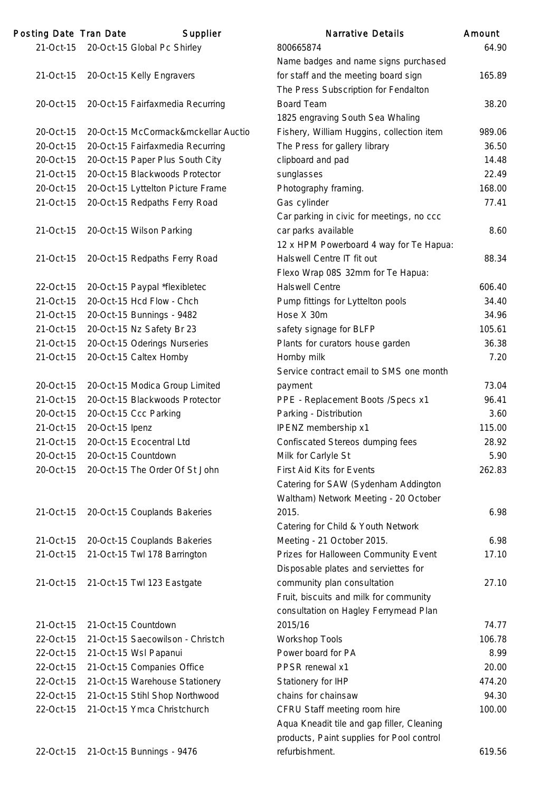| Posting Date Tran Date |                 | Supplier                              | <b>Narrative Details</b>                    | Amount |
|------------------------|-----------------|---------------------------------------|---------------------------------------------|--------|
|                        |                 | 21-Oct-15 20-Oct-15 Global Pc Shirley | 800665874                                   | 64.90  |
|                        |                 |                                       | Name badges and name signs purchased        |        |
| 21-Oct-15              |                 | 20-Oct-15 Kelly Engravers             | for staff and the meeting board sign        | 165.89 |
|                        |                 |                                       | The Press Subscription for Fendalton        |        |
| 20-Oct-15              |                 | 20-Oct-15 Fairfaxmedia Recurring      | <b>Board Team</b>                           | 38.20  |
|                        |                 |                                       | 1825 engraving South Sea Whaling            |        |
| 20-Oct-15              |                 | 20-Oct-15 McCormack&mckellar Auctio   | Fishery, William Huggins, collection item   | 989.06 |
| 20-Oct-15              |                 | 20-Oct-15 Fairfaxmedia Recurring      | The Press for gallery library               | 36.50  |
| 20-Oct-15              |                 | 20-Oct-15 Paper Plus South City       | clipboard and pad                           | 14.48  |
| 21-Oct-15              |                 | 20-Oct-15 Blackwoods Protector        | sunglasses                                  | 22.49  |
| 20-Oct-15              |                 | 20-Oct-15 Lyttelton Picture Frame     | Photography framing.                        | 168.00 |
| 21-Oct-15              |                 | 20-Oct-15 Redpaths Ferry Road         | Gas cylinder                                | 77.41  |
|                        |                 |                                       | Car parking in civic for meetings, no ccc   |        |
| 21-Oct-15              |                 | 20-Oct-15 Wilson Parking              | car parks available                         | 8.60   |
|                        |                 |                                       | 12 x HPM Powerboard 4 way for Te Hapua:     |        |
| 21-Oct-15              |                 | 20-Oct-15 Redpaths Ferry Road         | Halswell Centre IT fit out                  | 88.34  |
|                        |                 |                                       | Flexo Wrap 08S 32mm for Te Hapua:           |        |
| 22-Oct-15              |                 | 20-Oct-15 Paypal *flexibletec         | <b>Halswell Centre</b>                      | 606.40 |
| 21-Oct-15              |                 | 20-Oct-15 Hcd Flow - Chch             | Pump fittings for Lyttelton pools           | 34.40  |
| 21-Oct-15              |                 | 20-Oct-15 Bunnings - 9482             | Hose X 30m                                  | 34.96  |
| 21-Oct-15              |                 | 20-Oct-15 Nz Safety Br 23             | safety signage for BLFP                     | 105.61 |
| 21-Oct-15              |                 | 20-Oct-15 Oderings Nurseries          | Plants for curators house garden            | 36.38  |
| 21-Oct-15              |                 | 20-Oct-15 Caltex Hornby               | Hornby milk                                 | 7.20   |
|                        |                 |                                       | Service contract email to SMS one month     |        |
| 20-Oct-15              |                 | 20-Oct-15 Modica Group Limited        | payment                                     | 73.04  |
| 21-Oct-15              |                 | 20-Oct-15 Blackwoods Protector        | PPE - Replacement Boots / Specs x1          | 96.41  |
| 20-Oct-15              |                 | 20-Oct-15 Ccc Parking                 | Parking - Distribution                      | 3.60   |
| 21-Oct-15              | 20-Oct-15 Ipenz |                                       | IPENZ membership x1                         | 115.00 |
| 21-Oct-15              |                 | 20-Oct-15 Ecocentral Ltd              | <b>Confiscated Stereos dumping fees</b>     | 28.92  |
| 20-Oct-15              |                 | 20-Oct-15 Countdown                   | Milk for Carlyle St                         | 5.90   |
| 20-Oct-15              |                 | 20-Oct-15 The Order Of St John        | First Aid Kits for Events                   | 262.83 |
|                        |                 |                                       | Catering for SAW (Sydenham Addington        |        |
|                        |                 |                                       | Waltham) Network Meeting - 20 October       |        |
| 21-Oct-15              |                 | 20-Oct-15 Couplands Bakeries          | 2015.                                       | 6.98   |
|                        |                 |                                       | Catering for Child & Youth Network          |        |
| 21-Oct-15              |                 | 20-Oct-15 Couplands Bakeries          | Meeting - 21 October 2015.                  | 6.98   |
| 21-Oct-15              |                 | 21-Oct-15 Twl 178 Barrington          | Prizes for Halloween Community Event        | 17.10  |
|                        |                 |                                       | Disposable plates and serviettes for        |        |
| 21-Oct-15              |                 | 21-Oct-15 Twl 123 Eastgate            | community plan consultation                 | 27.10  |
|                        |                 |                                       | Fruit, biscuits and milk for community      |        |
|                        |                 |                                       | consultation on Hagley Ferrymead Plan       |        |
|                        |                 | 21-Oct-15 Countdown                   | 2015/16                                     | 74.77  |
| 21-Oct-15<br>22-Oct-15 |                 | 21-Oct-15 Saecowilson - Christch      |                                             | 106.78 |
| 22-Oct-15              |                 |                                       | <b>Workshop Tools</b><br>Power board for PA | 8.99   |
|                        |                 | 21-Oct-15 Wsl Papanui                 |                                             |        |
| 22-Oct-15              |                 | 21-Oct-15 Companies Office            | PPSR renewal x1                             | 20.00  |
| 22-Oct-15              |                 | 21-Oct-15 Warehouse Stationery        | Stationery for IHP                          | 474.20 |
| 22-Oct-15              |                 | 21-Oct-15 Stihl Shop Northwood        | chains for chainsaw                         | 94.30  |
| 22-Oct-15              |                 | 21-Oct-15 Ymca Christchurch           | CFRU Staff meeting room hire                | 100.00 |
|                        |                 |                                       | Aqua Kneadit tile and gap filler, Cleaning  |        |

| Narrative Details                                | Amount |
|--------------------------------------------------|--------|
| 800665874                                        | 64.90  |
| Name badges and name signs purchased             |        |
| for staff and the meeting board sign             | 165.89 |
| The Press Subscription for Fendalton             |        |
| <b>Board Team</b>                                | 38.20  |
| 1825 engraving South Sea Whaling                 |        |
| Fishery, William Huggins, collection item        | 989.06 |
| The Press for gallery library                    | 36.50  |
| clipboard and pad                                | 14.48  |
| sunglasses                                       | 22.49  |
| Photography framing.                             | 168.00 |
| Gas cylinder                                     | 77.41  |
| Car parking in civic for meetings, no ccc        |        |
| car parks available                              | 8.60   |
| 12 x HPM Powerboard 4 way for Te Hapua:          |        |
| Halswell Centre IT fit out                       | 88.34  |
| Flexo Wrap 08S 32mm for Te Hapua:                |        |
| <b>Halswell Centre</b>                           | 606.40 |
| Pump fittings for Lyttelton pools                | 34.40  |
| Hose X 30m                                       | 34.96  |
| safety signage for BLFP                          | 105.61 |
| Plants for curators house garden                 | 36.38  |
| Hornby milk                                      | 7.20   |
| Service contract email to SMS one month          |        |
| payment                                          | 73.04  |
| PPE - Replacement Boots / Specs x1               | 96.41  |
| Parking - Distribution                           | 3.60   |
| IPENZ membership x1                              | 115.00 |
| <b>Confiscated Stereos dumping fees</b>          | 28.92  |
| Milk for Carlyle St                              | 5.90   |
| <b>First Aid Kits for Events</b>                 | 262.83 |
| Catering for SAW (Sydenham Addington             |        |
| Waltham) Network Meeting - 20 October            |        |
| 2015.                                            | 6.98   |
| Catering for Child & Youth Network               |        |
| Meeting - 21 October 2015.                       | 6.98   |
| Prizes for Halloween Community Event             | 17.10  |
| Disposable plates and serviettes for             |        |
| community plan consultation                      | 27.10  |
| Fruit, biscuits and milk for community           |        |
| consultation on Hagley Ferrymead Plan<br>2015/16 | 74.77  |
| <b>Workshop Tools</b>                            | 106.78 |
| Power board for PA                               | 8.99   |
| PPSR renewal x1                                  | 20.00  |
| Stationery for IHP                               | 474.20 |
| chains for chainsaw                              | 94.30  |
| CFRU Staff meeting room hire                     | 100.00 |
| Aqua Kneadit tile and gap filler, Cleaning       |        |
| products, Paint supplies for Pool control        |        |
| refurbishment.                                   | 619.56 |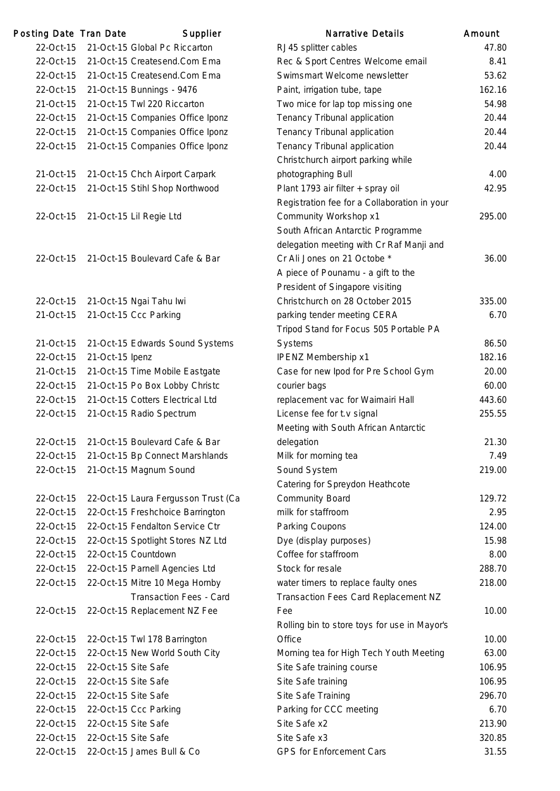| Posting Date Tran Date |                     | Supplier                            | <b>Narrative Details</b>                                           | Amount |
|------------------------|---------------------|-------------------------------------|--------------------------------------------------------------------|--------|
| 22-Oct-15              |                     | 21-Oct-15 Global Pc Riccarton       | RJ45 splitter cables                                               | 47.80  |
| 22-Oct-15              |                     | 21-Oct-15 Createsend.Com Ema        | Rec & Sport Centres Welcome email                                  | 8.41   |
| 22-Oct-15              |                     | 21-Oct-15 Createsend.Com Ema        | Swimsmart Welcome newsletter                                       | 53.62  |
| 22-Oct-15              |                     | 21-Oct-15 Bunnings - 9476           | Paint, irrigation tube, tape                                       | 162.16 |
| 21-Oct-15              |                     | 21-Oct-15 Twl 220 Riccarton         | Two mice for lap top missing one                                   | 54.98  |
| 22-Oct-15              |                     | 21-Oct-15 Companies Office Iponz    | Tenancy Tribunal application                                       | 20.44  |
| 22-Oct-15              |                     | 21-Oct-15 Companies Office Iponz    | Tenancy Tribunal application                                       | 20.44  |
| 22-Oct-15              |                     | 21-Oct-15 Companies Office Iponz    | Tenancy Tribunal application                                       | 20.44  |
|                        |                     |                                     | Christchurch airport parking while                                 |        |
| 21-Oct-15              |                     | 21-Oct-15 Chch Airport Carpark      | photographing Bull                                                 | 4.00   |
| 22-Oct-15              |                     | 21-Oct-15 Stihl Shop Northwood      | Plant 1793 air filter + spray oil                                  | 42.95  |
|                        |                     |                                     | Registration fee for a Collaboration in your                       |        |
| 22-Oct-15              |                     | 21-Oct-15 Lil Regie Ltd             | Community Workshop x1                                              | 295.00 |
|                        |                     |                                     | South African Antarctic Programme                                  |        |
|                        |                     |                                     | delegation meeting with Cr Raf Manji and                           |        |
| 22-Oct-15              |                     | 21-Oct-15 Boulevard Cafe & Bar      | Cr Ali Jones on 21 Octobe *                                        | 36.00  |
|                        |                     |                                     | A piece of Pounamu - a gift to the                                 |        |
|                        |                     |                                     | President of Singapore visiting                                    |        |
| 22-Oct-15              |                     | 21-Oct-15 Ngai Tahu lwi             | Christchurch on 28 October 2015                                    | 335.00 |
| 21-Oct-15              |                     |                                     |                                                                    |        |
|                        |                     | 21-Oct-15 Ccc Parking               | parking tender meeting CERA                                        | 6.70   |
|                        |                     |                                     | Tripod Stand for Focus 505 Portable PA                             |        |
| 21-Oct-15              |                     | 21-Oct-15 Edwards Sound Systems     | Systems                                                            | 86.50  |
| 22-Oct-15              | 21-Oct-15 Ipenz     |                                     | <b>IPENZ Membership x1</b>                                         | 182.16 |
| 21-Oct-15              |                     | 21-Oct-15 Time Mobile Eastgate      | Case for new Ipod for Pre School Gym                               | 20.00  |
| 22-Oct-15              |                     | 21-Oct-15 Po Box Lobby Christc      | courier bags                                                       | 60.00  |
| 22-Oct-15              |                     | 21-Oct-15 Cotters Electrical Ltd    | replacement vac for Waimairi Hall                                  | 443.60 |
| 22-Oct-15              |                     | 21-Oct-15 Radio Spectrum            | License fee for t.v signal<br>Meeting with South African Antarctic | 255.55 |
| 22-Oct-15              |                     | 21-Oct-15 Boulevard Cafe & Bar      | delegation                                                         | 21.30  |
| 22-Oct-15              |                     | 21-Oct-15 Bp Connect Marshlands     | Milk for morning tea                                               | 7.49   |
| 22-Oct-15              |                     | 21-Oct-15 Magnum Sound              | Sound System                                                       | 219.00 |
|                        |                     |                                     | Catering for Spreydon Heathcote                                    |        |
| 22-Oct-15              |                     | 22-Oct-15 Laura Fergusson Trust (Ca | <b>Community Board</b>                                             | 129.72 |
| 22-Oct-15              |                     | 22-Oct-15 Freshchoice Barrington    | milk for staffroom                                                 | 2.95   |
| 22-Oct-15              |                     | 22-Oct-15 Fendalton Service Ctr     | Parking Coupons                                                    | 124.00 |
| 22-Oct-15              |                     | 22-Oct-15 Spotlight Stores NZ Ltd   | Dye (display purposes)                                             | 15.98  |
| 22-Oct-15              |                     | 22-Oct-15 Countdown                 | Coffee for staffroom                                               | 8.00   |
| 22-Oct-15              |                     | 22-Oct-15 Parnell Agencies Ltd      | Stock for resale                                                   | 288.70 |
| 22-Oct-15              |                     | 22-Oct-15 Mitre 10 Mega Hornby      | water timers to replace faulty ones                                | 218.00 |
|                        |                     | <b>Transaction Fees - Card</b>      | Transaction Fees Card Replacement NZ                               |        |
| 22-Oct-15              |                     | 22-Oct-15 Replacement NZ Fee        | Fee                                                                | 10.00  |
|                        |                     |                                     | Rolling bin to store toys for use in Mayor's                       |        |
| 22-Oct-15              |                     | 22-Oct-15 Twl 178 Barrington        | Office                                                             | 10.00  |
| 22-Oct-15              |                     | 22-Oct-15 New World South City      | Morning tea for High Tech Youth Meeting                            | 63.00  |
| 22-Oct-15              | 22-Oct-15 Site Safe |                                     | Site Safe training course                                          | 106.95 |
| 22-Oct-15              | 22-Oct-15 Site Safe |                                     | Site Safe training                                                 | 106.95 |
| 22-Oct-15              | 22-Oct-15 Site Safe |                                     | Site Safe Training                                                 | 296.70 |
| 22-Oct-15              |                     | 22-Oct-15 Ccc Parking               | Parking for CCC meeting                                            | 6.70   |
| 22-Oct-15              | 22-Oct-15 Site Safe |                                     | Site Safe x2                                                       | 213.90 |
| 22-Oct-15              | 22-Oct-15 Site Safe |                                     | Site Safe x3                                                       | 320.85 |
|                        |                     |                                     |                                                                    |        |
| 22-Oct-15              |                     | 22-Oct-15 James Bull & Co           | GPS for Enforcement Cars                                           | 31.55  |